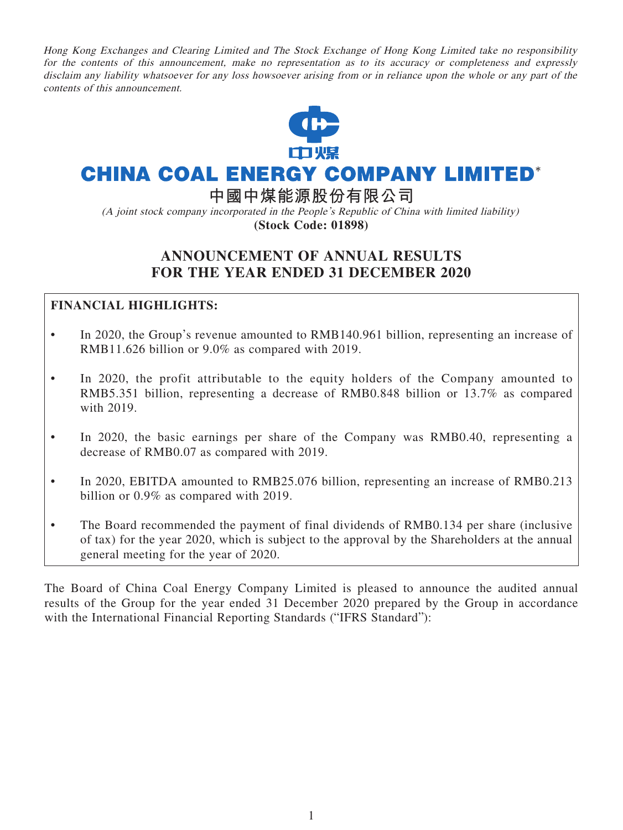Hong Kong Exchanges and Clearing Limited and The Stock Exchange of Hong Kong Limited take no responsibility for the contents of this announcement, make no representation as to its accuracy or completeness and expressly disclaim any liability whatsoever for any loss howsoever arising from or in reliance upon the whole or any part of the contents of this announcement.



# **CHINA COAL ENERGY COMPANY LIMITED\***

**中國中煤能源股份有限公司**

(A joint stock company incorporated in the People's Republic of China with limited liability) **(Stock Code: 01898)**

# **ANNOUNCEMENT OF ANNUAL RESULTS FOR THE YEAR ENDED 31 DECEMBER 2020**

# **FINANCIAL HIGHLIGHTS:**

- In 2020, the Group's revenue amounted to RMB140.961 billion, representing an increase of RMB11.626 billion or 9.0% as compared with 2019.
- In 2020, the profit attributable to the equity holders of the Company amounted to RMB5.351 billion, representing a decrease of RMB0.848 billion or 13.7% as compared with 2019.
- In 2020, the basic earnings per share of the Company was RMB0.40, representing a decrease of RMB0.07 as compared with 2019.
- In 2020, EBITDA amounted to RMB25.076 billion, representing an increase of RMB0.213 billion or 0.9% as compared with 2019.
- The Board recommended the payment of final dividends of RMB0.134 per share (inclusive of tax) for the year 2020, which is subject to the approval by the Shareholders at the annual general meeting for the year of 2020.

The Board of China Coal Energy Company Limited is pleased to announce the audited annual results of the Group for the year ended 31 December 2020 prepared by the Group in accordance with the International Financial Reporting Standards ("IFRS Standard"):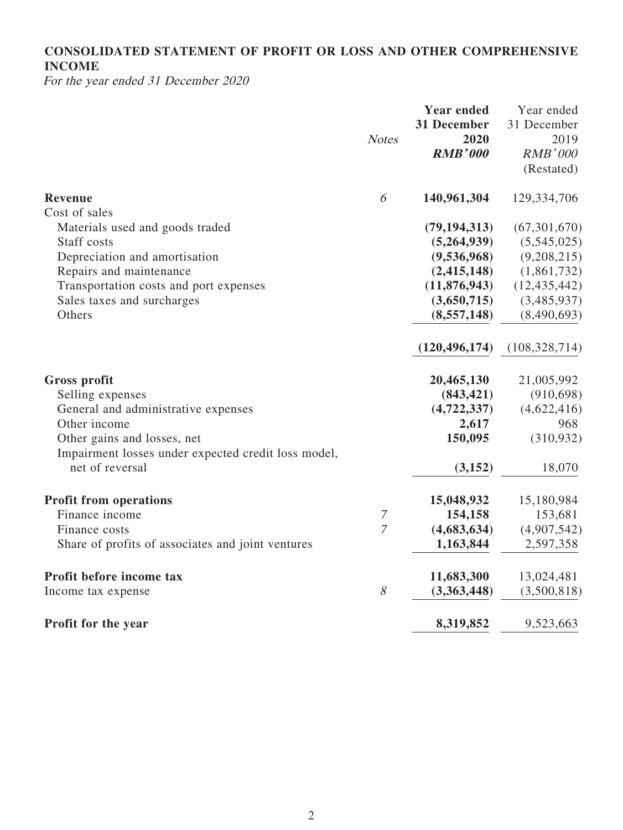# **CONSOLIDATED STATEMENT OF PROFIT OR LOSS AND OTHER COMPREHENSIVE INCOME**

For the year ended 31 December 2020

|                                                                        |                  | <b>Year ended</b><br>31 December | Year ended<br>31 December |
|------------------------------------------------------------------------|------------------|----------------------------------|---------------------------|
|                                                                        | <b>Notes</b>     | 2020                             | 2019                      |
|                                                                        |                  | <b>RMB'000</b>                   | <b>RMB'000</b>            |
|                                                                        |                  |                                  | (Restated)                |
| <b>Revenue</b>                                                         | 6                | 140,961,304                      | 129,334,706               |
| Cost of sales                                                          |                  |                                  |                           |
| Materials used and goods traded                                        |                  | (79, 194, 313)                   | (67, 301, 670)            |
| Staff costs                                                            |                  | (5,264,939)                      | (5,545,025)               |
| Depreciation and amortisation                                          |                  | (9,536,968)                      | (9,208,215)               |
| Repairs and maintenance                                                |                  | (2,415,148)                      | (1,861,732)               |
| Transportation costs and port expenses                                 |                  | (11, 876, 943)                   | (12, 435, 442)            |
| Sales taxes and surcharges                                             |                  | (3,650,715)                      | (3,485,937)               |
| Others                                                                 |                  | (8,557,148)                      | (8,490,693)               |
|                                                                        |                  | (120, 496, 174)                  | (108, 328, 714)           |
| <b>Gross profit</b>                                                    |                  | 20,465,130                       | 21,005,992                |
| Selling expenses                                                       |                  | (843, 421)                       | (910, 698)                |
| General and administrative expenses                                    |                  | (4, 722, 337)                    | (4,622,416)               |
| Other income                                                           |                  | 2,617                            | 968                       |
| Other gains and losses, net                                            |                  | 150,095                          | (310, 932)                |
| Impairment losses under expected credit loss model,<br>net of reversal |                  | (3,152)                          | 18,070                    |
| <b>Profit from operations</b>                                          |                  | 15,048,932                       | 15,180,984                |
| Finance income                                                         | $\boldsymbol{7}$ | 154,158                          | 153,681                   |
| Finance costs                                                          | $\overline{7}$   | (4,683,634)                      | (4,907,542)               |
| Share of profits of associates and joint ventures                      |                  | 1,163,844                        | 2,597,358                 |
| Profit before income tax                                               |                  | 11,683,300                       | 13,024,481                |
| Income tax expense                                                     | $\mathcal S$     | (3,363,448)                      | (3,500,818)               |
|                                                                        |                  |                                  | 9,523,663                 |
| Profit for the year                                                    |                  | 8,319,852                        |                           |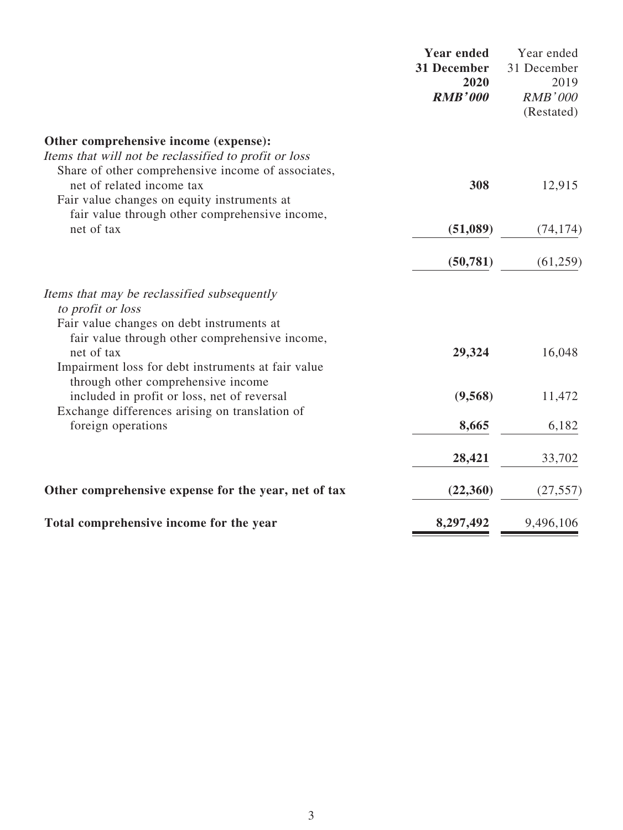|                                                                                                                                                          | <b>Year ended</b><br>31 December<br>2020<br><b>RMB'000</b> | Year ended<br>31 December<br>2019<br><b>RMB'000</b><br>(Restated) |
|----------------------------------------------------------------------------------------------------------------------------------------------------------|------------------------------------------------------------|-------------------------------------------------------------------|
| Other comprehensive income (expense):<br>Items that will not be reclassified to profit or loss<br>Share of other comprehensive income of associates,     |                                                            |                                                                   |
| net of related income tax<br>Fair value changes on equity instruments at<br>fair value through other comprehensive income,                               | 308                                                        | 12,915                                                            |
| net of tax                                                                                                                                               | (51,089)                                                   | (74, 174)                                                         |
|                                                                                                                                                          | (50, 781)                                                  | (61,259)                                                          |
| Items that may be reclassified subsequently<br>to profit or loss<br>Fair value changes on debt instruments at                                            |                                                            |                                                                   |
| fair value through other comprehensive income,<br>net of tax<br>Impairment loss for debt instruments at fair value<br>through other comprehensive income | 29,324                                                     | 16,048                                                            |
| included in profit or loss, net of reversal<br>Exchange differences arising on translation of                                                            | (9,568)                                                    | 11,472                                                            |
| foreign operations                                                                                                                                       | 8,665                                                      | 6,182                                                             |
|                                                                                                                                                          | 28,421                                                     | 33,702                                                            |
| Other comprehensive expense for the year, net of tax                                                                                                     | (22,360)                                                   | (27, 557)                                                         |
| Total comprehensive income for the year                                                                                                                  | 8,297,492                                                  | 9,496,106                                                         |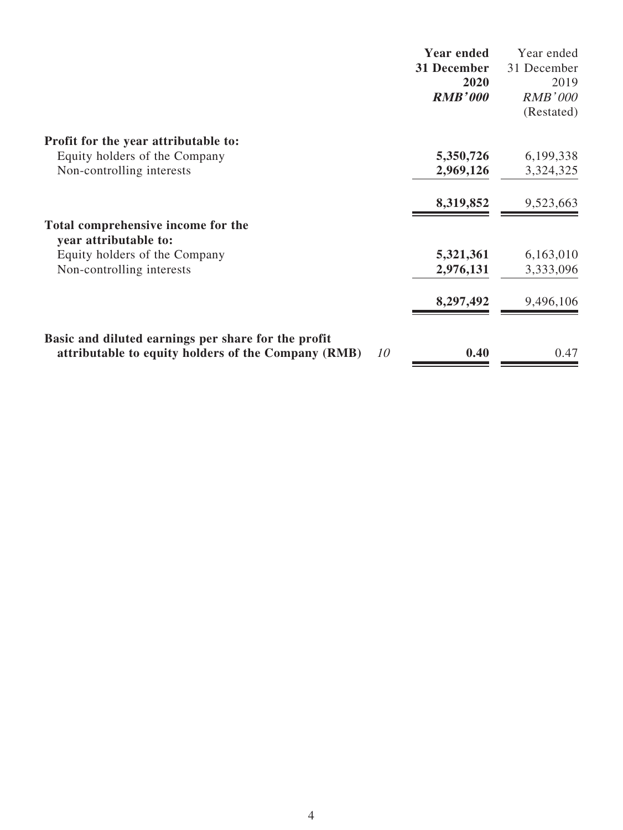| <b>Year ended</b> | Year ended     |
|-------------------|----------------|
| 31 December       | 31 December    |
| 2020              | 2019           |
| <b>RMB'000</b>    | <b>RMB'000</b> |
|                   | (Restated)     |
|                   |                |
| 5,350,726         | 6,199,338      |
| 2,969,126         | 3,324,325      |
| 8,319,852         | 9,523,663      |
|                   |                |
|                   | 6,163,010      |
| 2,976,131         | 3,333,096      |
| 8,297,492         | 9,496,106      |
| 0.40              | 0.47           |
|                   | 5,321,361      |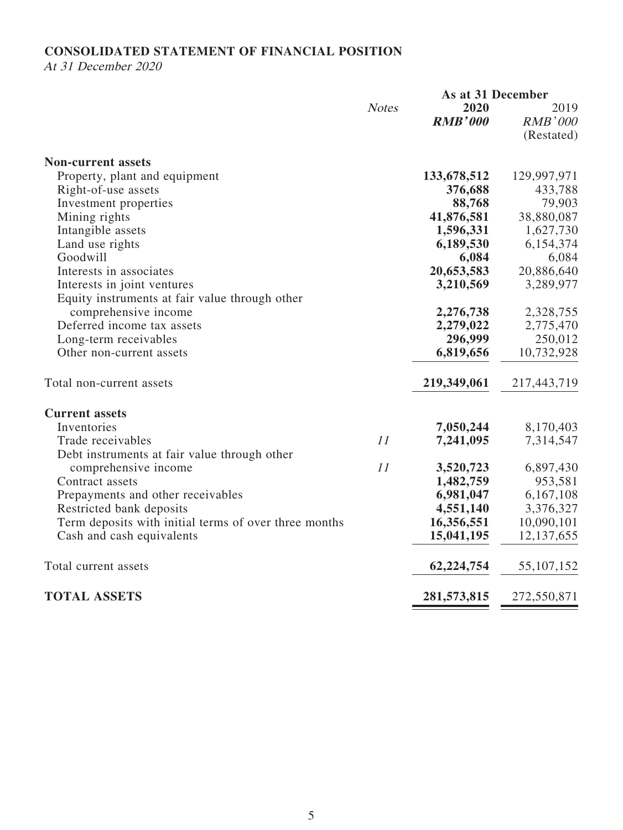# **CONSOLIDATED STATEMENT OF FINANCIAL POSITION**

At 31 December 2020

|                                                       |              | As at 31 December |                |  |
|-------------------------------------------------------|--------------|-------------------|----------------|--|
|                                                       | <b>Notes</b> | 2020              | 2019           |  |
|                                                       |              | <b>RMB'000</b>    | <b>RMB'000</b> |  |
|                                                       |              |                   | (Restated)     |  |
| <b>Non-current assets</b>                             |              |                   |                |  |
| Property, plant and equipment                         |              | 133,678,512       | 129,997,971    |  |
| Right-of-use assets                                   |              | 376,688           | 433,788        |  |
| Investment properties                                 |              | 88,768            | 79,903         |  |
| Mining rights                                         |              | 41,876,581        | 38,880,087     |  |
| Intangible assets                                     |              | 1,596,331         | 1,627,730      |  |
| Land use rights                                       |              | 6,189,530         | 6,154,374      |  |
| Goodwill                                              |              | 6,084             | 6,084          |  |
| Interests in associates                               |              |                   | 20,886,640     |  |
|                                                       |              | 20,653,583        |                |  |
| Interests in joint ventures                           |              | 3,210,569         | 3,289,977      |  |
| Equity instruments at fair value through other        |              |                   |                |  |
| comprehensive income                                  |              | 2,276,738         | 2,328,755      |  |
| Deferred income tax assets                            |              | 2,279,022         | 2,775,470      |  |
| Long-term receivables                                 |              | 296,999           | 250,012        |  |
| Other non-current assets                              |              | 6,819,656         | 10,732,928     |  |
| Total non-current assets                              |              | 219,349,061       | 217,443,719    |  |
| <b>Current assets</b>                                 |              |                   |                |  |
| Inventories                                           |              | 7,050,244         | 8,170,403      |  |
| Trade receivables                                     | 11           | 7,241,095         | 7,314,547      |  |
| Debt instruments at fair value through other          |              |                   |                |  |
| comprehensive income                                  | 11           | 3,520,723         | 6,897,430      |  |
| Contract assets                                       |              | 1,482,759         | 953,581        |  |
| Prepayments and other receivables                     |              | 6,981,047         | 6,167,108      |  |
| Restricted bank deposits                              |              | 4,551,140         | 3,376,327      |  |
| Term deposits with initial terms of over three months |              | 16,356,551        | 10,090,101     |  |
| Cash and cash equivalents                             |              | 15,041,195        | 12,137,655     |  |
|                                                       |              |                   |                |  |
| Total current assets                                  |              | 62,224,754        | 55, 107, 152   |  |
|                                                       |              |                   |                |  |
| <b>TOTAL ASSETS</b>                                   |              | 281,573,815       | 272,550,871    |  |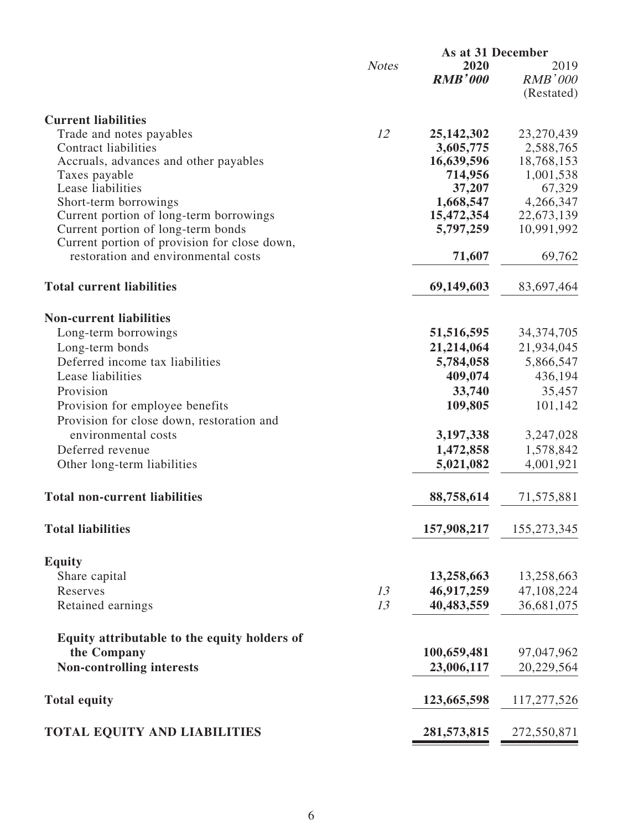|                                              |              | As at 31 December      |                                      |
|----------------------------------------------|--------------|------------------------|--------------------------------------|
|                                              | <b>Notes</b> | 2020<br><b>RMB'000</b> | 2019<br><b>RMB'000</b><br>(Restated) |
| <b>Current liabilities</b>                   |              |                        |                                      |
| Trade and notes payables                     | 12           | 25, 142, 302           | 23,270,439                           |
| <b>Contract liabilities</b>                  |              | 3,605,775              | 2,588,765                            |
| Accruals, advances and other payables        |              | 16,639,596             | 18,768,153                           |
| Taxes payable                                |              | 714,956                | 1,001,538                            |
| Lease liabilities                            |              | 37,207                 | 67,329                               |
| Short-term borrowings                        |              | 1,668,547              | 4,266,347                            |
| Current portion of long-term borrowings      |              | 15,472,354             | 22,673,139                           |
| Current portion of long-term bonds           |              | 5,797,259              | 10,991,992                           |
| Current portion of provision for close down, |              |                        |                                      |
| restoration and environmental costs          |              | 71,607                 | 69,762                               |
| <b>Total current liabilities</b>             |              | 69,149,603             | 83,697,464                           |
| <b>Non-current liabilities</b>               |              |                        |                                      |
| Long-term borrowings                         |              | 51,516,595             | 34, 374, 705                         |
| Long-term bonds                              |              | 21,214,064             | 21,934,045                           |
| Deferred income tax liabilities              |              | 5,784,058              | 5,866,547                            |
| Lease liabilities                            |              | 409,074                | 436,194                              |
| Provision                                    |              | 33,740                 | 35,457                               |
| Provision for employee benefits              |              | 109,805                | 101,142                              |
| Provision for close down, restoration and    |              |                        |                                      |
| environmental costs                          |              | 3,197,338              | 3,247,028                            |
| Deferred revenue                             |              | 1,472,858              | 1,578,842                            |
| Other long-term liabilities                  |              | 5,021,082              | 4,001,921                            |
|                                              |              |                        |                                      |
| <b>Total non-current liabilities</b>         |              | 88,758,614             | 71,575,881                           |
| <b>Total liabilities</b>                     |              | 157,908,217            | 155,273,345                          |
| <b>Equity</b>                                |              |                        |                                      |
| Share capital                                |              | 13,258,663             | 13,258,663                           |
| Reserves                                     | 13           | 46,917,259             | 47,108,224                           |
| Retained earnings                            | 13           | 40,483,559             | 36,681,075                           |
|                                              |              |                        |                                      |
| Equity attributable to the equity holders of |              |                        |                                      |
| the Company                                  |              | 100,659,481            | 97,047,962                           |
| Non-controlling interests                    |              | 23,006,117             | 20,229,564                           |
| <b>Total equity</b>                          |              | 123,665,598            | 117,277,526                          |
| <b>TOTAL EQUITY AND LIABILITIES</b>          |              | 281,573,815            | 272,550,871                          |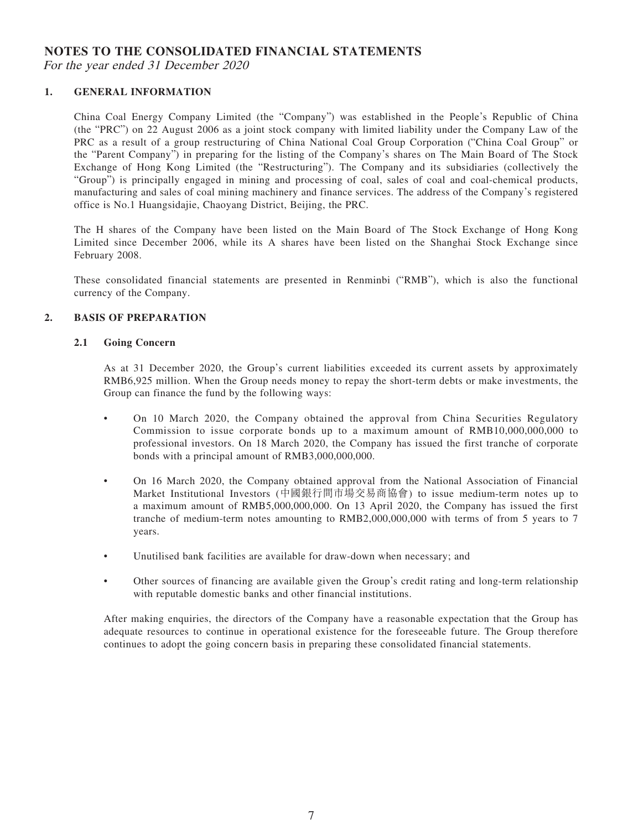# **NOTES TO THE CONSOLIDATED FINANCIAL STATEMENTS**

For the year ended 31 December 2020

#### **1. GENERAL INFORMATION**

China Coal Energy Company Limited (the "Company") was established in the People's Republic of China (the "PRC") on 22 August 2006 as a joint stock company with limited liability under the Company Law of the PRC as a result of a group restructuring of China National Coal Group Corporation ("China Coal Group" or the "Parent Company") in preparing for the listing of the Company's shares on The Main Board of The Stock Exchange of Hong Kong Limited (the "Restructuring"). The Company and its subsidiaries (collectively the "Group") is principally engaged in mining and processing of coal, sales of coal and coal-chemical products, manufacturing and sales of coal mining machinery and finance services. The address of the Company's registered office is No.1 Huangsidajie, Chaoyang District, Beijing, the PRC.

The H shares of the Company have been listed on the Main Board of The Stock Exchange of Hong Kong Limited since December 2006, while its A shares have been listed on the Shanghai Stock Exchange since February 2008.

These consolidated financial statements are presented in Renminbi ("RMB"), which is also the functional currency of the Company.

#### **2. BASIS OF PREPARATION**

#### **2.1 Going Concern**

As at 31 December 2020, the Group's current liabilities exceeded its current assets by approximately RMB6,925 million. When the Group needs money to repay the short-term debts or make investments, the Group can finance the fund by the following ways:

- On 10 March 2020, the Company obtained the approval from China Securities Regulatory Commission to issue corporate bonds up to a maximum amount of RMB10,000,000,000 to professional investors. On 18 March 2020, the Company has issued the first tranche of corporate bonds with a principal amount of RMB3,000,000,000.
- On 16 March 2020, the Company obtained approval from the National Association of Financial Market Institutional Investors (中國銀行間市場交易商協會) to issue medium-term notes up to a maximum amount of RMB5,000,000,000. On 13 April 2020, the Company has issued the first tranche of medium-term notes amounting to RMB2,000,000,000 with terms of from 5 years to 7 years.
- Unutilised bank facilities are available for draw-down when necessary; and
- Other sources of financing are available given the Group's credit rating and long-term relationship with reputable domestic banks and other financial institutions.

After making enquiries, the directors of the Company have a reasonable expectation that the Group has adequate resources to continue in operational existence for the foreseeable future. The Group therefore continues to adopt the going concern basis in preparing these consolidated financial statements.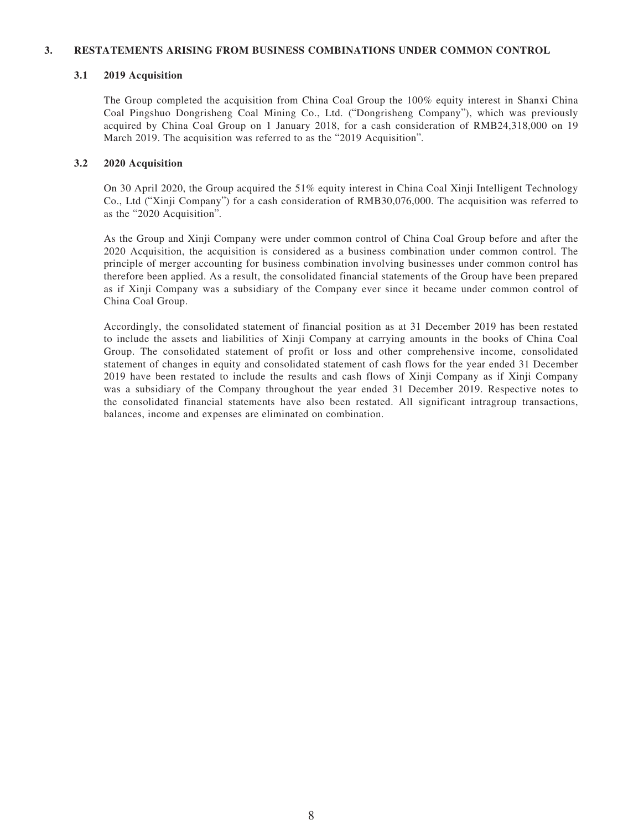#### **3. RESTATEMENTS ARISING FROM BUSINESS COMBINATIONS UNDER COMMON CONTROL**

#### **3.1 2019 Acquisition**

The Group completed the acquisition from China Coal Group the 100% equity interest in Shanxi China Coal Pingshuo Dongrisheng Coal Mining Co., Ltd. ("Dongrisheng Company"), which was previously acquired by China Coal Group on 1 January 2018, for a cash consideration of RMB24,318,000 on 19 March 2019. The acquisition was referred to as the "2019 Acquisition".

#### **3.2 2020 Acquisition**

On 30 April 2020, the Group acquired the 51% equity interest in China Coal Xinji Intelligent Technology Co., Ltd ("Xinji Company") for a cash consideration of RMB30,076,000. The acquisition was referred to as the "2020 Acquisition".

As the Group and Xinji Company were under common control of China Coal Group before and after the 2020 Acquisition, the acquisition is considered as a business combination under common control. The principle of merger accounting for business combination involving businesses under common control has therefore been applied. As a result, the consolidated financial statements of the Group have been prepared as if Xinji Company was a subsidiary of the Company ever since it became under common control of China Coal Group.

Accordingly, the consolidated statement of financial position as at 31 December 2019 has been restated to include the assets and liabilities of Xinji Company at carrying amounts in the books of China Coal Group. The consolidated statement of profit or loss and other comprehensive income, consolidated statement of changes in equity and consolidated statement of cash flows for the year ended 31 December 2019 have been restated to include the results and cash flows of Xinji Company as if Xinji Company was a subsidiary of the Company throughout the year ended 31 December 2019. Respective notes to the consolidated financial statements have also been restated. All significant intragroup transactions, balances, income and expenses are eliminated on combination.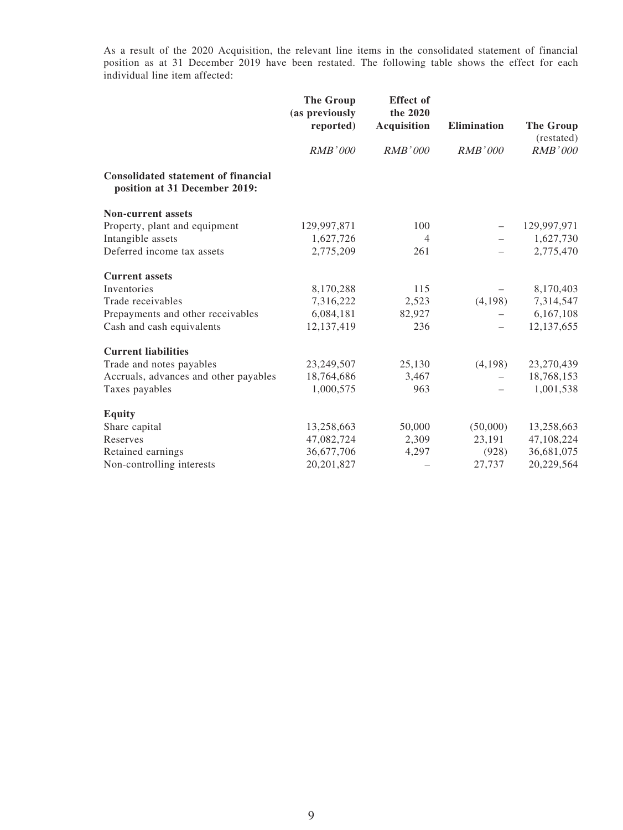As a result of the 2020 Acquisition, the relevant line items in the consolidated statement of financial position as at 31 December 2019 have been restated. The following table shows the effect for each individual line item affected:

|                                                                             | <b>The Group</b><br>(as previously<br>reported) | <b>Effect</b> of<br>the 2020<br><b>Acquisition</b> | <b>Elimination</b> | <b>The Group</b><br>(restated) |
|-----------------------------------------------------------------------------|-------------------------------------------------|----------------------------------------------------|--------------------|--------------------------------|
|                                                                             | <b>RMB'000</b>                                  | <b>RMB'000</b>                                     | <b>RMB'000</b>     | <b>RMB'000</b>                 |
| <b>Consolidated statement of financial</b><br>position at 31 December 2019: |                                                 |                                                    |                    |                                |
| <b>Non-current assets</b>                                                   |                                                 |                                                    |                    |                                |
| Property, plant and equipment                                               | 129,997,871                                     | 100                                                |                    | 129,997,971                    |
| Intangible assets                                                           | 1,627,726                                       | $\overline{4}$                                     |                    | 1,627,730                      |
| Deferred income tax assets                                                  | 2,775,209                                       | 261                                                |                    | 2,775,470                      |
| <b>Current assets</b>                                                       |                                                 |                                                    |                    |                                |
| Inventories                                                                 | 8,170,288                                       | 115                                                |                    | 8,170,403                      |
| Trade receivables                                                           | 7,316,222                                       | 2,523                                              | (4,198)            | 7,314,547                      |
| Prepayments and other receivables                                           | 6,084,181                                       | 82,927                                             |                    | 6,167,108                      |
| Cash and cash equivalents                                                   | 12,137,419                                      | 236                                                |                    | 12,137,655                     |
| <b>Current liabilities</b>                                                  |                                                 |                                                    |                    |                                |
| Trade and notes payables                                                    | 23,249,507                                      | 25,130                                             | (4,198)            | 23,270,439                     |
| Accruals, advances and other payables                                       | 18,764,686                                      | 3,467                                              |                    | 18,768,153                     |
| Taxes payables                                                              | 1,000,575                                       | 963                                                |                    | 1,001,538                      |
| <b>Equity</b>                                                               |                                                 |                                                    |                    |                                |
| Share capital                                                               | 13,258,663                                      | 50,000                                             | (50,000)           | 13,258,663                     |
| Reserves                                                                    | 47,082,724                                      | 2,309                                              | 23,191             | 47,108,224                     |
| Retained earnings                                                           | 36,677,706                                      | 4,297                                              | (928)              | 36,681,075                     |
| Non-controlling interests                                                   | 20,201,827                                      |                                                    | 27,737             | 20,229,564                     |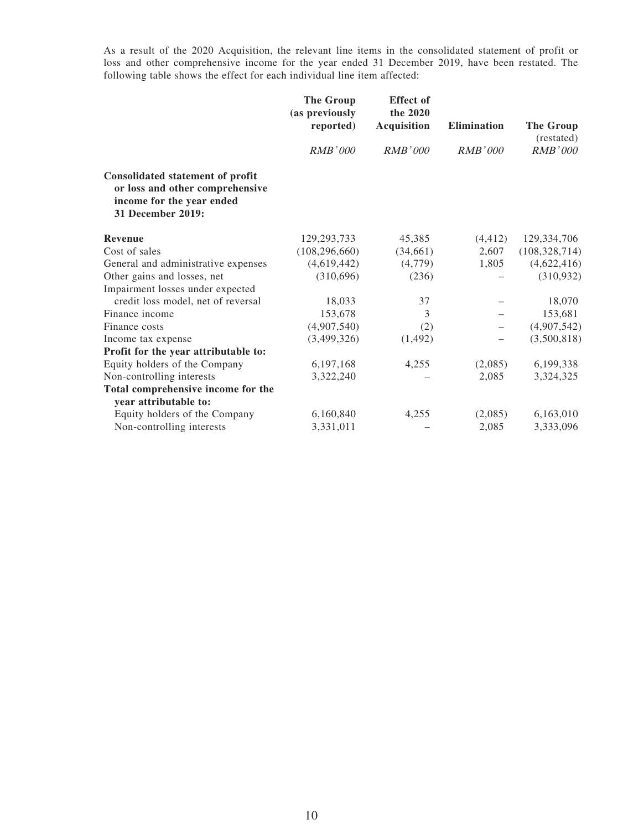As a result of the 2020 Acquisition, the relevant line items in the consolidated statement of profit or loss and other comprehensive income for the year ended 31 December 2019, have been restated. The following table shows the effect for each individual line item affected:

|                                                                                                                              | <b>The Group</b><br>(as previously<br>reported) | <b>Effect</b> of<br>the 2020<br><b>Acquisition</b> |                          | The Group                    |  |
|------------------------------------------------------------------------------------------------------------------------------|-------------------------------------------------|----------------------------------------------------|--------------------------|------------------------------|--|
|                                                                                                                              | <b>RMB'000</b>                                  | <b>RMB'000</b>                                     | <b>RMB'000</b>           | (restated)<br><b>RMB'000</b> |  |
| <b>Consolidated statement of profit</b><br>or loss and other comprehensive<br>income for the year ended<br>31 December 2019: |                                                 |                                                    |                          |                              |  |
| <b>Revenue</b>                                                                                                               | 129,293,733                                     | 45,385                                             | (4, 412)                 | 129,334,706                  |  |
| Cost of sales                                                                                                                | (108, 296, 660)                                 | (34,661)                                           | 2,607                    | (108, 328, 714)              |  |
| General and administrative expenses                                                                                          | (4,619,442)                                     | (4,779)                                            | 1,805                    | (4,622,416)                  |  |
| Other gains and losses, net                                                                                                  | (310,696)                                       | (236)                                              |                          | (310, 932)                   |  |
| Impairment losses under expected                                                                                             |                                                 |                                                    |                          |                              |  |
| credit loss model, net of reversal                                                                                           | 18,033                                          | 37                                                 |                          | 18,070                       |  |
| Finance income                                                                                                               | 153,678                                         | 3                                                  |                          | 153,681                      |  |
| Finance costs                                                                                                                | (4,907,540)                                     | (2)                                                | $\qquad \qquad -$        | (4,907,542)                  |  |
| Income tax expense                                                                                                           | (3,499,326)                                     | (1, 492)                                           | $\overline{\phantom{0}}$ | (3,500,818)                  |  |
| Profit for the year attributable to:                                                                                         |                                                 |                                                    |                          |                              |  |
| Equity holders of the Company                                                                                                | 6,197,168                                       | 4,255                                              | (2,085)                  | 6,199,338                    |  |
| Non-controlling interests                                                                                                    | 3,322,240                                       |                                                    | 2,085                    | 3,324,325                    |  |
| Total comprehensive income for the                                                                                           |                                                 |                                                    |                          |                              |  |
| year attributable to:                                                                                                        |                                                 |                                                    |                          |                              |  |
| Equity holders of the Company                                                                                                | 6,160,840                                       | 4,255                                              | (2,085)                  | 6,163,010                    |  |
| Non-controlling interests                                                                                                    | 3,331,011                                       |                                                    | 2,085                    | 3,333,096                    |  |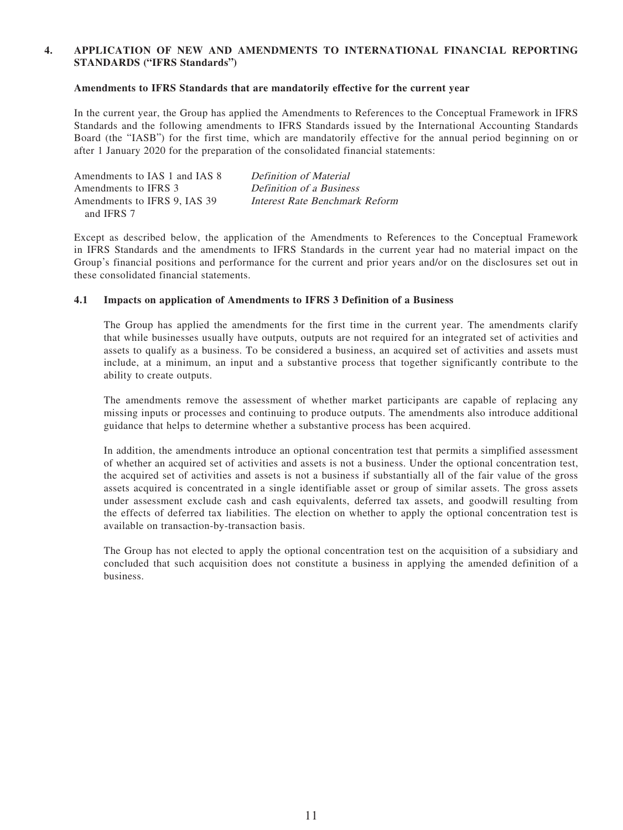#### **4. APPLICATION OF NEW AND AMENDMENTS TO INTERNATIONAL FINANCIAL REPORTING STANDARDS ("IFRS Standards")**

#### **Amendments to IFRS Standards that are mandatorily effective for the current year**

In the current year, the Group has applied the Amendments to References to the Conceptual Framework in IFRS Standards and the following amendments to IFRS Standards issued by the International Accounting Standards Board (the "IASB") for the first time, which are mandatorily effective for the annual period beginning on or after 1 January 2020 for the preparation of the consolidated financial statements:

| Amendments to IAS 1 and IAS 8 | Definition of Material         |
|-------------------------------|--------------------------------|
| Amendments to IFRS 3          | Definition of a Business       |
| Amendments to IFRS 9. IAS 39  | Interest Rate Benchmark Reform |
| and IFRS 7                    |                                |

Except as described below, the application of the Amendments to References to the Conceptual Framework in IFRS Standards and the amendments to IFRS Standards in the current year had no material impact on the Group's financial positions and performance for the current and prior years and/or on the disclosures set out in these consolidated financial statements.

#### **4.1 Impacts on application of Amendments to IFRS 3 Definition of a Business**

The Group has applied the amendments for the first time in the current year. The amendments clarify that while businesses usually have outputs, outputs are not required for an integrated set of activities and assets to qualify as a business. To be considered a business, an acquired set of activities and assets must include, at a minimum, an input and a substantive process that together significantly contribute to the ability to create outputs.

The amendments remove the assessment of whether market participants are capable of replacing any missing inputs or processes and continuing to produce outputs. The amendments also introduce additional guidance that helps to determine whether a substantive process has been acquired.

In addition, the amendments introduce an optional concentration test that permits a simplified assessment of whether an acquired set of activities and assets is not a business. Under the optional concentration test, the acquired set of activities and assets is not a business if substantially all of the fair value of the gross assets acquired is concentrated in a single identifiable asset or group of similar assets. The gross assets under assessment exclude cash and cash equivalents, deferred tax assets, and goodwill resulting from the effects of deferred tax liabilities. The election on whether to apply the optional concentration test is available on transaction-by-transaction basis.

The Group has not elected to apply the optional concentration test on the acquisition of a subsidiary and concluded that such acquisition does not constitute a business in applying the amended definition of a business.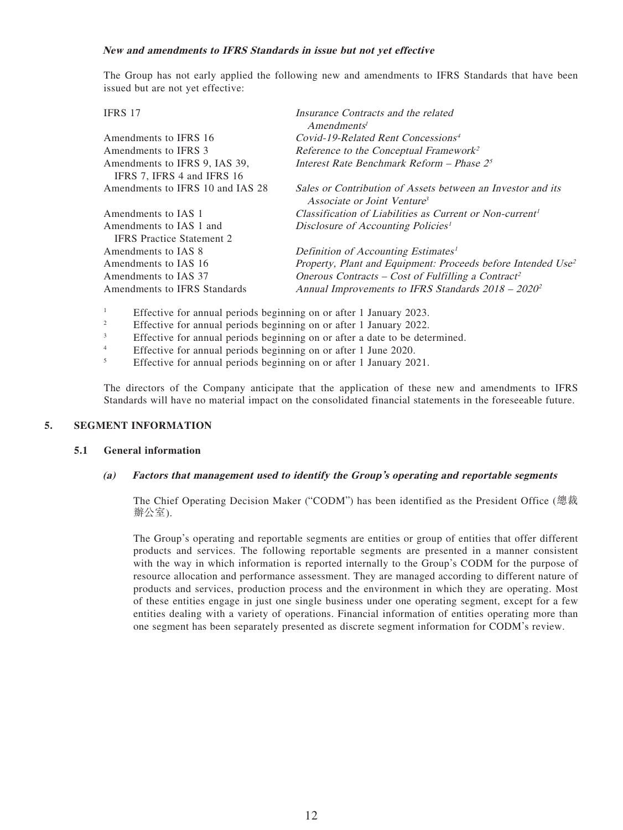#### **New and amendments to IFRS Standards in issue but not yet effective**

The Group has not early applied the following new and amendments to IFRS Standards that have been issued but are not yet effective:

| <b>IFRS 17</b>                   | Insurance Contracts and the related                                                                    |
|----------------------------------|--------------------------------------------------------------------------------------------------------|
|                                  | $A$ mendments <sup>1</sup>                                                                             |
| Amendments to IFRS 16            | Covid-19-Related Rent Concessions <sup>4</sup>                                                         |
| Amendments to IFRS 3             | Reference to the Conceptual Framework <sup>2</sup>                                                     |
| Amendments to IFRS 9, IAS 39,    | Interest Rate Benchmark Reform – Phase $2^5$                                                           |
| IFRS 7, IFRS 4 and IFRS 16       |                                                                                                        |
| Amendments to IFRS 10 and IAS 28 | Sales or Contribution of Assets between an Investor and its<br>Associate or Joint Venture <sup>3</sup> |
| Amendments to IAS 1              | Classification of Liabilities as Current or Non-current <sup>1</sup>                                   |
| Amendments to IAS 1 and          | Disclosure of Accounting Policies <sup>1</sup>                                                         |
| <b>IFRS</b> Practice Statement 2 |                                                                                                        |
| Amendments to IAS 8              | Definition of Accounting Estimates <sup>1</sup>                                                        |
| Amendments to IAS 16             | Property, Plant and Equipment: Proceeds before Intended Use <sup>2</sup>                               |
| Amendments to IAS 37             | Onerous Contracts – Cost of Fulfilling a Contract <sup>2</sup>                                         |
| Amendments to IFRS Standards     | Annual Improvements to IFRS Standards $2018 - 2020^2$                                                  |
|                                  |                                                                                                        |

1 Effective for annual periods beginning on or after 1 January 2023.

- 2 Effective for annual periods beginning on or after 1 January 2022.
- 3 Effective for annual periods beginning on or after a date to be determined.

4 Effective for annual periods beginning on or after 1 June 2020.

5 Effective for annual periods beginning on or after 1 January 2021.

The directors of the Company anticipate that the application of these new and amendments to IFRS Standards will have no material impact on the consolidated financial statements in the foreseeable future.

### **5. SEGMENT INFORMATION**

#### **5.1 General information**

#### **(a) Factors that management used to identify the Group's operating and reportable segments**

The Chief Operating Decision Maker ("CODM") has been identified as the President Office (總裁 辦公室).

The Group's operating and reportable segments are entities or group of entities that offer different products and services. The following reportable segments are presented in a manner consistent with the way in which information is reported internally to the Group's CODM for the purpose of resource allocation and performance assessment. They are managed according to different nature of products and services, production process and the environment in which they are operating. Most of these entities engage in just one single business under one operating segment, except for a few entities dealing with a variety of operations. Financial information of entities operating more than one segment has been separately presented as discrete segment information for CODM's review.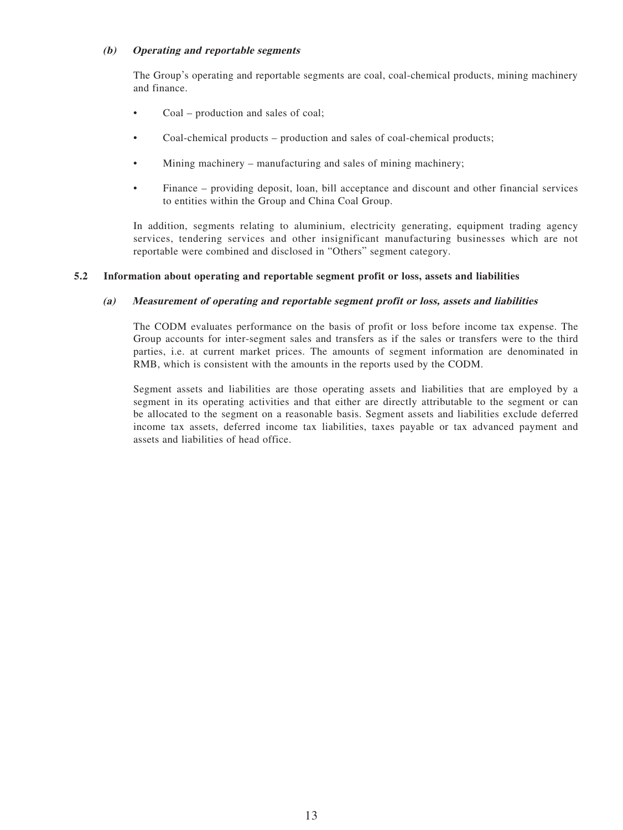#### **(b) Operating and reportable segments**

The Group's operating and reportable segments are coal, coal-chemical products, mining machinery and finance.

- Coal production and sales of coal;
- Coal-chemical products production and sales of coal-chemical products;
- Mining machinery manufacturing and sales of mining machinery;
- Finance providing deposit, loan, bill acceptance and discount and other financial services to entities within the Group and China Coal Group.

In addition, segments relating to aluminium, electricity generating, equipment trading agency services, tendering services and other insignificant manufacturing businesses which are not reportable were combined and disclosed in "Others" segment category.

#### **5.2 Information about operating and reportable segment profit or loss, assets and liabilities**

#### **(a) Measurement of operating and reportable segment profit or loss, assets and liabilities**

The CODM evaluates performance on the basis of profit or loss before income tax expense. The Group accounts for inter-segment sales and transfers as if the sales or transfers were to the third parties, i.e. at current market prices. The amounts of segment information are denominated in RMB, which is consistent with the amounts in the reports used by the CODM.

Segment assets and liabilities are those operating assets and liabilities that are employed by a segment in its operating activities and that either are directly attributable to the segment or can be allocated to the segment on a reasonable basis. Segment assets and liabilities exclude deferred income tax assets, deferred income tax liabilities, taxes payable or tax advanced payment and assets and liabilities of head office.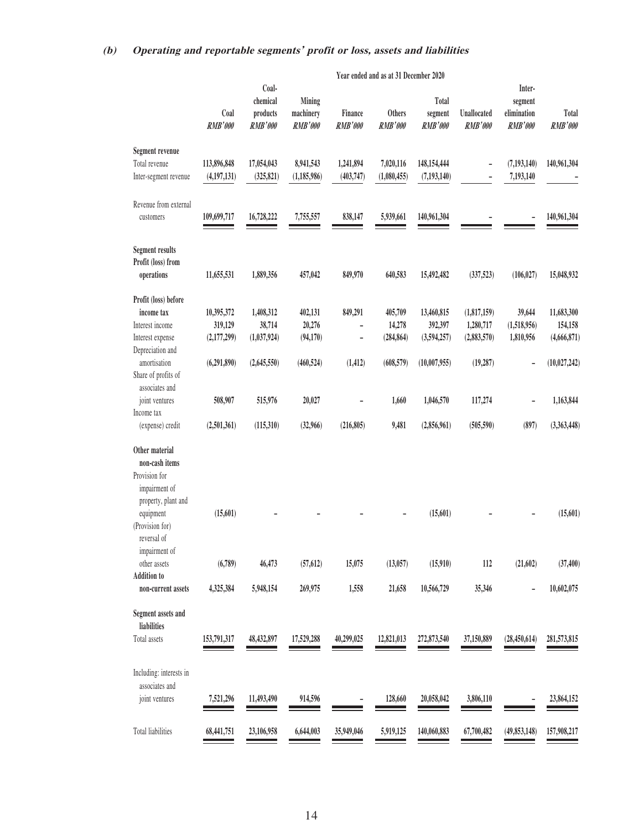# **(b) Operating and reportable segments' profit or loss, assets and liabilities**

|                                                                                           |                              |                                                 |                                       |                           | Year ended and as at 31 December 2020 |                              |                               |                                                    |                         |
|-------------------------------------------------------------------------------------------|------------------------------|-------------------------------------------------|---------------------------------------|---------------------------|---------------------------------------|------------------------------|-------------------------------|----------------------------------------------------|-------------------------|
|                                                                                           | Coal<br>RMB'000              | Coal-<br>chemical<br>products<br><b>RMB'000</b> | Mining<br>machinery<br><b>RMB'000</b> | Finance<br><b>RMB'000</b> | Others<br><b>RMB'000</b>              | Total<br>segment<br>RMB'000  | Unallocated<br><b>RMB'000</b> | Inter-<br>segment<br>elimination<br><b>RMB'000</b> | Total<br><b>RMB'000</b> |
| Segment revenue<br>Total revenue<br>Inter-segment revenue                                 | 113,896,848<br>(4, 197, 131) | 17,054,043<br>(325, 821)                        | 8,941,543<br>(1, 185, 986)            | 1,241,894<br>(403, 747)   | 7,020,116<br>(1,080,455)              | 148,154,444<br>(7, 193, 140) |                               | (7, 193, 140)<br>7,193,140                         | 140,961,304             |
| Revenue from external<br>customers                                                        | 109,699,717                  | 16,728,222                                      | 7,755,557                             | 838,147                   | 5,939,661                             | 140,961,304                  |                               |                                                    | 140,961,304             |
|                                                                                           |                              |                                                 |                                       |                           |                                       |                              |                               |                                                    |                         |
| <b>Segment results</b><br>Profit (loss) from                                              |                              |                                                 |                                       |                           |                                       |                              |                               |                                                    |                         |
| operations                                                                                | 11,655,531                   | 1,889,356                                       | 457,042                               | 849,970                   | 640,583                               | 15,492,482                   | (337, 523)                    | (106, 027)                                         | 15,048,932              |
| Profit (loss) before<br>income tax<br>Interest income                                     | 10,395,372<br>319,129        | 1,408,312<br>38,714                             | 402,131<br>20,276                     | 849,291                   | 405,709<br>14,278                     | 13,460,815<br>392,397        | (1,817,159)<br>1,280,717      | 39,644<br>(1,518,956)                              | 11,683,300<br>154,158   |
| Interest expense<br>Depreciation and                                                      | (2,177,299)                  | (1,037,924)                                     | (94, 170)                             | $\overline{\phantom{a}}$  | (284, 864)                            | (3,594,257)                  | (2,883,570)                   | 1,810,956                                          | (4,666,871)             |
| amortisation<br>Share of profits of<br>associates and                                     | (6,291,890)                  | (2,645,550)                                     | (460, 524)                            | (1, 412)                  | (608, 579)                            | (10,007,955)                 | (19, 287)                     |                                                    | (10, 027, 242)          |
| joint ventures                                                                            | 508,907                      | 515,976                                         | 20,027                                |                           | 1,660                                 | 1,046,570                    | 117,274                       |                                                    | 1,163,844               |
| Income tax<br>(expense) credit                                                            | (2,501,361)                  | (115,310)                                       | (32,966)                              | (216, 805)                | 9,481                                 | (2,856,961)                  | (505, 590)                    | (897)                                              | (3,363,448)             |
| Other material<br>non-cash items<br>Provision for<br>impairment of<br>property, plant and |                              |                                                 |                                       |                           |                                       |                              |                               |                                                    |                         |
| equipment<br>(Provision for)<br>reversal of                                               | (15, 601)                    |                                                 |                                       |                           |                                       | (15,601)                     |                               |                                                    | (15, 601)               |
| impairment of<br>other assets                                                             | (6,789)                      | 46,473                                          | (57, 612)                             | 15,075                    | (13, 057)                             | (15,910)                     | 112                           | (21,602)                                           | (37, 400)               |
| <b>Addition to</b><br>non-current assets                                                  | 4,325,384                    | 5,948,154                                       | 269,975                               | 1,558                     | 21,658                                | 10,566,729                   | 35,346                        |                                                    | 10,602,075              |
| Segment assets and<br>liabilities                                                         |                              |                                                 |                                       |                           |                                       |                              |                               |                                                    |                         |
| Total assets                                                                              | 153,791,317                  | 48,432,897                                      | 17,529,288                            | 40,299,025                | 12,821,013                            | 272,873,540                  | 37,150,889                    | (28, 450, 614)                                     | 281,573,815             |
| Including: interests in<br>associates and                                                 |                              |                                                 |                                       |                           |                                       |                              |                               |                                                    |                         |
| joint ventures                                                                            | 7,521,296                    | 11,493,490                                      | 914,596                               |                           | 128,660                               | 20,058,042                   | 3,806,110                     |                                                    | 23,864,152              |
| Total liabilities                                                                         | 68,441,751                   | 23,106,958                                      | 6,644,003                             | 35,949,046                | 5,919,125                             | 140,060,883                  | 67,700,482                    | (49, 853, 148)                                     | 157,908,217             |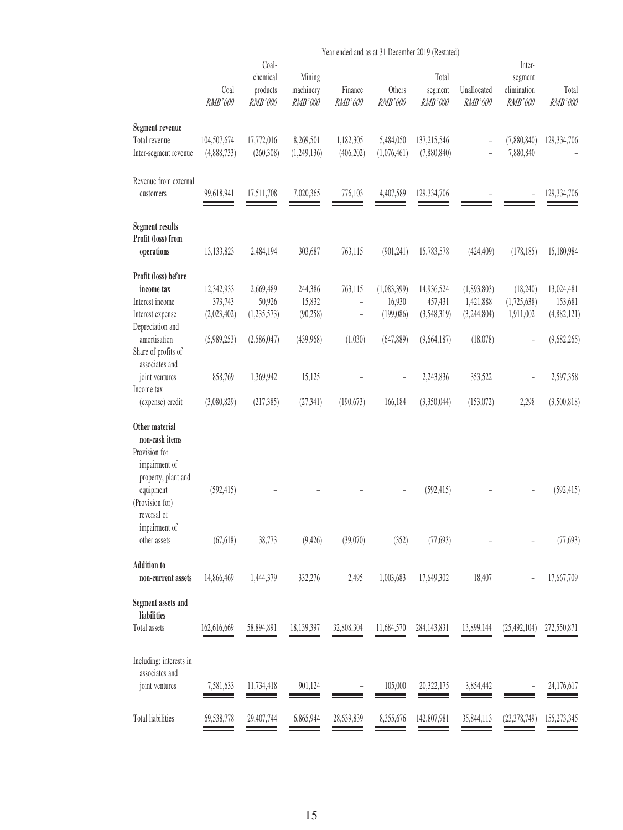|                                                                                        |                                      |                                          |                                | Year ended and as at 31 December 2019 (Restated) |                                    |                                      |                                         |                                             |                                      |
|----------------------------------------------------------------------------------------|--------------------------------------|------------------------------------------|--------------------------------|--------------------------------------------------|------------------------------------|--------------------------------------|-----------------------------------------|---------------------------------------------|--------------------------------------|
|                                                                                        | Coal<br>RMB'000                      | Coal-<br>chemical<br>products<br>RMB'000 | Mining<br>machinery<br>RMB'000 | Finance<br>RMB'000                               | Others<br>RMB'000                  | Total<br>segment<br>RMB'000          | Unallocated<br>RMB'000                  | Inter-<br>segment<br>elimination<br>RMB'000 | Total<br>RMB'000                     |
| <b>Segment revenue</b><br>Total revenue<br>Inter-segment revenue                       | 104,507,674<br>(4,888,733)           | 17,772,016<br>(260, 308)                 | 8,269,501<br>(1,249,136)       | 1,182,305<br>(406, 202)                          | 5,484,050<br>(1,076,461)           | 137,215,546<br>(7,880,840)           | -                                       | (7,880,840)<br>7,880,840                    | 129,334,706                          |
| Revenue from external<br>customers                                                     | 99,618,941                           | 17,511,708                               | 7,020,365                      | 776,103                                          | 4,407,589                          | 129,334,706                          |                                         |                                             | 129,334,706                          |
| <b>Segment results</b><br>Profit (loss) from<br>operations                             | 13,133,823                           | 2,484,194                                | 303,687                        | 763,115                                          | (901, 241)                         | 15,783,578                           | (424, 409)                              | (178, 185)                                  | 15,180,984                           |
| Profit (loss) before<br>income tax<br>Interest income<br>Interest expense              | 12,342,933<br>373,743<br>(2,023,402) | 2,669,489<br>50,926<br>(1,235,573)       | 244,386<br>15,832<br>(90, 258) | 763,115<br>$\overline{a}$                        | (1,083,399)<br>16,930<br>(199,086) | 14,936,524<br>457,431<br>(3,548,319) | (1,893,803)<br>1,421,888<br>(3,244,804) | (18,240)<br>(1,725,638)<br>1,911,002        | 13,024,481<br>153,681<br>(4,882,121) |
| Depreciation and<br>amortisation<br>Share of profits of<br>associates and              | (5,989,253)                          | (2,586,047)                              | (439,968)                      | (1,030)                                          | (647,889)                          | (9,664,187)                          | (18,078)                                |                                             | (9,682,265)                          |
| joint ventures<br>Income tax                                                           | 858,769                              | 1,369,942                                | 15,125                         |                                                  |                                    | 2,243,836                            | 353,522                                 |                                             | 2,597,358                            |
| (expense) credit<br>Other material<br>non-cash items<br>Provision for<br>impairment of | (3,080,829)                          | (217, 385)                               | (27, 341)                      | (190, 673)                                       | 166,184                            | (3,350,044)                          | (153,072)                               | 2,298                                       | (3,500,818)                          |
| property, plant and<br>equipment<br>(Provision for)<br>reversal of                     | (592, 415)                           |                                          |                                |                                                  |                                    | (592, 415)                           |                                         |                                             | (592, 415)                           |
| impairment of<br>other assets                                                          | (67, 618)                            | 38,773                                   | (9, 426)                       | (39,070)                                         | (352)                              | (77, 693)                            |                                         |                                             | (77, 693)                            |
| <b>Addition</b> to<br>non-current assets                                               | 14,866,469                           | 1,444,379                                | 332,276                        | 2,495                                            | 1,003,683                          | 17,649,302                           | 18,407                                  |                                             | 17,667,709                           |
| Segment assets and<br>liabilities<br>Total assets                                      | 162,616,669                          | 58,894,891                               | 18,139,397                     | 32,808,304                                       | 11,684,570                         | 284, 143, 831                        | 13,899,144                              | (25, 492, 104)                              | 272,550,871                          |
| Including: interests in<br>associates and<br>joint ventures                            | 7,581,633                            | 11,734,418                               | 901,124                        | $\qquad \qquad -$                                | 105,000                            | 20,322,175                           | 3,854,442                               |                                             | 24,176,617                           |
| <b>Total liabilities</b>                                                               | 69,538,778                           | 29,407,744                               | 6,865,944                      | 28,639,839                                       | 8,355,676                          | 142,807,981                          | 35,844,113                              | (23, 378, 749)                              | 155,273,345                          |

 $\sim$   $\sim$   $\sim$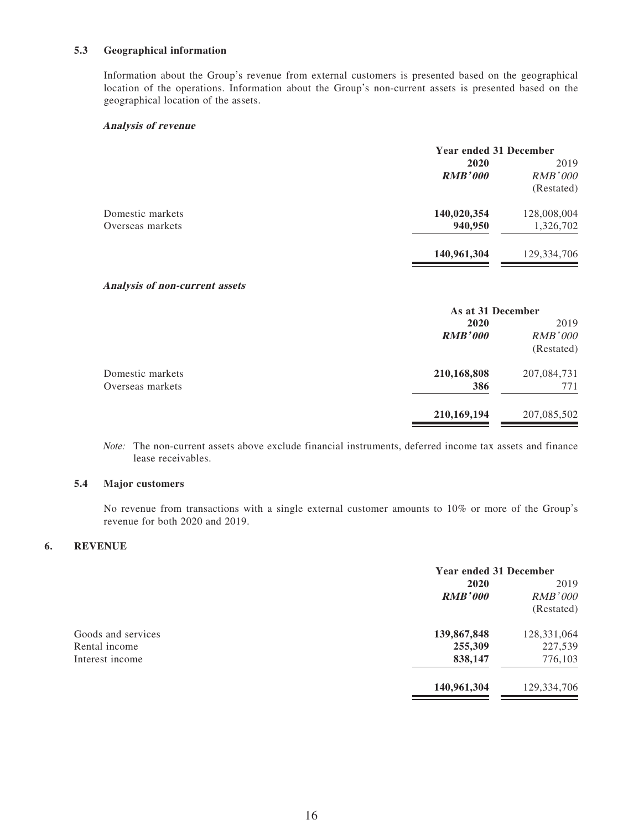#### **5.3 Geographical information**

Information about the Group's revenue from external customers is presented based on the geographical location of the operations. Information about the Group's non-current assets is presented based on the geographical location of the assets.

#### **Analysis of revenue**

|                  | <b>Year ended 31 December</b> |                |  |
|------------------|-------------------------------|----------------|--|
|                  | 2020                          | 2019           |  |
|                  | <b>RMB'000</b>                | <i>RMB'000</i> |  |
|                  |                               | (Restated)     |  |
| Domestic markets | 140,020,354                   | 128,008,004    |  |
| Overseas markets | 940,950                       | 1,326,702      |  |
|                  | 140,961,304                   | 129,334,706    |  |

#### **Analysis of non-current assets**

|                  |                | As at 31 December |  |
|------------------|----------------|-------------------|--|
|                  | 2020           | 2019              |  |
|                  | <b>RMB'000</b> | <b>RMB'000</b>    |  |
|                  |                | (Restated)        |  |
| Domestic markets | 210,168,808    | 207,084,731       |  |
| Overseas markets | 386            | 771               |  |
|                  | 210,169,194    | 207,085,502       |  |

Note: The non-current assets above exclude financial instruments, deferred income tax assets and finance lease receivables.

#### **5.4 Major customers**

No revenue from transactions with a single external customer amounts to 10% or more of the Group's revenue for both 2020 and 2019.

#### **6. REVENUE**

|                    | <b>Year ended 31 December</b> |                |  |
|--------------------|-------------------------------|----------------|--|
|                    | 2020                          | 2019           |  |
|                    | <b>RMB'000</b>                | <b>RMB'000</b> |  |
|                    |                               | (Restated)     |  |
| Goods and services | 139,867,848                   | 128, 331, 064  |  |
| Rental income      | 255,309                       | 227,539        |  |
| Interest income    | 838,147                       | 776,103        |  |
|                    | 140,961,304                   | 129, 334, 706  |  |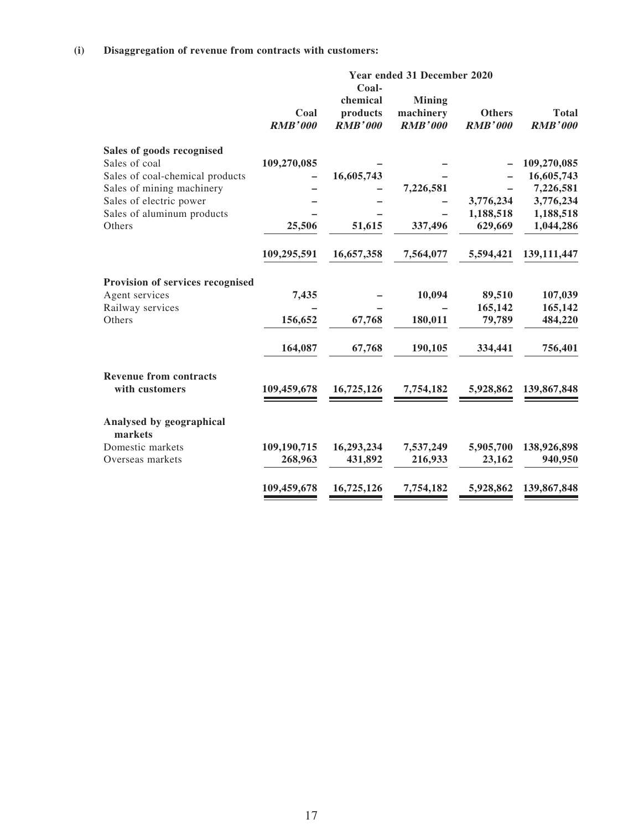# **(i) Disaggregation of revenue from contracts with customers:**

| Year ended 31 December 2020      |                                        |                                              |                                   |                                                |
|----------------------------------|----------------------------------------|----------------------------------------------|-----------------------------------|------------------------------------------------|
| Coal<br><b>RMB'000</b>           | chemical<br>products<br><b>RMB'000</b> | <b>Mining</b><br>machinery<br><b>RMB'000</b> | <b>Others</b><br><b>RMB'000</b>   | <b>Total</b><br><b>RMB'000</b>                 |
|                                  |                                        |                                              |                                   |                                                |
| 109,270,085                      |                                        |                                              |                                   | 109,270,085                                    |
|                                  |                                        |                                              |                                   | 16,605,743                                     |
|                                  |                                        |                                              |                                   | 7,226,581                                      |
|                                  |                                        |                                              |                                   | 3,776,234                                      |
|                                  |                                        |                                              |                                   | 1,188,518                                      |
|                                  |                                        |                                              |                                   | 1,044,286                                      |
| 109,295,591                      | 16,657,358                             | 7,564,077                                    | 5,594,421                         | 139,111,447                                    |
|                                  |                                        |                                              |                                   |                                                |
| 7,435                            |                                        | 10,094                                       | 89,510                            | 107,039                                        |
|                                  |                                        |                                              | 165,142                           | 165,142                                        |
| 156,652                          | 67,768                                 | 180,011                                      | 79,789                            | 484,220                                        |
| 164,087                          | 67,768                                 | 190,105                                      | 334,441                           | 756,401                                        |
| 109,459,678                      | 16,725,126                             | 7,754,182                                    | 5,928,862                         | 139,867,848                                    |
|                                  |                                        |                                              |                                   |                                                |
|                                  |                                        |                                              |                                   | 138,926,898                                    |
| 268,963                          | 431,892                                | 216,933                                      | 23,162                            | 940,950                                        |
| 109,459,678                      | 16,725,126                             | 7,754,182                                    | 5,928,862                         | 139,867,848                                    |
| Provision of services recognised | 25,506<br>109,190,715                  | Coal-<br>16,605,743<br>51,615<br>16,293,234  | 7,226,581<br>337,496<br>7,537,249 | 3,776,234<br>1,188,518<br>629,669<br>5,905,700 |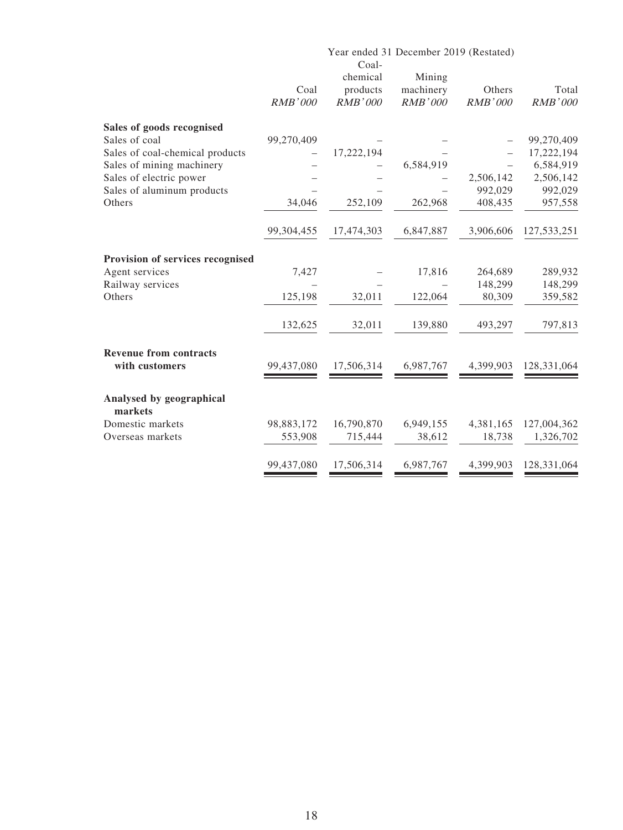|                                     |                |                   | Year ended 31 December 2019 (Restated) |                |                |
|-------------------------------------|----------------|-------------------|----------------------------------------|----------------|----------------|
|                                     |                | Coal-<br>chemical | Mining                                 |                |                |
|                                     | Coal           | products          | machinery                              | Others         | Total          |
|                                     | <b>RMB'000</b> | <b>RMB'000</b>    | <b>RMB'000</b>                         | <b>RMB'000</b> | <b>RMB'000</b> |
| Sales of goods recognised           |                |                   |                                        |                |                |
| Sales of coal                       | 99,270,409     |                   |                                        |                | 99,270,409     |
| Sales of coal-chemical products     |                | 17,222,194        |                                        |                | 17,222,194     |
| Sales of mining machinery           |                |                   | 6,584,919                              |                | 6,584,919      |
| Sales of electric power             |                |                   |                                        | 2,506,142      | 2,506,142      |
| Sales of aluminum products          |                |                   |                                        | 992,029        | 992,029        |
| Others                              | 34,046         | 252,109           | 262,968                                | 408,435        | 957,558        |
|                                     | 99,304,455     | 17,474,303        | 6,847,887                              | 3,906,606      | 127,533,251    |
| Provision of services recognised    |                |                   |                                        |                |                |
| Agent services                      | 7,427          |                   | 17,816                                 | 264,689        | 289,932        |
| Railway services                    |                |                   |                                        | 148,299        | 148,299        |
| Others                              | 125,198        | 32,011            | 122,064                                | 80,309         | 359,582        |
|                                     | 132,625        | 32,011            | 139,880                                | 493,297        | 797,813        |
| <b>Revenue from contracts</b>       |                |                   |                                        |                |                |
| with customers                      | 99,437,080     | 17,506,314        | 6,987,767                              | 4,399,903      | 128,331,064    |
| Analysed by geographical<br>markets |                |                   |                                        |                |                |
| Domestic markets                    | 98,883,172     | 16,790,870        | 6,949,155                              | 4,381,165      | 127,004,362    |
| Overseas markets                    | 553,908        | 715,444           | 38,612                                 | 18,738         | 1,326,702      |
|                                     | 99,437,080     | 17,506,314        | 6,987,767                              | 4,399,903      | 128,331,064    |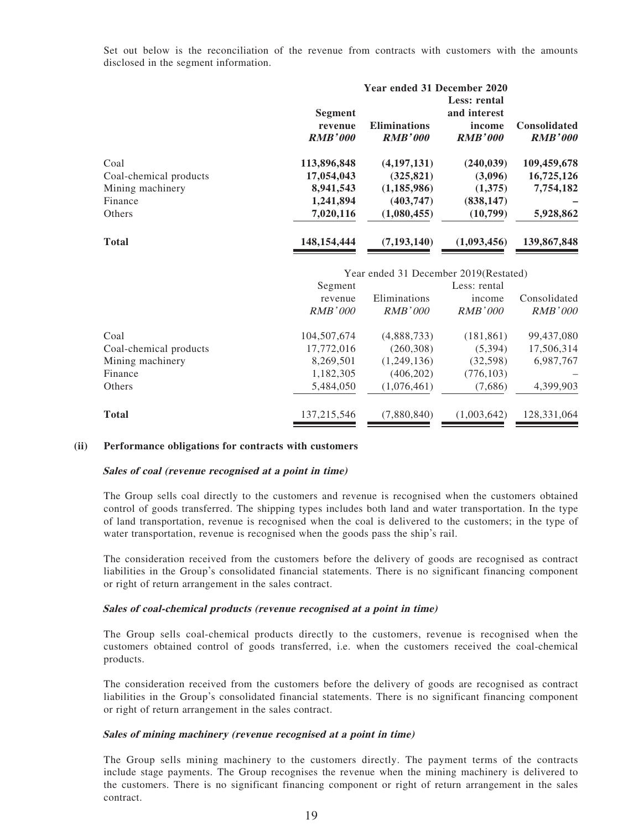Set out below is the reconciliation of the revenue from contracts with customers with the amounts disclosed in the segment information.

|                        | Year ended 31 December 2020                 |                                       |                                                          |                                       |  |  |
|------------------------|---------------------------------------------|---------------------------------------|----------------------------------------------------------|---------------------------------------|--|--|
|                        | <b>Segment</b><br>revenue<br><b>RMB'000</b> | <b>Eliminations</b><br><b>RMB'000</b> | Less: rental<br>and interest<br>income<br><b>RMB'000</b> | <b>Consolidated</b><br><b>RMB'000</b> |  |  |
| Coal                   | 113,896,848                                 | (4,197,131)                           | (240, 039)                                               | 109,459,678                           |  |  |
| Coal-chemical products | 17,054,043                                  | (325, 821)                            | (3,096)                                                  | 16,725,126                            |  |  |
| Mining machinery       | 8,941,543                                   | (1, 185, 986)                         | (1,375)                                                  | 7,754,182                             |  |  |
| Finance                | 1,241,894                                   | (403, 747)                            | (838, 147)                                               |                                       |  |  |
| <b>Others</b>          | 7,020,116                                   | (1,080,455)                           | (10,799)                                                 | 5,928,862                             |  |  |
| <b>Total</b>           | 148, 154, 444                               | (7, 193, 140)                         | (1,093,456)                                              | 139,867,848                           |  |  |

|                        | Year ended 31 December 2019 (Restated) |              |              |              |  |  |
|------------------------|----------------------------------------|--------------|--------------|--------------|--|--|
|                        | Segment                                |              | Less: rental |              |  |  |
|                        | revenue                                | Eliminations | income       | Consolidated |  |  |
|                        | RMB'000                                | RMB'000      | RMB'000      | RMB'000      |  |  |
| Coal                   | 104,507,674                            | (4,888,733)  | (181, 861)   | 99,437,080   |  |  |
| Coal-chemical products | 17,772,016                             | (260, 308)   | (5,394)      | 17,506,314   |  |  |
| Mining machinery       | 8,269,501                              | (1,249,136)  | (32, 598)    | 6,987,767    |  |  |
| Finance                | 1,182,305                              | (406, 202)   | (776, 103)   |              |  |  |
| <b>Others</b>          | 5,484,050                              | (1,076,461)  | (7,686)      | 4,399,903    |  |  |
| <b>Total</b>           | 137, 215, 546                          | (7,880,840)  | (1.003.642)  | 128,331,064  |  |  |

#### **(ii) Performance obligations for contracts with customers**

#### **Sales of coal (revenue recognised at a point in time)**

The Group sells coal directly to the customers and revenue is recognised when the customers obtained control of goods transferred. The shipping types includes both land and water transportation. In the type of land transportation, revenue is recognised when the coal is delivered to the customers; in the type of water transportation, revenue is recognised when the goods pass the ship's rail.

The consideration received from the customers before the delivery of goods are recognised as contract liabilities in the Group's consolidated financial statements. There is no significant financing component or right of return arrangement in the sales contract.

#### **Sales of coal-chemical products (revenue recognised at a point in time)**

The Group sells coal-chemical products directly to the customers, revenue is recognised when the customers obtained control of goods transferred, i.e. when the customers received the coal-chemical products.

The consideration received from the customers before the delivery of goods are recognised as contract liabilities in the Group's consolidated financial statements. There is no significant financing component or right of return arrangement in the sales contract.

#### **Sales of mining machinery (revenue recognised at a point in time)**

The Group sells mining machinery to the customers directly. The payment terms of the contracts include stage payments. The Group recognises the revenue when the mining machinery is delivered to the customers. There is no significant financing component or right of return arrangement in the sales contract.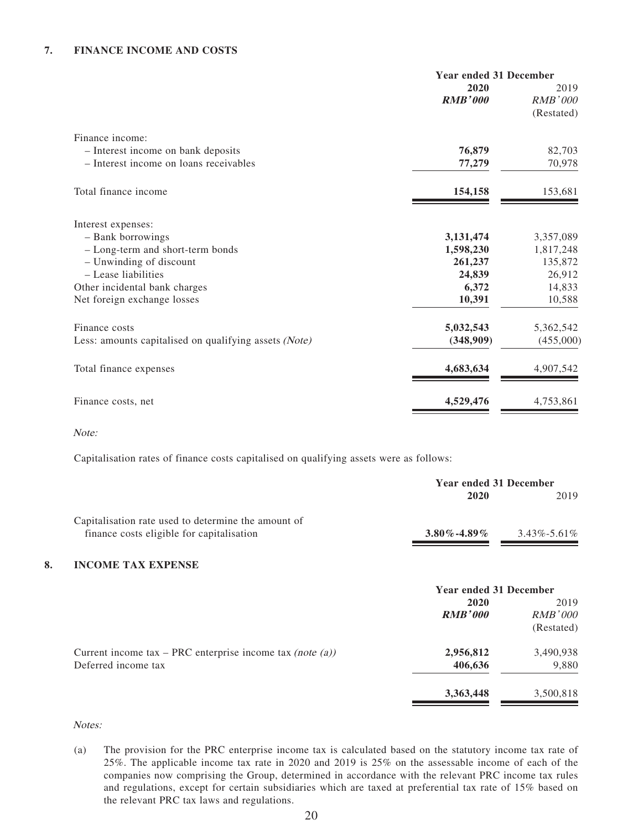|                                                       | <b>Year ended 31 December</b> |                                      |  |
|-------------------------------------------------------|-------------------------------|--------------------------------------|--|
|                                                       | 2020<br><b>RMB'000</b>        | 2019<br><b>RMB'000</b><br>(Restated) |  |
| Finance income:                                       |                               |                                      |  |
| - Interest income on bank deposits                    | 76,879                        | 82,703                               |  |
| - Interest income on loans receivables                | 77,279                        | 70,978                               |  |
| Total finance income                                  | 154,158                       | 153,681                              |  |
| Interest expenses:                                    |                               |                                      |  |
| - Bank borrowings                                     | 3,131,474                     | 3,357,089                            |  |
| - Long-term and short-term bonds                      | 1,598,230                     | 1,817,248                            |  |
| - Unwinding of discount                               | 261,237                       | 135,872                              |  |
| - Lease liabilities                                   | 24,839                        | 26,912                               |  |
| Other incidental bank charges                         | 6,372                         | 14,833                               |  |
| Net foreign exchange losses                           | 10,391                        | 10,588                               |  |
| Finance costs                                         | 5,032,543                     | 5,362,542                            |  |
| Less: amounts capitalised on qualifying assets (Note) | (348,909)                     | (455,000)                            |  |
| Total finance expenses                                | 4,683,634                     | 4,907,542                            |  |
| Finance costs, net                                    | 4,529,476                     | 4,753,861                            |  |

Note:

Capitalisation rates of finance costs capitalised on qualifying assets were as follows:

|                                                     | <b>Year ended 31 December</b> |                   |  |
|-----------------------------------------------------|-------------------------------|-------------------|--|
|                                                     | 2020                          | 2019              |  |
| Capitalisation rate used to determine the amount of |                               |                   |  |
| finance costs eligible for capitalisation           | $3.80\%$ -4.89%               | $3.43\% - 5.61\%$ |  |
|                                                     |                               |                   |  |

### **8. INCOME TAX EXPENSE**

|                                                           | <b>Year ended 31 December</b> |            |  |
|-----------------------------------------------------------|-------------------------------|------------|--|
|                                                           | 2020                          | 2019       |  |
|                                                           | <b>RMB'000</b>                | RMB'000    |  |
|                                                           |                               | (Restated) |  |
| Current income tax – PRC enterprise income tax (note (a)) | 2,956,812                     | 3,490,938  |  |
| Deferred income tax                                       | 406,636                       | 9,880      |  |
|                                                           | 3,363,448                     | 3,500,818  |  |

#### Notes:

(a) The provision for the PRC enterprise income tax is calculated based on the statutory income tax rate of 25%. The applicable income tax rate in 2020 and 2019 is 25% on the assessable income of each of the companies now comprising the Group, determined in accordance with the relevant PRC income tax rules and regulations, except for certain subsidiaries which are taxed at preferential tax rate of 15% based on the relevant PRC tax laws and regulations.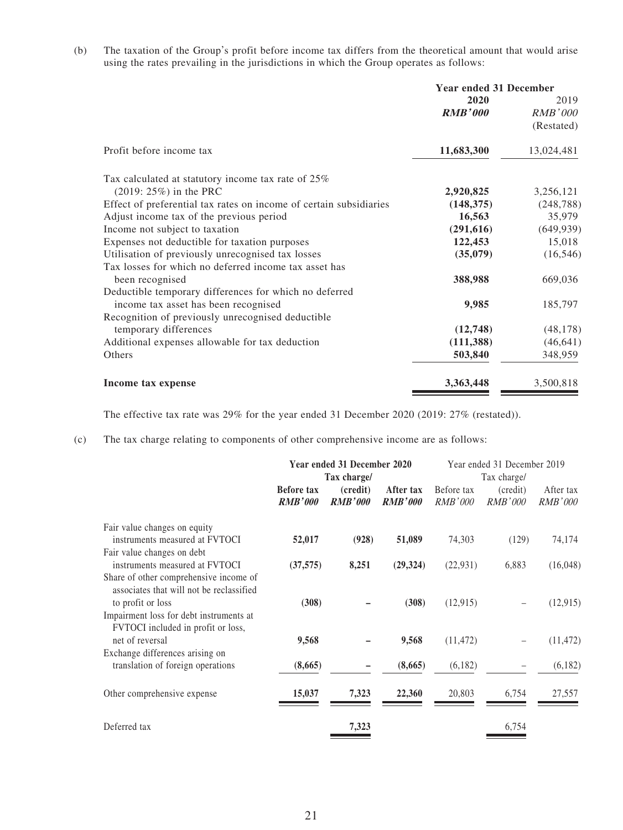(b) The taxation of the Group's profit before income tax differs from the theoretical amount that would arise using the rates prevailing in the jurisdictions in which the Group operates as follows:

|                                                                    | <b>Year ended 31 December</b> |                |  |
|--------------------------------------------------------------------|-------------------------------|----------------|--|
|                                                                    | 2020                          | 2019           |  |
|                                                                    | <b>RMB'000</b>                | <b>RMB'000</b> |  |
|                                                                    |                               | (Restated)     |  |
| Profit before income tax                                           | 11,683,300                    | 13,024,481     |  |
| Tax calculated at statutory income tax rate of 25%                 |                               |                |  |
| $(2019: 25\%)$ in the PRC                                          | 2,920,825                     | 3,256,121      |  |
| Effect of preferential tax rates on income of certain subsidiaries | (148, 375)                    | (248, 788)     |  |
| Adjust income tax of the previous period                           | 16,563                        | 35,979         |  |
| Income not subject to taxation                                     | (291, 616)                    | (649, 939)     |  |
| Expenses not deductible for taxation purposes                      | 122,453                       | 15,018         |  |
| Utilisation of previously unrecognised tax losses                  | (35,079)                      | (16, 546)      |  |
| Tax losses for which no deferred income tax asset has              |                               |                |  |
| been recognised                                                    | 388,988                       | 669,036        |  |
| Deductible temporary differences for which no deferred             |                               |                |  |
| income tax asset has been recognised                               | 9,985                         | 185,797        |  |
| Recognition of previously unrecognised deductible                  |                               |                |  |
| temporary differences                                              | (12,748)                      | (48, 178)      |  |
| Additional expenses allowable for tax deduction                    | (111, 388)                    | (46, 641)      |  |
| Others                                                             | 503,840                       | 348,959        |  |
| Income tax expense                                                 | 3,363,448                     | 3,500,818      |  |

The effective tax rate was 29% for the year ended 31 December 2020 (2019: 27% (restated)).

(c) The tax charge relating to components of other comprehensive income are as follows:

|                                                                                                                                                                                          | Year ended 31 December 2020<br>Tax charge/ |                            | Year ended 31 December 2019<br>Tax charge/ |                              |                            |                      |
|------------------------------------------------------------------------------------------------------------------------------------------------------------------------------------------|--------------------------------------------|----------------------------|--------------------------------------------|------------------------------|----------------------------|----------------------|
|                                                                                                                                                                                          | Before tax<br><b>RMB'000</b>               | (credit)<br><b>RMB'000</b> | After tax<br><b>RMB'000</b>                | Before tax<br><i>RMB'000</i> | (credit)<br><i>RMB'000</i> | After tax<br>RMB'000 |
| Fair value changes on equity<br>instruments measured at FVTOCI<br>Fair value changes on debt                                                                                             | 52,017                                     | (928)                      | 51,089                                     | 74,303                       | (129)                      | 74,174               |
| instruments measured at FVTOCI                                                                                                                                                           | (37, 575)                                  | 8,251                      | (29, 324)                                  | (22, 931)                    | 6,883                      | (16,048)             |
| Share of other comprehensive income of<br>associates that will not be reclassified<br>to profit or loss<br>Impairment loss for debt instruments at<br>FVTOCI included in profit or loss, | (308)                                      |                            | (308)                                      | (12, 915)                    |                            | (12, 915)            |
| net of reversal                                                                                                                                                                          | 9,568                                      |                            | 9,568                                      | (11, 472)                    |                            | (11, 472)            |
| Exchange differences arising on<br>translation of foreign operations                                                                                                                     | (8,665)                                    |                            | (8,665)                                    | (6,182)                      |                            | (6,182)              |
| Other comprehensive expense                                                                                                                                                              | 15,037                                     | 7,323                      | 22,360                                     | 20,803                       | 6,754                      | 27,557               |
| Deferred tax                                                                                                                                                                             |                                            | 7,323                      |                                            |                              | 6,754                      |                      |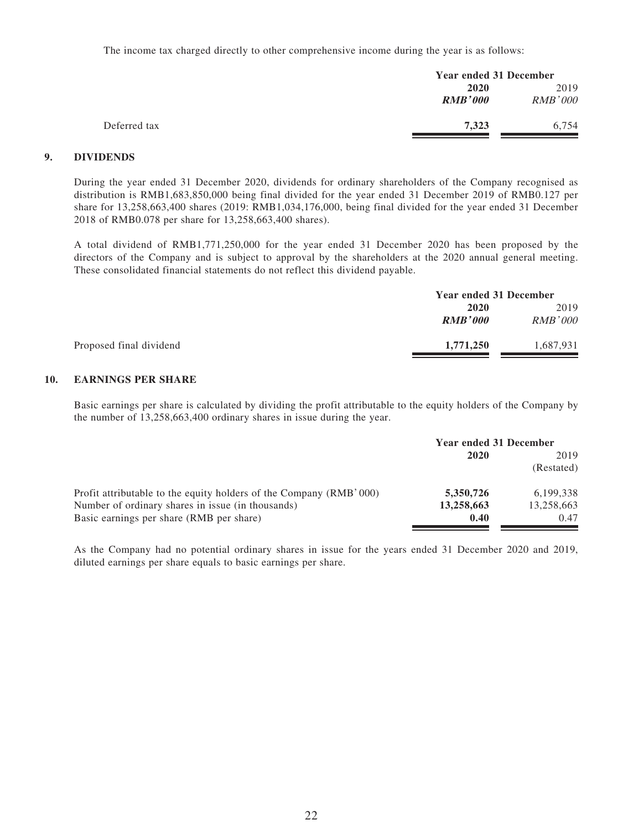The income tax charged directly to other comprehensive income during the year is as follows:

|              |                | Year ended 31 December |  |  |
|--------------|----------------|------------------------|--|--|
|              | 2020           | 2019                   |  |  |
|              | <b>RMB'000</b> | <i>RMB'000</i>         |  |  |
| Deferred tax | 7,323          | 6.754                  |  |  |

#### **9. DIVIDENDS**

During the year ended 31 December 2020, dividends for ordinary shareholders of the Company recognised as distribution is RMB1,683,850,000 being final divided for the year ended 31 December 2019 of RMB0.127 per share for 13,258,663,400 shares (2019: RMB1,034,176,000, being final divided for the year ended 31 December 2018 of RMB0.078 per share for 13,258,663,400 shares).

A total dividend of RMB1,771,250,000 for the year ended 31 December 2020 has been proposed by the directors of the Company and is subject to approval by the shareholders at the 2020 annual general meeting. These consolidated financial statements do not reflect this dividend payable.

| <b>Year ended 31 December</b> |                |  |
|-------------------------------|----------------|--|
| 2020                          | 2019           |  |
| <b>RMB'000</b>                | <i>RMB'000</i> |  |
| 1,771,250                     | 1,687,931      |  |
|                               |                |  |

#### **10. EARNINGS PER SHARE**

Basic earnings per share is calculated by dividing the profit attributable to the equity holders of the Company by the number of 13,258,663,400 ordinary shares in issue during the year.

|                                                                    | <b>Year ended 31 December</b> |            |  |
|--------------------------------------------------------------------|-------------------------------|------------|--|
|                                                                    | 2020                          | 2019       |  |
|                                                                    |                               | (Restated) |  |
| Profit attributable to the equity holders of the Company (RMB'000) | 5,350,726                     | 6,199,338  |  |
| Number of ordinary shares in issue (in thousands)                  | 13,258,663                    | 13,258,663 |  |
| Basic earnings per share (RMB per share)                           | 0.40                          | 0.47       |  |

As the Company had no potential ordinary shares in issue for the years ended 31 December 2020 and 2019, diluted earnings per share equals to basic earnings per share.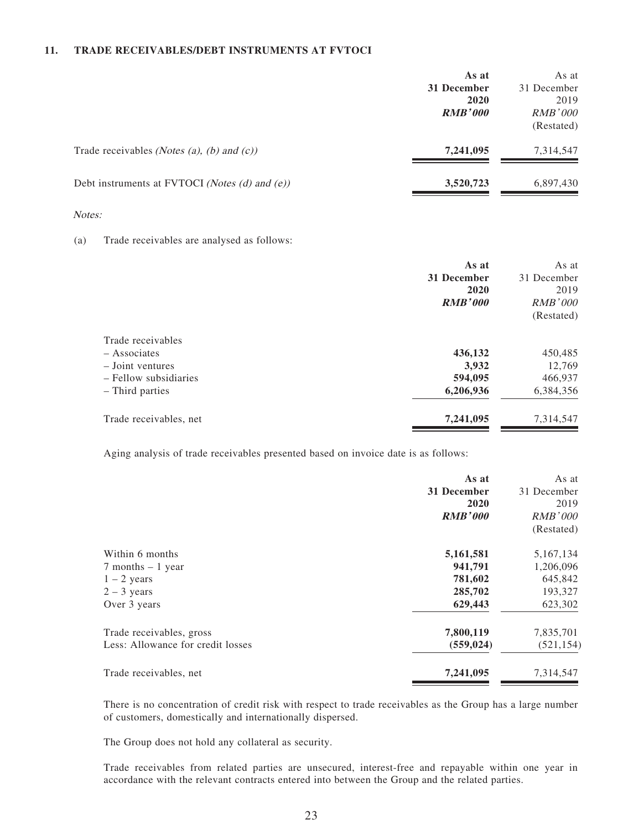#### **11. TRADE RECEIVABLES/DEBT INSTRUMENTS AT FVTOCI**

|                                                                    | As at<br>31 December<br>2020<br><b>RMB'000</b> | As at<br>31 December<br>2019<br>RMB'000<br>(Restated) |
|--------------------------------------------------------------------|------------------------------------------------|-------------------------------------------------------|
| Trade receivables ( <i>Notes (a)</i> , <i>(b)</i> and <i>(c)</i> ) | 7,241,095                                      | 7,314,547                                             |
| Debt instruments at FVTOCI (Notes (d) and (e))                     | 3,520,723                                      | 6,897,430                                             |
| Notes:                                                             |                                                |                                                       |

#### (a) Trade receivables are analysed as follows:

|                        | As at          | As at       |
|------------------------|----------------|-------------|
|                        | 31 December    | 31 December |
|                        | 2020           | 2019        |
|                        | <b>RMB'000</b> | RMB'000     |
|                        |                | (Restated)  |
| Trade receivables      |                |             |
| $-$ Associates         | 436,132        | 450,485     |
| $-$ Joint ventures     | 3,932          | 12,769      |
| - Fellow subsidiaries  | 594,095        | 466,937     |
| - Third parties        | 6,206,936      | 6,384,356   |
| Trade receivables, net | 7,241,095      | 7,314,547   |

Aging analysis of trade receivables presented based on invoice date is as follows:

|                                   | As at          | As at          |
|-----------------------------------|----------------|----------------|
|                                   | 31 December    | 31 December    |
|                                   | 2020           | 2019           |
|                                   | <b>RMB'000</b> | <i>RMB'000</i> |
|                                   |                | (Restated)     |
| Within 6 months                   | 5,161,581      | 5, 167, 134    |
| $7$ months $-1$ year              | 941,791        | 1,206,096      |
| $1 - 2$ years                     | 781,602        | 645,842        |
| $2 - 3$ years                     | 285,702        | 193,327        |
| Over 3 years                      | 629,443        | 623,302        |
| Trade receivables, gross          | 7,800,119      | 7,835,701      |
| Less: Allowance for credit losses | (559, 024)     | (521, 154)     |
| Trade receivables, net            | 7,241,095      | 7,314,547      |

There is no concentration of credit risk with respect to trade receivables as the Group has a large number of customers, domestically and internationally dispersed.

The Group does not hold any collateral as security.

Trade receivables from related parties are unsecured, interest-free and repayable within one year in accordance with the relevant contracts entered into between the Group and the related parties.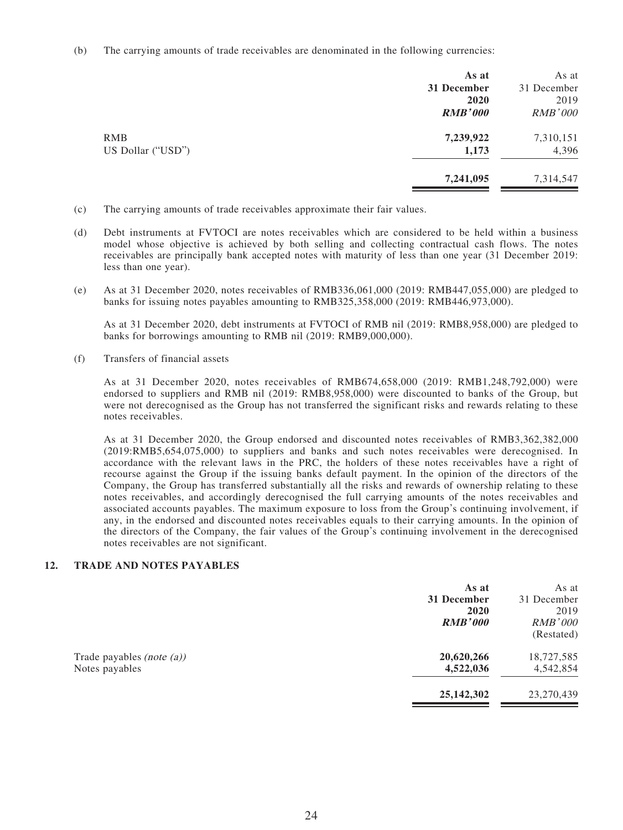(b) The carrying amounts of trade receivables are denominated in the following currencies:

|                   | As at          | As at          |
|-------------------|----------------|----------------|
|                   | 31 December    | 31 December    |
|                   | 2020           | 2019           |
|                   | <b>RMB'000</b> | <b>RMB'000</b> |
| <b>RMB</b>        | 7,239,922      | 7,310,151      |
| US Dollar ("USD") | 1,173          | 4,396          |
|                   | 7,241,095      | 7,314,547      |
|                   |                |                |

- (c) The carrying amounts of trade receivables approximate their fair values.
- (d) Debt instruments at FVTOCI are notes receivables which are considered to be held within a business model whose objective is achieved by both selling and collecting contractual cash flows. The notes receivables are principally bank accepted notes with maturity of less than one year (31 December 2019: less than one year).
- (e) As at 31 December 2020, notes receivables of RMB336,061,000 (2019: RMB447,055,000) are pledged to banks for issuing notes payables amounting to RMB325,358,000 (2019: RMB446,973,000).

As at 31 December 2020, debt instruments at FVTOCI of RMB nil (2019: RMB8,958,000) are pledged to banks for borrowings amounting to RMB nil (2019: RMB9,000,000).

(f) Transfers of financial assets

As at 31 December 2020, notes receivables of RMB674,658,000 (2019: RMB1,248,792,000) were endorsed to suppliers and RMB nil (2019: RMB8,958,000) were discounted to banks of the Group, but were not derecognised as the Group has not transferred the significant risks and rewards relating to these notes receivables.

As at 31 December 2020, the Group endorsed and discounted notes receivables of RMB3,362,382,000 (2019:RMB5,654,075,000) to suppliers and banks and such notes receivables were derecognised. In accordance with the relevant laws in the PRC, the holders of these notes receivables have a right of recourse against the Group if the issuing banks default payment. In the opinion of the directors of the Company, the Group has transferred substantially all the risks and rewards of ownership relating to these notes receivables, and accordingly derecognised the full carrying amounts of the notes receivables and associated accounts payables. The maximum exposure to loss from the Group's continuing involvement, if any, in the endorsed and discounted notes receivables equals to their carrying amounts. In the opinion of the directors of the Company, the fair values of the Group's continuing involvement in the derecognised notes receivables are not significant.

#### **12. TRADE AND NOTES PAYABLES**

|                              | As at          | As at          |
|------------------------------|----------------|----------------|
|                              | 31 December    | 31 December    |
|                              | 2020           | 2019           |
|                              | <b>RMB'000</b> | <i>RMB'000</i> |
|                              |                | (Restated)     |
| Trade payables (note $(a)$ ) | 20,620,266     | 18,727,585     |
| Notes payables               | 4,522,036      | 4,542,854      |
|                              | 25, 142, 302   | 23,270,439     |
|                              |                |                |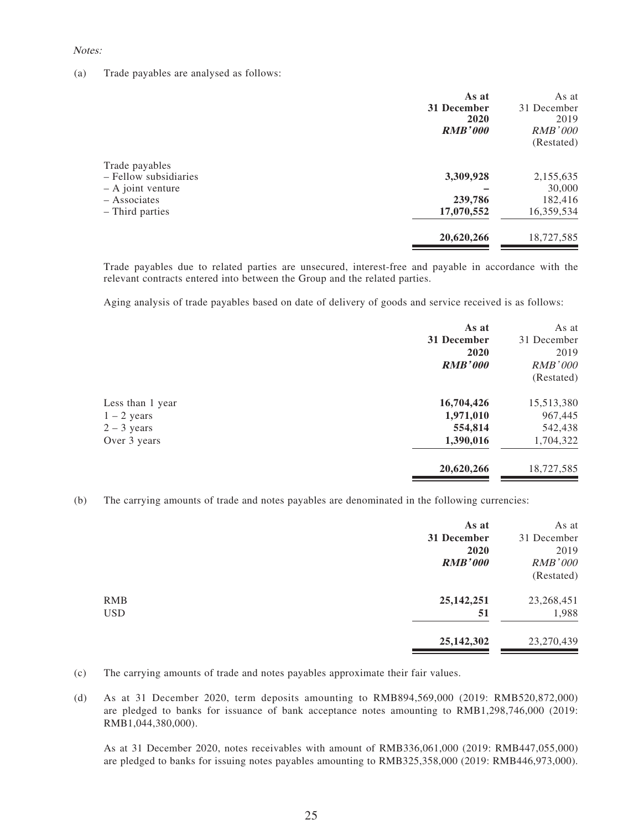#### Notes:

(a) Trade payables are analysed as follows:

|                                                                                                     | As at<br>31 December<br>2020<br><b>RMB'000</b> | As at<br>31 December<br>2019<br>RMB'000<br>(Restated) |
|-----------------------------------------------------------------------------------------------------|------------------------------------------------|-------------------------------------------------------|
| Trade payables<br>- Fellow subsidiaries<br>$-$ A joint venture<br>$-$ Associates<br>- Third parties | 3,309,928<br>239,786<br>17,070,552             | 2,155,635<br>30,000<br>182,416<br>16,359,534          |
|                                                                                                     | 20,620,266                                     | 18,727,585                                            |

Trade payables due to related parties are unsecured, interest-free and payable in accordance with the relevant contracts entered into between the Group and the related parties.

Aging analysis of trade payables based on date of delivery of goods and service received is as follows:

|                  | As at          | As at          |
|------------------|----------------|----------------|
|                  | 31 December    | 31 December    |
|                  | 2020           | 2019           |
|                  | <b>RMB'000</b> | <i>RMB'000</i> |
|                  |                | (Restated)     |
| Less than 1 year | 16,704,426     | 15,513,380     |
| $1 - 2$ years    | 1,971,010      | 967,445        |
| $2 - 3$ years    | 554,814        | 542,438        |
| Over 3 years     | 1,390,016      | 1,704,322      |
|                  | 20,620,266     | 18,727,585     |

(b) The carrying amounts of trade and notes payables are denominated in the following currencies:

|            | As at          | As at          |
|------------|----------------|----------------|
|            | 31 December    | 31 December    |
|            | 2020           | 2019           |
|            | <b>RMB'000</b> | <b>RMB'000</b> |
|            |                | (Restated)     |
| <b>RMB</b> | 25, 142, 251   | 23,268,451     |
| <b>USD</b> | 51             | 1,988          |
|            | 25, 142, 302   | 23,270,439     |
|            |                |                |

- (c) The carrying amounts of trade and notes payables approximate their fair values.
- (d) As at 31 December 2020, term deposits amounting to RMB894,569,000 (2019: RMB520,872,000) are pledged to banks for issuance of bank acceptance notes amounting to RMB1,298,746,000 (2019: RMB1,044,380,000).

As at 31 December 2020, notes receivables with amount of RMB336,061,000 (2019: RMB447,055,000) are pledged to banks for issuing notes payables amounting to RMB325,358,000 (2019: RMB446,973,000).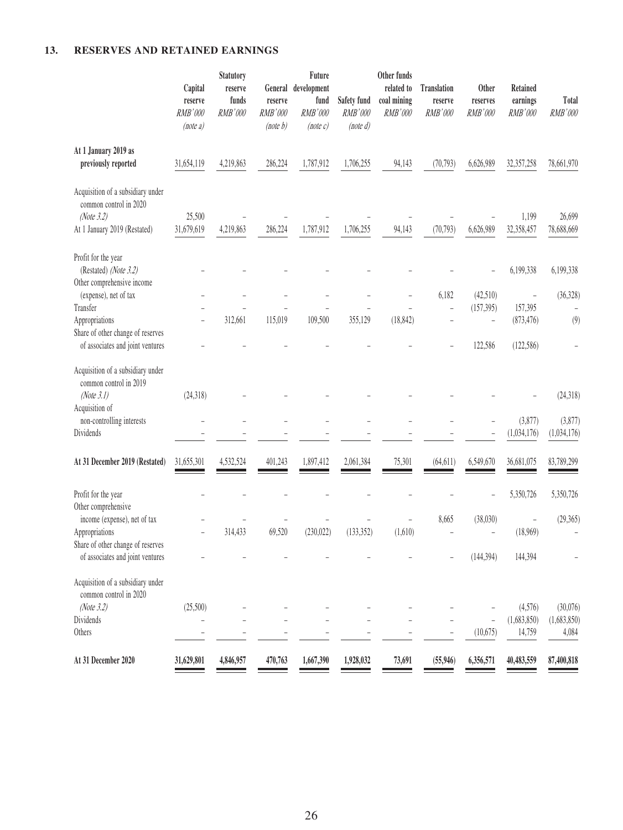### **13. RESERVES AND RETAINED EARNINGS**

|                                                                                                                                                                       | Capital<br>reserve<br>RMB'000<br>(note a) | Statutory<br>reserve<br>funds<br>RMB'000 | General<br>reserve<br>RMB'000<br>(note b) | Future<br>development<br>fund<br>RMB'000<br>(note c) | Safety fund<br>RMB'000<br>(note d) | Other funds<br>related to<br>coal mining<br>RMB'000 | <b>Translation</b><br>reserve<br>RMB'000 | <b>Other</b><br>reserves<br>RMB'000                                    | Retained<br>earnings<br>RMB'000                                 | Total<br>RMB'000                                   |
|-----------------------------------------------------------------------------------------------------------------------------------------------------------------------|-------------------------------------------|------------------------------------------|-------------------------------------------|------------------------------------------------------|------------------------------------|-----------------------------------------------------|------------------------------------------|------------------------------------------------------------------------|-----------------------------------------------------------------|----------------------------------------------------|
| At 1 January 2019 as<br>previously reported                                                                                                                           | 31,654,119                                | 4,219,863                                | 286,224                                   | 1,787,912                                            | 1,706,255                          | 94,143                                              | (70, 793)                                | 6,626,989                                                              | 32,357,258                                                      | 78,661,970                                         |
| Acquisition of a subsidiary under<br>common control in 2020<br>(Note $3.2$ )<br>At 1 January 2019 (Restated)                                                          | 25,500<br>31,679,619                      | 4,219,863                                | 286,224                                   | 1,787,912                                            | 1,706,255                          | 94,143                                              | (70, 793)                                | 6,626,989                                                              | 1,199<br>32,358,457                                             | 26,699<br>78,688,669                               |
| Profit for the year<br>(Restated) (Note 3.2)<br>Other comprehensive income                                                                                            |                                           |                                          |                                           |                                                      |                                    |                                                     |                                          |                                                                        | 6,199,338                                                       | 6,199,338                                          |
| (expense), net of tax<br>Transfer<br>Appropriations<br>Share of other change of reserves<br>of associates and joint ventures                                          |                                           | 312,661                                  | 115,019                                   | 109,500                                              | 355,129                            | (18, 842)                                           | 6,182<br>$\overline{\phantom{a}}$        | (42,510)<br>(157, 395)<br>$\hspace{1.0cm} - \hspace{1.0cm}$<br>122,586 | $\overline{\phantom{m}}$<br>157,395<br>(873, 476)<br>(122, 586) | (36, 328)<br>(9)                                   |
| Acquisition of a subsidiary under<br>common control in 2019<br>(Note 3.1)<br>Acquisition of<br>non-controlling interests<br>Dividends                                 | (24,318)                                  |                                          |                                           |                                                      |                                    |                                                     |                                          |                                                                        | (3,877)<br>(1,034,176)                                          | (24, 318)<br>(3,877)<br>(1,034,176)                |
| At 31 December 2019 (Restated)                                                                                                                                        | 31,655,301                                | 4,532,524                                | 401,243                                   | 1,897,412                                            | 2,061,384                          | 75,301                                              | (64, 611)                                | 6,549,670                                                              | 36,681,075                                                      | 83,789,299                                         |
| Profit for the year<br>Other comprehensive<br>income (expense), net of tax<br>Appropriations<br>Share of other change of reserves<br>of associates and joint ventures |                                           | 314,433                                  | 69,520                                    | (230, 022)                                           | (133, 352)                         | (1,610)                                             | 8,665                                    | (38,030)<br>$\overline{a}$<br>(144, 394)                               | 5,350,726<br>(18,969)<br>144,394                                | 5,350,726<br>(29, 365)<br>$\overline{\phantom{a}}$ |
| Acquisition of a subsidiary under<br>common control in 2020<br>(Note 3.2)<br>Dividends<br>Others<br>At 31 December 2020                                               | (25,500)<br>$\overline{a}$<br>31,629,801  | 4,846,957                                | 470,763                                   | 1,667,390                                            | 1,928,032                          | 73,691                                              | (55, 946)                                | L,<br>(10,675)<br>6,356,571                                            | (4,576)<br>(1,683,850)<br>14,759<br>40,483,559                  | (30,076)<br>(1,683,850)<br>4,084<br>87,400,818     |
|                                                                                                                                                                       |                                           |                                          |                                           |                                                      |                                    |                                                     |                                          |                                                                        |                                                                 |                                                    |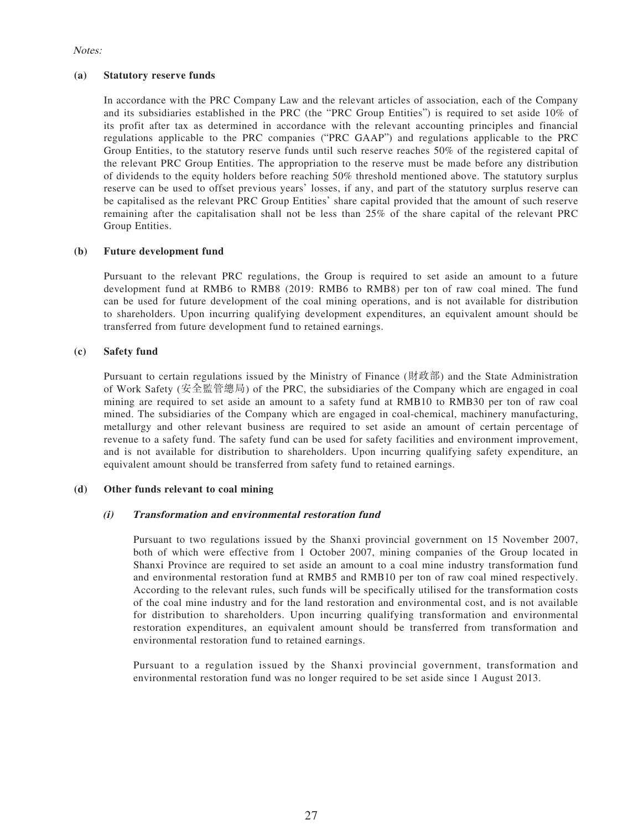#### Notes:

#### **(a) Statutory reserve funds**

In accordance with the PRC Company Law and the relevant articles of association, each of the Company and its subsidiaries established in the PRC (the "PRC Group Entities") is required to set aside 10% of its profit after tax as determined in accordance with the relevant accounting principles and financial regulations applicable to the PRC companies ("PRC GAAP") and regulations applicable to the PRC Group Entities, to the statutory reserve funds until such reserve reaches 50% of the registered capital of the relevant PRC Group Entities. The appropriation to the reserve must be made before any distribution of dividends to the equity holders before reaching 50% threshold mentioned above. The statutory surplus reserve can be used to offset previous years' losses, if any, and part of the statutory surplus reserve can be capitalised as the relevant PRC Group Entities' share capital provided that the amount of such reserve remaining after the capitalisation shall not be less than 25% of the share capital of the relevant PRC Group Entities.

#### **(b) Future development fund**

Pursuant to the relevant PRC regulations, the Group is required to set aside an amount to a future development fund at RMB6 to RMB8 (2019: RMB6 to RMB8) per ton of raw coal mined. The fund can be used for future development of the coal mining operations, and is not available for distribution to shareholders. Upon incurring qualifying development expenditures, an equivalent amount should be transferred from future development fund to retained earnings.

#### **(c) Safety fund**

Pursuant to certain regulations issued by the Ministry of Finance (財政部) and the State Administration of Work Safety (安全監管總局) of the PRC, the subsidiaries of the Company which are engaged in coal mining are required to set aside an amount to a safety fund at RMB10 to RMB30 per ton of raw coal mined. The subsidiaries of the Company which are engaged in coal-chemical, machinery manufacturing, metallurgy and other relevant business are required to set aside an amount of certain percentage of revenue to a safety fund. The safety fund can be used for safety facilities and environment improvement, and is not available for distribution to shareholders. Upon incurring qualifying safety expenditure, an equivalent amount should be transferred from safety fund to retained earnings.

#### **(d) Other funds relevant to coal mining**

#### **(i) Transformation and environmental restoration fund**

Pursuant to two regulations issued by the Shanxi provincial government on 15 November 2007, both of which were effective from 1 October 2007, mining companies of the Group located in Shanxi Province are required to set aside an amount to a coal mine industry transformation fund and environmental restoration fund at RMB5 and RMB10 per ton of raw coal mined respectively. According to the relevant rules, such funds will be specifically utilised for the transformation costs of the coal mine industry and for the land restoration and environmental cost, and is not available for distribution to shareholders. Upon incurring qualifying transformation and environmental restoration expenditures, an equivalent amount should be transferred from transformation and environmental restoration fund to retained earnings.

Pursuant to a regulation issued by the Shanxi provincial government, transformation and environmental restoration fund was no longer required to be set aside since 1 August 2013.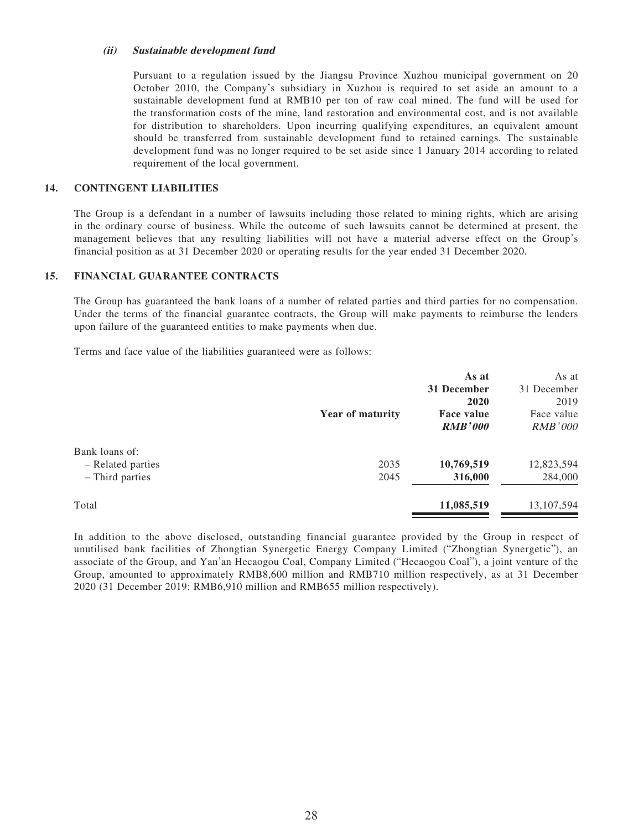#### **(ii) Sustainable development fund**

Pursuant to a regulation issued by the Jiangsu Province Xuzhou municipal government on 20 October 2010, the Company's subsidiary in Xuzhou is required to set aside an amount to a sustainable development fund at RMB10 per ton of raw coal mined. The fund will be used for the transformation costs of the mine, land restoration and environmental cost, and is not available for distribution to shareholders. Upon incurring qualifying expenditures, an equivalent amount should be transferred from sustainable development fund to retained earnings. The sustainable development fund was no longer required to be set aside since 1 January 2014 according to related requirement of the local government.

#### **14. CONTINGENT LIABILITIES**

The Group is a defendant in a number of lawsuits including those related to mining rights, which are arising in the ordinary course of business. While the outcome of such lawsuits cannot be determined at present, the management believes that any resulting liabilities will not have a material adverse effect on the Group's financial position as at 31 December 2020 or operating results for the year ended 31 December 2020.

#### **15. FINANCIAL GUARANTEE CONTRACTS**

The Group has guaranteed the bank loans of a number of related parties and third parties for no compensation. Under the terms of the financial guarantee contracts, the Group will make payments to reimburse the lenders upon failure of the guaranteed entities to make payments when due.

Terms and face value of the liabilities guaranteed were as follows:

|                                                        | <b>Year of maturity</b> | As at<br>31 December<br>2020<br>Face value<br><b>RMB'000</b> | As at<br>31 December<br>2019<br>Face value<br><i>RMB'000</i> |
|--------------------------------------------------------|-------------------------|--------------------------------------------------------------|--------------------------------------------------------------|
| Bank loans of:<br>- Related parties<br>- Third parties | 2035<br>2045            | 10,769,519<br>316,000                                        | 12,823,594<br>284,000                                        |
| Total                                                  |                         | 11,085,519                                                   | 13, 107, 594                                                 |

In addition to the above disclosed, outstanding financial guarantee provided by the Group in respect of unutilised bank facilities of Zhongtian Synergetic Energy Company Limited ("Zhongtian Synergetic"), an associate of the Group, and Yan'an Hecaogou Coal, Company Limited ("Hecaogou Coal"), a joint venture of the Group, amounted to approximately RMB8,600 million and RMB710 million respectively, as at 31 December 2020 (31 December 2019: RMB6,910 million and RMB655 million respectively).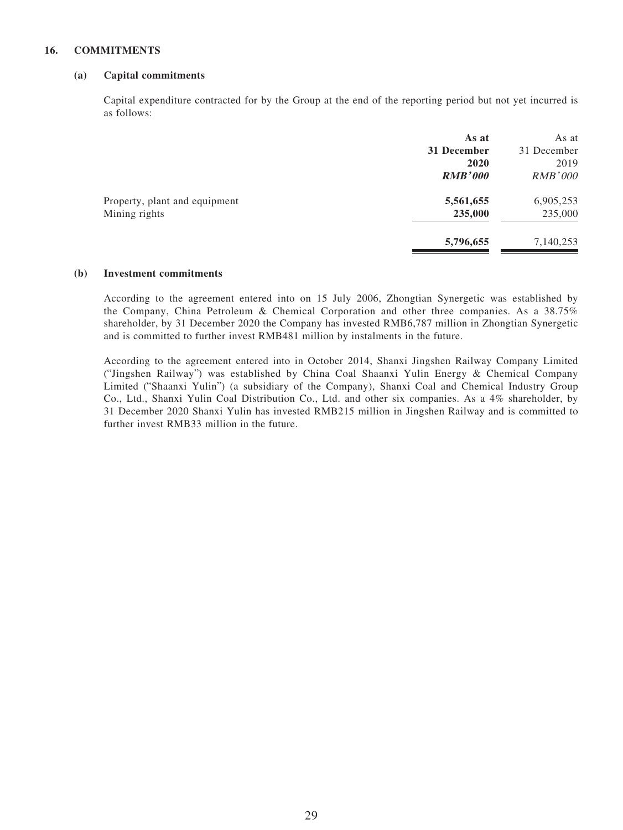#### **16. COMMITMENTS**

#### **(a) Capital commitments**

Capital expenditure contracted for by the Group at the end of the reporting period but not yet incurred is as follows:

| As at          | As at               |
|----------------|---------------------|
|                | 31 December<br>2019 |
| <b>RMB'000</b> | <b>RMB'000</b>      |
| 5,561,655      | 6,905,253           |
| 235,000        | 235,000             |
| 5,796,655      | 7,140,253           |
|                | 31 December<br>2020 |

#### **(b) Investment commitments**

According to the agreement entered into on 15 July 2006, Zhongtian Synergetic was established by the Company, China Petroleum & Chemical Corporation and other three companies. As a 38.75% shareholder, by 31 December 2020 the Company has invested RMB6,787 million in Zhongtian Synergetic and is committed to further invest RMB481 million by instalments in the future.

According to the agreement entered into in October 2014, Shanxi Jingshen Railway Company Limited ("Jingshen Railway") was established by China Coal Shaanxi Yulin Energy & Chemical Company Limited ("Shaanxi Yulin") (a subsidiary of the Company), Shanxi Coal and Chemical Industry Group Co., Ltd., Shanxi Yulin Coal Distribution Co., Ltd. and other six companies. As a 4% shareholder, by 31 December 2020 Shanxi Yulin has invested RMB215 million in Jingshen Railway and is committed to further invest RMB33 million in the future.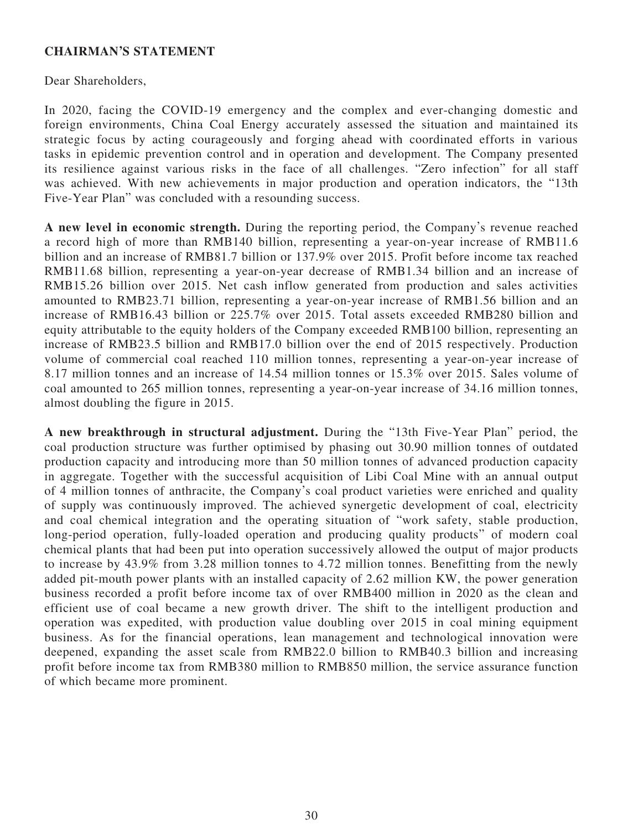# **CHAIRMAN'S STATEMENT**

Dear Shareholders,

In 2020, facing the COVID-19 emergency and the complex and ever-changing domestic and foreign environments, China Coal Energy accurately assessed the situation and maintained its strategic focus by acting courageously and forging ahead with coordinated efforts in various tasks in epidemic prevention control and in operation and development. The Company presented its resilience against various risks in the face of all challenges. "Zero infection" for all staff was achieved. With new achievements in major production and operation indicators, the "13th Five-Year Plan" was concluded with a resounding success.

**A new level in economic strength.** During the reporting period, the Company's revenue reached a record high of more than RMB140 billion, representing a year-on-year increase of RMB11.6 billion and an increase of RMB81.7 billion or 137.9% over 2015. Profit before income tax reached RMB11.68 billion, representing a year-on-year decrease of RMB1.34 billion and an increase of RMB15.26 billion over 2015. Net cash inflow generated from production and sales activities amounted to RMB23.71 billion, representing a year-on-year increase of RMB1.56 billion and an increase of RMB16.43 billion or 225.7% over 2015. Total assets exceeded RMB280 billion and equity attributable to the equity holders of the Company exceeded RMB100 billion, representing an increase of RMB23.5 billion and RMB17.0 billion over the end of 2015 respectively. Production volume of commercial coal reached 110 million tonnes, representing a year-on-year increase of 8.17 million tonnes and an increase of 14.54 million tonnes or 15.3% over 2015. Sales volume of coal amounted to 265 million tonnes, representing a year-on-year increase of 34.16 million tonnes, almost doubling the figure in 2015.

**A new breakthrough in structural adjustment.** During the "13th Five-Year Plan" period, the coal production structure was further optimised by phasing out 30.90 million tonnes of outdated production capacity and introducing more than 50 million tonnes of advanced production capacity in aggregate. Together with the successful acquisition of Libi Coal Mine with an annual output of 4 million tonnes of anthracite, the Company's coal product varieties were enriched and quality of supply was continuously improved. The achieved synergetic development of coal, electricity and coal chemical integration and the operating situation of "work safety, stable production, long-period operation, fully-loaded operation and producing quality products" of modern coal chemical plants that had been put into operation successively allowed the output of major products to increase by 43.9% from 3.28 million tonnes to 4.72 million tonnes. Benefitting from the newly added pit-mouth power plants with an installed capacity of 2.62 million KW, the power generation business recorded a profit before income tax of over RMB400 million in 2020 as the clean and efficient use of coal became a new growth driver. The shift to the intelligent production and operation was expedited, with production value doubling over 2015 in coal mining equipment business. As for the financial operations, lean management and technological innovation were deepened, expanding the asset scale from RMB22.0 billion to RMB40.3 billion and increasing profit before income tax from RMB380 million to RMB850 million, the service assurance function of which became more prominent.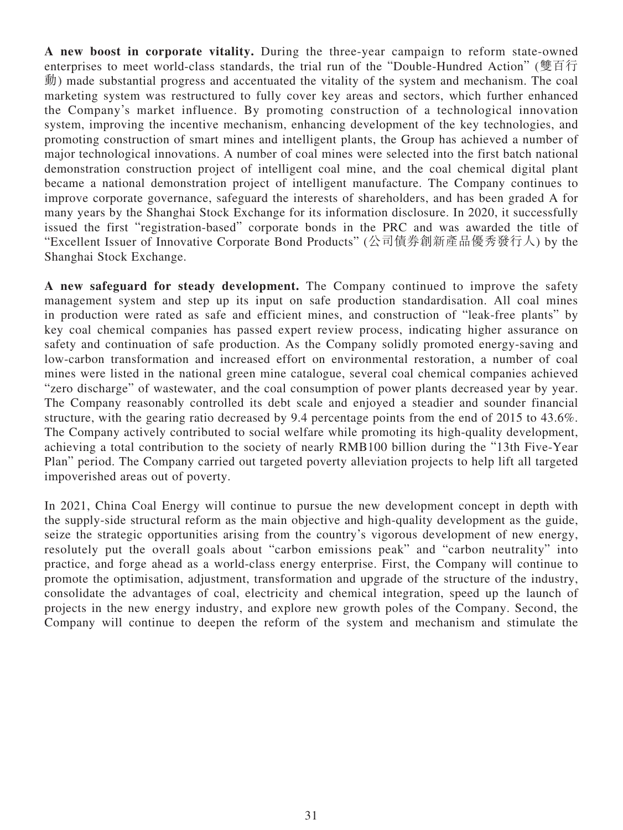**A new boost in corporate vitality.** During the three-year campaign to reform state-owned enterprises to meet world-class standards, the trial run of the "Double-Hundred Action" (雙百行 動) made substantial progress and accentuated the vitality of the system and mechanism. The coal marketing system was restructured to fully cover key areas and sectors, which further enhanced the Company's market influence. By promoting construction of a technological innovation system, improving the incentive mechanism, enhancing development of the key technologies, and promoting construction of smart mines and intelligent plants, the Group has achieved a number of major technological innovations. A number of coal mines were selected into the first batch national demonstration construction project of intelligent coal mine, and the coal chemical digital plant became a national demonstration project of intelligent manufacture. The Company continues to improve corporate governance, safeguard the interests of shareholders, and has been graded A for many years by the Shanghai Stock Exchange for its information disclosure. In 2020, it successfully issued the first "registration-based" corporate bonds in the PRC and was awarded the title of "Excellent Issuer of Innovative Corporate Bond Products" (公司債券創新產品優秀發行人) by the Shanghai Stock Exchange.

**A new safeguard for steady development.** The Company continued to improve the safety management system and step up its input on safe production standardisation. All coal mines in production were rated as safe and efficient mines, and construction of "leak-free plants" by key coal chemical companies has passed expert review process, indicating higher assurance on safety and continuation of safe production. As the Company solidly promoted energy-saving and low-carbon transformation and increased effort on environmental restoration, a number of coal mines were listed in the national green mine catalogue, several coal chemical companies achieved "zero discharge" of wastewater, and the coal consumption of power plants decreased year by year. The Company reasonably controlled its debt scale and enjoyed a steadier and sounder financial structure, with the gearing ratio decreased by 9.4 percentage points from the end of 2015 to 43.6%. The Company actively contributed to social welfare while promoting its high-quality development, achieving a total contribution to the society of nearly RMB100 billion during the "13th Five-Year Plan" period. The Company carried out targeted poverty alleviation projects to help lift all targeted impoverished areas out of poverty.

In 2021, China Coal Energy will continue to pursue the new development concept in depth with the supply-side structural reform as the main objective and high-quality development as the guide, seize the strategic opportunities arising from the country's vigorous development of new energy, resolutely put the overall goals about "carbon emissions peak" and "carbon neutrality" into practice, and forge ahead as a world-class energy enterprise. First, the Company will continue to promote the optimisation, adjustment, transformation and upgrade of the structure of the industry, consolidate the advantages of coal, electricity and chemical integration, speed up the launch of projects in the new energy industry, and explore new growth poles of the Company. Second, the Company will continue to deepen the reform of the system and mechanism and stimulate the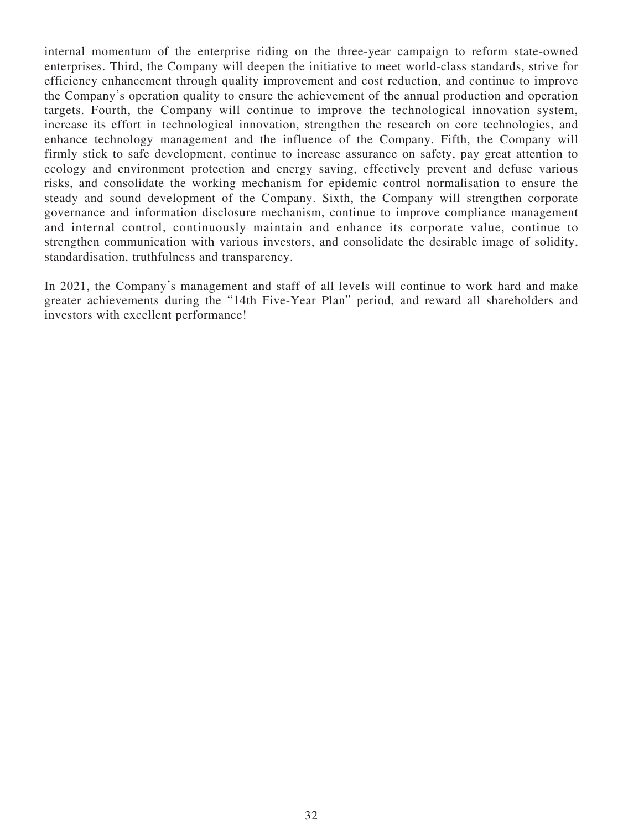internal momentum of the enterprise riding on the three-year campaign to reform state-owned enterprises. Third, the Company will deepen the initiative to meet world-class standards, strive for efficiency enhancement through quality improvement and cost reduction, and continue to improve the Company's operation quality to ensure the achievement of the annual production and operation targets. Fourth, the Company will continue to improve the technological innovation system, increase its effort in technological innovation, strengthen the research on core technologies, and enhance technology management and the influence of the Company. Fifth, the Company will firmly stick to safe development, continue to increase assurance on safety, pay great attention to ecology and environment protection and energy saving, effectively prevent and defuse various risks, and consolidate the working mechanism for epidemic control normalisation to ensure the steady and sound development of the Company. Sixth, the Company will strengthen corporate governance and information disclosure mechanism, continue to improve compliance management and internal control, continuously maintain and enhance its corporate value, continue to strengthen communication with various investors, and consolidate the desirable image of solidity, standardisation, truthfulness and transparency.

In 2021, the Company's management and staff of all levels will continue to work hard and make greater achievements during the "14th Five-Year Plan" period, and reward all shareholders and investors with excellent performance!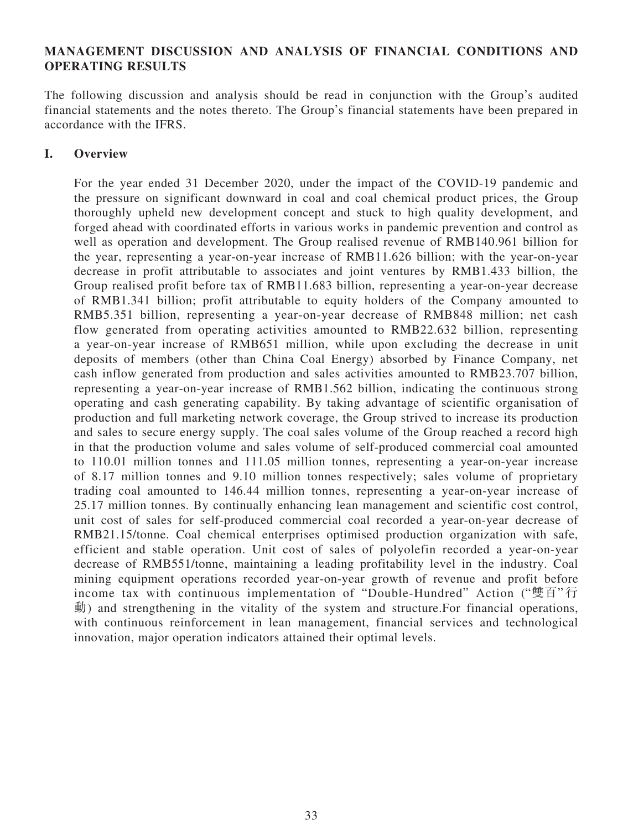# **MANAGEMENT DISCUSSION AND ANALYSIS OF FINANCIAL CONDITIONS AND OPERATING RESULTS**

The following discussion and analysis should be read in conjunction with the Group's audited financial statements and the notes thereto. The Group's financial statements have been prepared in accordance with the IFRS.

# **I. Overview**

For the year ended 31 December 2020, under the impact of the COVID-19 pandemic and the pressure on significant downward in coal and coal chemical product prices, the Group thoroughly upheld new development concept and stuck to high quality development, and forged ahead with coordinated efforts in various works in pandemic prevention and control as well as operation and development. The Group realised revenue of RMB140.961 billion for the year, representing a year-on-year increase of RMB11.626 billion; with the year-on-year decrease in profit attributable to associates and joint ventures by RMB1.433 billion, the Group realised profit before tax of RMB11.683 billion, representing a year-on-year decrease of RMB1.341 billion; profit attributable to equity holders of the Company amounted to RMB5.351 billion, representing a year-on-year decrease of RMB848 million; net cash flow generated from operating activities amounted to RMB22.632 billion, representing a year-on-year increase of RMB651 million, while upon excluding the decrease in unit deposits of members (other than China Coal Energy) absorbed by Finance Company, net cash inflow generated from production and sales activities amounted to RMB23.707 billion, representing a year-on-year increase of RMB1.562 billion, indicating the continuous strong operating and cash generating capability. By taking advantage of scientific organisation of production and full marketing network coverage, the Group strived to increase its production and sales to secure energy supply. The coal sales volume of the Group reached a record high in that the production volume and sales volume of self-produced commercial coal amounted to 110.01 million tonnes and 111.05 million tonnes, representing a year-on-year increase of 8.17 million tonnes and 9.10 million tonnes respectively; sales volume of proprietary trading coal amounted to 146.44 million tonnes, representing a year-on-year increase of 25.17 million tonnes. By continually enhancing lean management and scientific cost control, unit cost of sales for self-produced commercial coal recorded a year-on-year decrease of RMB21.15/tonne. Coal chemical enterprises optimised production organization with safe, efficient and stable operation. Unit cost of sales of polyolefin recorded a year-on-year decrease of RMB551/tonne, maintaining a leading profitability level in the industry. Coal mining equipment operations recorded year-on-year growth of revenue and profit before income tax with continuous implementation of "Double-Hundred" Action ("雙百" 行 動) and strengthening in the vitality of the system and structure.For financial operations, with continuous reinforcement in lean management, financial services and technological innovation, major operation indicators attained their optimal levels.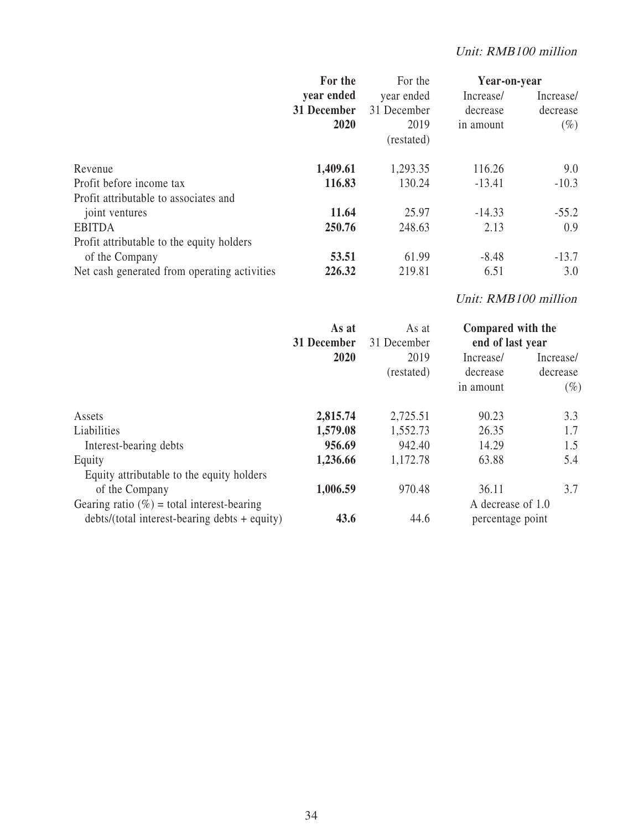# Unit: RMB100 million

|                                              | For the     | For the     | Year-on-year |           |
|----------------------------------------------|-------------|-------------|--------------|-----------|
|                                              | year ended  | year ended  | Increase/    | Increase/ |
|                                              | 31 December | 31 December | decrease     | decrease  |
|                                              | 2020        | 2019        | in amount    | $(\%)$    |
|                                              |             | (restated)  |              |           |
| Revenue                                      | 1,409.61    | 1,293.35    | 116.26       | 9.0       |
| Profit before income tax                     | 116.83      | 130.24      | $-13.41$     | $-10.3$   |
| Profit attributable to associates and        |             |             |              |           |
| joint ventures                               | 11.64       | 25.97       | $-14.33$     | $-55.2$   |
| <b>EBITDA</b>                                | 250.76      | 248.63      | 2.13         | 0.9       |
| Profit attributable to the equity holders    |             |             |              |           |
| of the Company                               | 53.51       | 61.99       | $-8.48$      | $-13.7$   |
| Net cash generated from operating activities | 226.32      | 219.81      | 6.51         | 3.0       |

Unit: RMB100 million

|                                                 | As at<br>31 December | As at       | Compared with the |           |
|-------------------------------------------------|----------------------|-------------|-------------------|-----------|
|                                                 |                      | 31 December | end of last year  |           |
|                                                 | 2020                 | 2019        | Increase/         | Increase/ |
|                                                 |                      | (restated)  | decrease          | decrease  |
|                                                 |                      |             | in amount         | $(\%)$    |
| Assets                                          | 2,815.74             | 2,725.51    | 90.23             | 3.3       |
| Liabilities                                     | 1,579.08             | 1,552.73    | 26.35             | 1.7       |
| Interest-bearing debts                          | 956.69               | 942.40      | 14.29             | 1.5       |
| Equity                                          | 1,236.66             | 1,172.78    | 63.88             | 5.4       |
| Equity attributable to the equity holders       |                      |             |                   |           |
| of the Company                                  | 1,006.59             | 970.48      | 36.11             | 3.7       |
| Gearing ratio $(\%)$ = total interest-bearing   |                      |             | A decrease of 1.0 |           |
| $debts/(total interest-bearing debts + equity)$ | 43.6                 | 44.6        | percentage point  |           |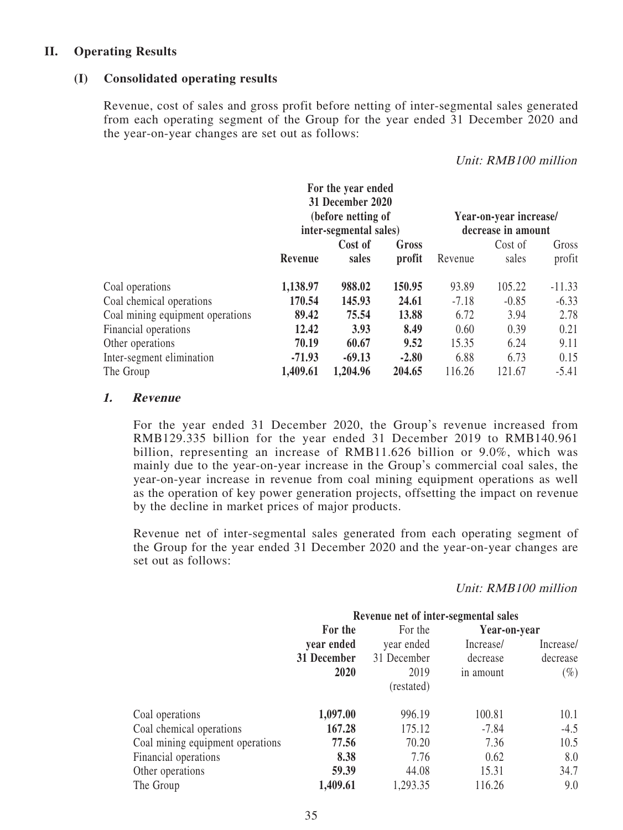# **II. Operating Results**

# **(I) Consolidated operating results**

Revenue, cost of sales and gross profit before netting of inter-segmental sales generated from each operating segment of the Group for the year ended 31 December 2020 and the year-on-year changes are set out as follows:

Unit: RMB100 million

| For the year ended               |                                                                  |          |         |                                              |         |          |
|----------------------------------|------------------------------------------------------------------|----------|---------|----------------------------------------------|---------|----------|
|                                  | 31 December 2020<br>(before netting of<br>inter-segmental sales) |          |         | Year-on-year increase/<br>decrease in amount |         |          |
|                                  | Cost of<br>Gross                                                 |          |         |                                              | Cost of | Gross    |
|                                  | Revenue                                                          | sales    | profit  | Revenue                                      | sales   | profit   |
| Coal operations                  | 1,138.97                                                         | 988.02   | 150.95  | 93.89                                        | 105.22  | $-11.33$ |
| Coal chemical operations         | 170.54                                                           | 145.93   | 24.61   | $-7.18$                                      | $-0.85$ | $-6.33$  |
| Coal mining equipment operations | 89.42                                                            | 75.54    | 13.88   | 6.72                                         | 3.94    | 2.78     |
| Financial operations             | 12.42                                                            | 3.93     | 8.49    | 0.60                                         | 0.39    | 0.21     |
| Other operations                 | 70.19                                                            | 60.67    | 9.52    | 15.35                                        | 6.24    | 9.11     |
| Inter-segment elimination        | $-71.93$                                                         | $-69.13$ | $-2.80$ | 6.88                                         | 6.73    | 0.15     |
| The Group                        | 1,409.61                                                         | 1,204.96 | 204.65  | 116.26                                       | 121.67  | $-5.41$  |

## **1. Revenue**

For the year ended 31 December 2020, the Group's revenue increased from RMB129.335 billion for the year ended 31 December 2019 to RMB140.961 billion, representing an increase of RMB11.626 billion or 9.0%, which was mainly due to the year-on-year increase in the Group's commercial coal sales, the year-on-year increase in revenue from coal mining equipment operations as well as the operation of key power generation projects, offsetting the impact on revenue by the decline in market prices of major products.

Revenue net of inter-segmental sales generated from each operating segment of the Group for the year ended 31 December 2020 and the year-on-year changes are set out as follows:

### Unit: RMB100 million

|                                  | Revenue net of inter-segmental sales |             |              |           |
|----------------------------------|--------------------------------------|-------------|--------------|-----------|
|                                  | For the                              | For the     | Year-on-year |           |
|                                  | year ended                           | year ended  | Increase/    | Increase/ |
|                                  | 31 December                          | 31 December | decrease     | decrease  |
|                                  | 2020                                 | 2019        | in amount    | $(\%)$    |
|                                  |                                      | (restated)  |              |           |
| Coal operations                  | 1,097.00                             | 996.19      | 100.81       | 10.1      |
| Coal chemical operations         | 167.28                               | 175.12      | $-7.84$      | $-4.5$    |
| Coal mining equipment operations | 77.56                                | 70.20       | 7.36         | 10.5      |
| Financial operations             | 8.38                                 | 7.76        | 0.62         | 8.0       |
| Other operations                 | 59.39                                | 44.08       | 15.31        | 34.7      |
| The Group                        | 1,409.61                             | 1,293.35    | 116.26       | 9.0       |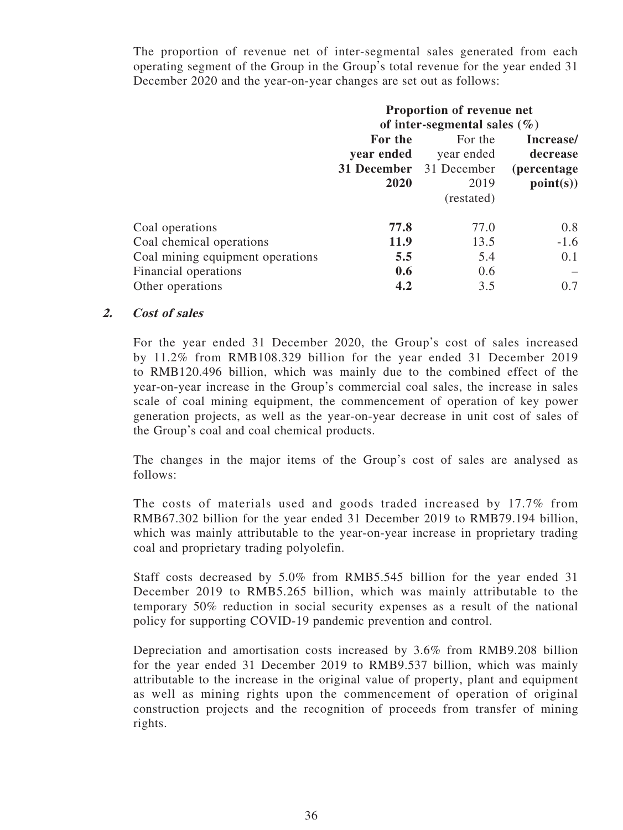The proportion of revenue net of inter-segmental sales generated from each operating segment of the Group in the Group's total revenue for the year ended 31 December 2020 and the year-on-year changes are set out as follows:

|                                  | <b>Proportion of revenue net</b> |                                |                     |
|----------------------------------|----------------------------------|--------------------------------|---------------------|
|                                  | of inter-segmental sales $(\% )$ |                                |                     |
|                                  | For the                          | For the                        | Increase/           |
|                                  | year ended                       | year ended                     | decrease            |
|                                  |                                  | <b>31 December</b> 31 December | <i>(percentage)</i> |
|                                  | 2020                             | 2019                           | point(s)            |
|                                  |                                  | (restated)                     |                     |
| Coal operations                  | 77.8                             | 77.0                           | 0.8                 |
| Coal chemical operations         | 11.9                             | 13.5                           | $-1.6$              |
| Coal mining equipment operations | 5.5                              | 5.4                            | 0.1                 |
| Financial operations             | 0.6                              | 0.6                            |                     |
| Other operations                 | 4.2                              | 3.5                            | 0.7                 |

## **2. Cost of sales**

For the year ended 31 December 2020, the Group's cost of sales increased by 11.2% from RMB108.329 billion for the year ended 31 December 2019 to RMB120.496 billion, which was mainly due to the combined effect of the year-on-year increase in the Group's commercial coal sales, the increase in sales scale of coal mining equipment, the commencement of operation of key power generation projects, as well as the year-on-year decrease in unit cost of sales of the Group's coal and coal chemical products.

The changes in the major items of the Group's cost of sales are analysed as follows:

The costs of materials used and goods traded increased by 17.7% from RMB67.302 billion for the year ended 31 December 2019 to RMB79.194 billion, which was mainly attributable to the year-on-year increase in proprietary trading coal and proprietary trading polyolefin.

Staff costs decreased by 5.0% from RMB5.545 billion for the year ended 31 December 2019 to RMB5.265 billion, which was mainly attributable to the temporary 50% reduction in social security expenses as a result of the national policy for supporting COVID-19 pandemic prevention and control.

Depreciation and amortisation costs increased by 3.6% from RMB9.208 billion for the year ended 31 December 2019 to RMB9.537 billion, which was mainly attributable to the increase in the original value of property, plant and equipment as well as mining rights upon the commencement of operation of original construction projects and the recognition of proceeds from transfer of mining rights.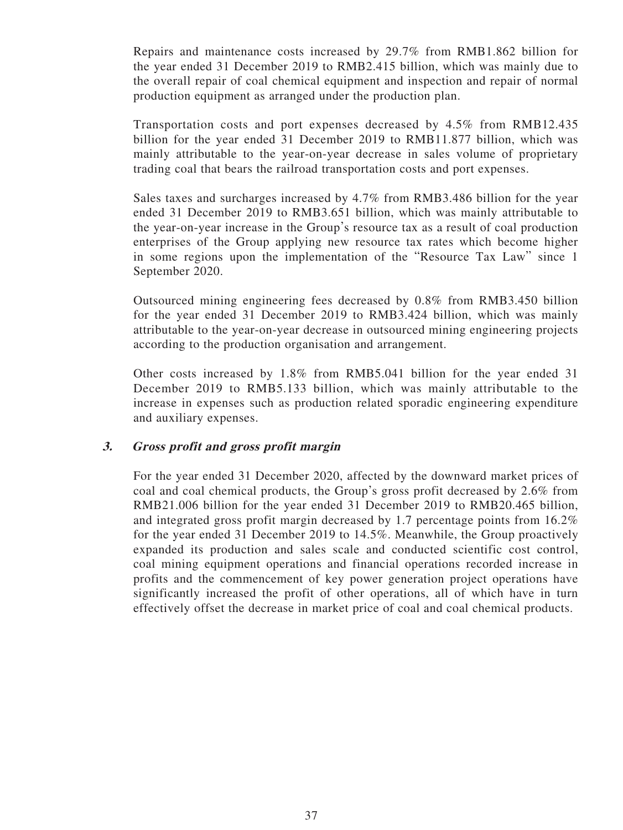Repairs and maintenance costs increased by 29.7% from RMB1.862 billion for the year ended 31 December 2019 to RMB2.415 billion, which was mainly due to the overall repair of coal chemical equipment and inspection and repair of normal production equipment as arranged under the production plan.

Transportation costs and port expenses decreased by 4.5% from RMB12.435 billion for the year ended 31 December 2019 to RMB11.877 billion, which was mainly attributable to the year-on-year decrease in sales volume of proprietary trading coal that bears the railroad transportation costs and port expenses.

Sales taxes and surcharges increased by 4.7% from RMB3.486 billion for the year ended 31 December 2019 to RMB3.651 billion, which was mainly attributable to the year-on-year increase in the Group's resource tax as a result of coal production enterprises of the Group applying new resource tax rates which become higher in some regions upon the implementation of the "Resource Tax Law" since 1 September 2020.

Outsourced mining engineering fees decreased by 0.8% from RMB3.450 billion for the year ended 31 December 2019 to RMB3.424 billion, which was mainly attributable to the year-on-year decrease in outsourced mining engineering projects according to the production organisation and arrangement.

Other costs increased by 1.8% from RMB5.041 billion for the year ended 31 December 2019 to RMB5.133 billion, which was mainly attributable to the increase in expenses such as production related sporadic engineering expenditure and auxiliary expenses.

#### **3. Gross profit and gross profit margin**

For the year ended 31 December 2020, affected by the downward market prices of coal and coal chemical products, the Group's gross profit decreased by 2.6% from RMB21.006 billion for the year ended 31 December 2019 to RMB20.465 billion, and integrated gross profit margin decreased by 1.7 percentage points from 16.2% for the year ended 31 December 2019 to 14.5%. Meanwhile, the Group proactively expanded its production and sales scale and conducted scientific cost control, coal mining equipment operations and financial operations recorded increase in profits and the commencement of key power generation project operations have significantly increased the profit of other operations, all of which have in turn effectively offset the decrease in market price of coal and coal chemical products.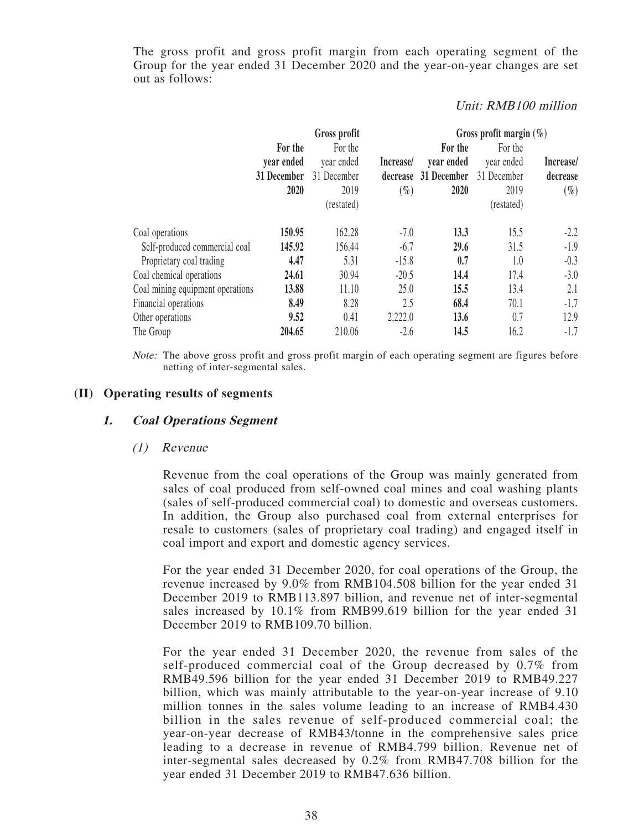The gross profit and gross profit margin from each operating segment of the Group for the year ended 31 December 2020 and the year-on-year changes are set out as follows:

#### Unit: RMB100 million

|                                  |             | Gross profit |           | Gross profit margin $(\%)$ |             |           |  |
|----------------------------------|-------------|--------------|-----------|----------------------------|-------------|-----------|--|
|                                  | For the     | For the      |           | For the                    | For the     |           |  |
|                                  | vear ended  | year ended   | Increase/ | year ended                 | year ended  | Increase/ |  |
|                                  | 31 December | 31 December  | decrease  | 31 December                | 31 December | decrease  |  |
|                                  | 2020        | 2019         | $(\%)$    | 2020                       | 2019        | $(\%)$    |  |
|                                  |             | (restated)   |           |                            | (restated)  |           |  |
| Coal operations                  | 150.95      | 162.28       | $-7.0$    | 13.3                       | 15.5        | $-2.2$    |  |
| Self-produced commercial coal    | 145.92      | 156.44       | $-6.7$    | 29.6                       | 31.5        | $-1.9$    |  |
| Proprietary coal trading         | 4.47        | 5.31         | $-15.8$   | 0.7                        | 1.0         | $-0.3$    |  |
| Coal chemical operations         | 24.61       | 30.94        | $-20.5$   | 14.4                       | 17.4        | $-3.0$    |  |
| Coal mining equipment operations | 13.88       | 11.10        | 25.0      | 15.5                       | 13.4        | 2.1       |  |
| Financial operations             | 8.49        | 8.28         | 2.5       | 68.4                       | 70.1        | $-1.7$    |  |
| Other operations                 | 9.52        | 0.41         | 2,222.0   | 13.6                       | 0.7         | 12.9      |  |
| The Group                        | 204.65      | 210.06       | $-2.6$    | 14.5                       | 16.2        | $-1.7$    |  |

Note: The above gross profit and gross profit margin of each operating segment are figures before netting of inter-segmental sales.

#### **(II) Operating results of segments**

#### **1. Coal Operations Segment**

#### (1) Revenue

Revenue from the coal operations of the Group was mainly generated from sales of coal produced from self-owned coal mines and coal washing plants (sales of self-produced commercial coal) to domestic and overseas customers. In addition, the Group also purchased coal from external enterprises for resale to customers (sales of proprietary coal trading) and engaged itself in coal import and export and domestic agency services.

For the year ended 31 December 2020, for coal operations of the Group, the revenue increased by 9.0% from RMB104.508 billion for the year ended 31 December 2019 to RMB113.897 billion, and revenue net of inter-segmental sales increased by 10.1% from RMB99.619 billion for the year ended 31 December 2019 to RMB109.70 billion.

For the year ended 31 December 2020, the revenue from sales of the self-produced commercial coal of the Group decreased by 0.7% from RMB49.596 billion for the year ended 31 December 2019 to RMB49.227 billion, which was mainly attributable to the year-on-year increase of 9.10 million tonnes in the sales volume leading to an increase of RMB4.430 billion in the sales revenue of self-produced commercial coal; the year-on-year decrease of RMB43/tonne in the comprehensive sales price leading to a decrease in revenue of RMB4.799 billion. Revenue net of inter-segmental sales decreased by 0.2% from RMB47.708 billion for the year ended 31 December 2019 to RMB47.636 billion.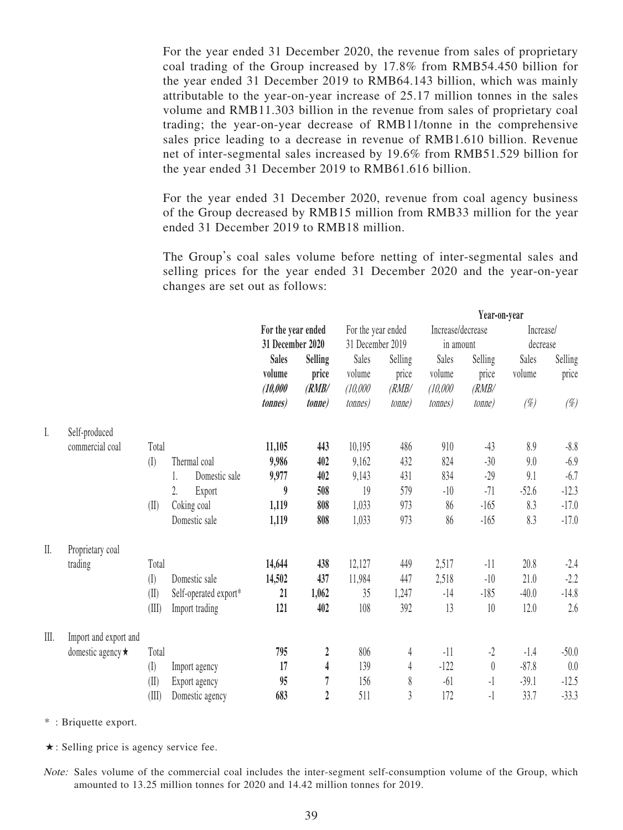For the year ended 31 December 2020, the revenue from sales of proprietary coal trading of the Group increased by 17.8% from RMB54.450 billion for the year ended 31 December 2019 to RMB64.143 billion, which was mainly attributable to the year-on-year increase of 25.17 million tonnes in the sales volume and RMB11.303 billion in the revenue from sales of proprietary coal trading; the year-on-year decrease of RMB11/tonne in the comprehensive sales price leading to a decrease in revenue of RMB1.610 billion. Revenue net of inter-segmental sales increased by 19.6% from RMB51.529 billion for the year ended 31 December 2019 to RMB61.616 billion.

For the year ended 31 December 2020, revenue from coal agency business of the Group decreased by RMB15 million from RMB33 million for the year ended 31 December 2019 to RMB18 million.

The Group's coal sales volume before netting of inter-segmental sales and selling prices for the year ended 31 December 2020 and the year-on-year changes are set out as follows:

|                      |                         |                            |                       |                    |                  |                    |                | Year-on-year      |                  |           |         |
|----------------------|-------------------------|----------------------------|-----------------------|--------------------|------------------|--------------------|----------------|-------------------|------------------|-----------|---------|
|                      |                         |                            |                       | For the year ended |                  | For the year ended |                | Increase/decrease |                  | Increase/ |         |
|                      |                         |                            |                       | 31 December 2020   |                  | 31 December 2019   |                | in amount         |                  | decrease  |         |
|                      |                         |                            |                       | <b>Sales</b>       | <b>Selling</b>   | Sales              | Selling        | Sales             | Selling          | Sales     | Selling |
|                      |                         |                            |                       | volume             | price            | volume             | price          | volume            | price            | volume    | price   |
|                      |                         |                            |                       | (10,000)           | (RMB/            | (10,000)           | (RMB/          | (10,000)          | (RMB/            |           |         |
|                      |                         |                            |                       | <i>tonnes</i> )    | <i>tonne</i> )   | <i>tonnes</i> )    | <i>tonne</i> ) | <i>tonnes</i> )   | <i>tonne</i> )   | $(\%)$    | $(\%)$  |
| I.                   | Self-produced           |                            |                       |                    |                  |                    |                |                   |                  |           |         |
|                      | commercial coal         | Total                      |                       | 11,105             | 443              | 10,195             | 486            | 910               | $-43$            | 8.9       | $-8.8$  |
|                      |                         | (I)                        | Thermal coal          | 9,986              | 402              | 9,162              | 432            | 824               | $-30$            | 9.0       | $-6.9$  |
|                      |                         |                            | Domestic sale<br>1.   | 9,977              | 402              | 9,143              | 431            | 834               | $-29$            | 9.1       | $-6.7$  |
|                      |                         |                            | 2.<br>Export          | 9                  | 508              | 19                 | 579            | $-10$             | $-71$            | $-52.6$   | $-12.3$ |
|                      |                         | (II)                       | Coking coal           | 1,119              | 808              | 1,033              | 973            | 86                | $-165$           | 8.3       | $-17.0$ |
|                      |                         |                            | Domestic sale         | 1,119              | 808              | 1,033              | 973            | 86                | $-165$           | 8.3       | $-17.0$ |
| $\prod_{\centerdot}$ | Proprietary coal        |                            |                       |                    |                  |                    |                |                   |                  |           |         |
|                      | trading                 | Total                      |                       | 14,644             | 438              | 12,127             | 449            | 2,517             | $-11$            | 20.8      | $-2.4$  |
|                      |                         | (I)                        | Domestic sale         | 14,502             | 437              | 11,984             | 447            | 2,518             | $-10$            | 21.0      | $-2.2$  |
|                      |                         | (II)                       | Self-operated export* | 21                 | 1,062            | 35                 | 1,247          | $-14$             | $-185$           | $-40.0$   | $-14.8$ |
|                      |                         | (III)                      | Import trading        | 121                | 402              | 108                | 392            | 13                | 10               | 12.0      | 2.6     |
| $\text{III}.$        | Import and export and   |                            |                       |                    |                  |                    |                |                   |                  |           |         |
|                      | domestic agency $\star$ | Total                      |                       | 795                | $\boldsymbol{2}$ | 806                | $\overline{4}$ | $-11$             | $-2$             | $-1.4$    | $-50.0$ |
|                      |                         | $\left( \mathrm{I}\right)$ | Import agency         | 17                 | $\overline{4}$   | 139                | $\overline{4}$ | $-122$            | $\boldsymbol{0}$ | $-87.8$   | $0.0\,$ |
|                      |                         | (II)                       | Export agency         | 95                 | $\overline{7}$   | 156                | 8              | $-61$             | $-1$             | $-39.1$   | $-12.5$ |
|                      |                         | (III)                      | Domestic agency       | 683                | $\overline{2}$   | 511                | $\overline{3}$ | 172               | $-1$             | 33.7      | $-33.3$ |

\* : Briquette export.

★: Selling price is agency service fee.

Note: Sales volume of the commercial coal includes the inter-segment self-consumption volume of the Group, which amounted to 13.25 million tonnes for 2020 and 14.42 million tonnes for 2019.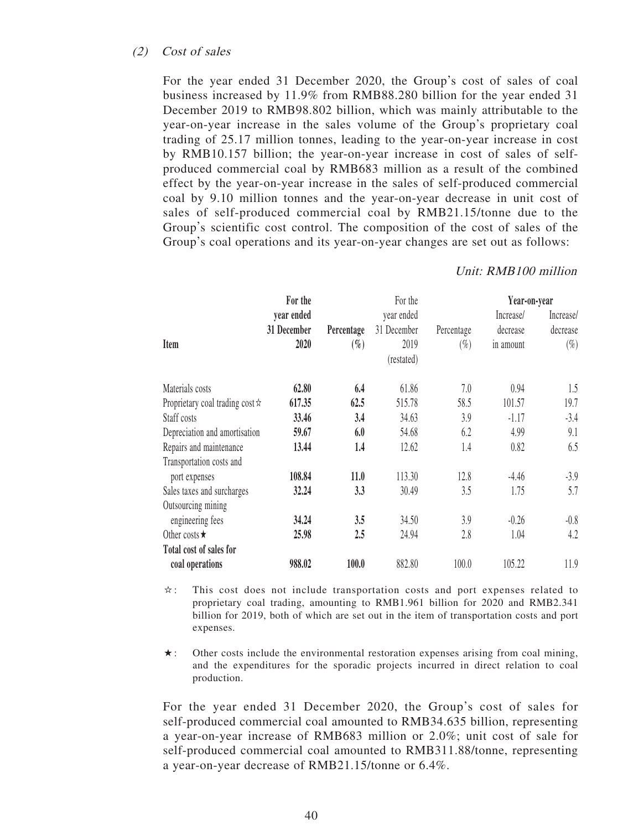#### (2) Cost of sales

For the year ended 31 December 2020, the Group's cost of sales of coal business increased by 11.9% from RMB88.280 billion for the year ended 31 December 2019 to RMB98.802 billion, which was mainly attributable to the year-on-year increase in the sales volume of the Group's proprietary coal trading of 25.17 million tonnes, leading to the year-on-year increase in cost by RMB10.157 billion; the year-on-year increase in cost of sales of selfproduced commercial coal by RMB683 million as a result of the combined effect by the year-on-year increase in the sales of self-produced commercial coal by 9.10 million tonnes and the year-on-year decrease in unit cost of sales of self-produced commercial coal by RMB21.15/tonne due to the Group's scientific cost control. The composition of the cost of sales of the Group's coal operations and its year-on-year changes are set out as follows:

#### **Item For the year ended 31 December 2020 Percentage (%)** For the year ended 31 December 2019 Percentage  $(\%)$ **Year-on-year** Increase/ decrease in amount Increase/ decrease  $(%)$ (restated) Materials costs **62.80 6.4** 61.86 7.0 0.94 1.5 Proprietary coal trading cost☆ **617.35 62.5** 515.78 58.5 101.57 19.7 Staff costs **33.46 3.4** 34.63 3.9 -1.17 -3.4 Depreciation and amortisation **59.67 6.0** 54.68 6.2 4.99 9.1 Repairs and maintenance **13.44 1.4** 12.62 1.4 0.82 6.5 Transportation costs and port expenses **108.84 11.0** 113.30 12.8 -4.46 -3.9 Sales taxes and surcharges **32.24 3.3** 30.49 3.5 1.75 5.7 Outsourcing mining engineering fees **34.24 3.5** 34.50 3.9 -0.26 -0.8 Other costs★ **25.98 2.5** 24.94 2.8 1.04 4.2 **Total cost of sales for coal operations 988.02 100.0** 882.80 100.0 105.22 11.9

#### Unit: RMB100 million

☆: This cost does not include transportation costs and port expenses related to proprietary coal trading, amounting to RMB1.961 billion for 2020 and RMB2.341 billion for 2019, both of which are set out in the item of transportation costs and port expenses.

★: Other costs include the environmental restoration expenses arising from coal mining, and the expenditures for the sporadic projects incurred in direct relation to coal production.

For the year ended 31 December 2020, the Group's cost of sales for self-produced commercial coal amounted to RMB34.635 billion, representing a year-on-year increase of RMB683 million or 2.0%; unit cost of sale for self-produced commercial coal amounted to RMB311.88/tonne, representing a year-on-year decrease of RMB21.15/tonne or 6.4%.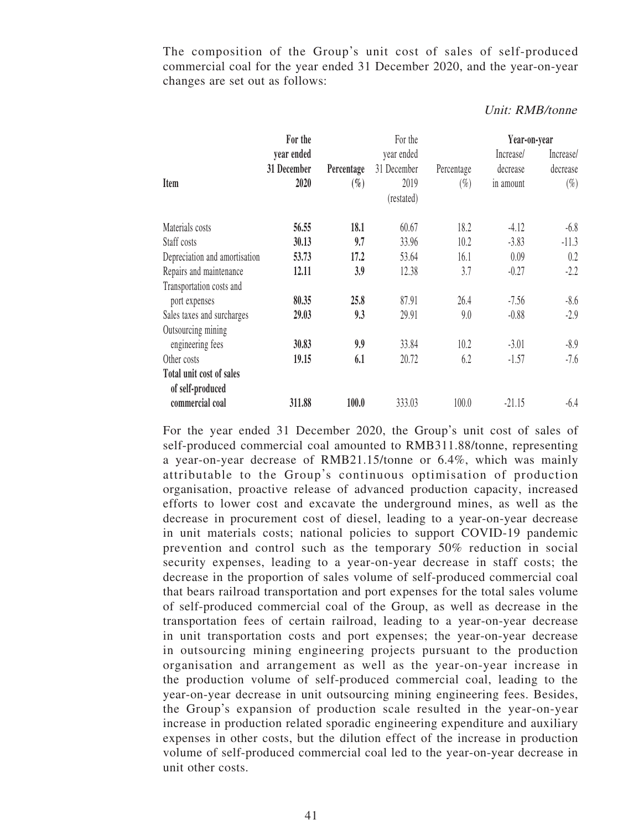The composition of the Group's unit cost of sales of self-produced commercial coal for the year ended 31 December 2020, and the year-on-year changes are set out as follows:

|                               | For the     |            | For the     |            | Year-on-year |           |
|-------------------------------|-------------|------------|-------------|------------|--------------|-----------|
|                               | year ended  |            | year ended  |            | Increase/    | Increase/ |
|                               | 31 December | Percentage | 31 December | Percentage | decrease     | decrease  |
| <b>Item</b>                   | 2020        | $(\%)$     | 2019        | $(\%)$     | in amount    | $(\%)$    |
|                               |             |            | (restated)  |            |              |           |
| Materials costs               | 56.55       | 18.1       | 60.67       | 18.2       | $-4.12$      | $-6.8$    |
| Staff costs                   | 30.13       | 9.7        | 33.96       | 10.2       | $-3.83$      | $-11.3$   |
| Depreciation and amortisation | 53.73       | 17.2       | 53.64       | 16.1       | 0.09         | 0.2       |
| Repairs and maintenance       | 12.11       | 3.9        | 12.38       | 3.7        | $-0.27$      | $-2.2$    |
| Transportation costs and      |             |            |             |            |              |           |
| port expenses                 | 80.35       | 25.8       | 87.91       | 26.4       | $-7.56$      | $-8.6$    |
| Sales taxes and surcharges    | 29.03       | 9.3        | 29.91       | 9.0        | $-0.88$      | $-2.9$    |
| Outsourcing mining            |             |            |             |            |              |           |
| engineering fees              | 30.83       | 9,9        | 33.84       | 10.2       | $-3.01$      | $-8.9$    |
| Other costs                   | 19.15       | 6.1        | 20.72       | 6.2        | $-1.57$      | $-7.6$    |
| Total unit cost of sales      |             |            |             |            |              |           |
| of self-produced              |             |            |             |            |              |           |
| commercial coal               | 311.88      | 100.0      | 333.03      | 100.0      | $-21.15$     | $-6.4$    |

#### Unit: RMB/tonne

For the year ended 31 December 2020, the Group's unit cost of sales of self-produced commercial coal amounted to RMB311.88/tonne, representing a year-on-year decrease of RMB21.15/tonne or 6.4%, which was mainly attributable to the Group's continuous optimisation of production organisation, proactive release of advanced production capacity, increased efforts to lower cost and excavate the underground mines, as well as the decrease in procurement cost of diesel, leading to a year-on-year decrease in unit materials costs; national policies to support COVID-19 pandemic prevention and control such as the temporary 50% reduction in social security expenses, leading to a year-on-year decrease in staff costs; the decrease in the proportion of sales volume of self-produced commercial coal that bears railroad transportation and port expenses for the total sales volume of self-produced commercial coal of the Group, as well as decrease in the transportation fees of certain railroad, leading to a year-on-year decrease in unit transportation costs and port expenses; the year-on-year decrease in outsourcing mining engineering projects pursuant to the production organisation and arrangement as well as the year-on-year increase in the production volume of self-produced commercial coal, leading to the year-on-year decrease in unit outsourcing mining engineering fees. Besides, the Group's expansion of production scale resulted in the year-on-year increase in production related sporadic engineering expenditure and auxiliary expenses in other costs, but the dilution effect of the increase in production volume of self-produced commercial coal led to the year-on-year decrease in unit other costs.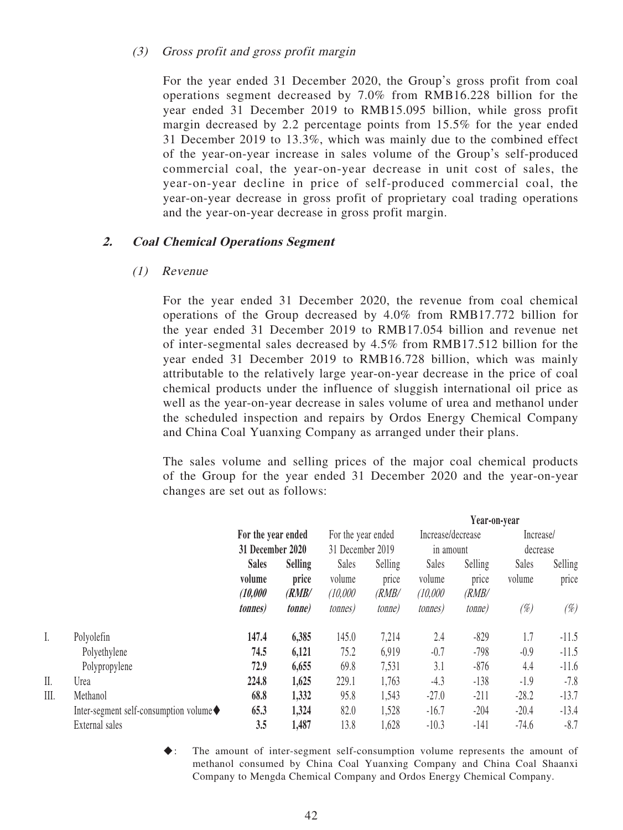#### (3) Gross profit and gross profit margin

For the year ended 31 December 2020, the Group's gross profit from coal operations segment decreased by 7.0% from RMB16.228 billion for the year ended 31 December 2019 to RMB15.095 billion, while gross profit margin decreased by 2.2 percentage points from 15.5% for the year ended 31 December 2019 to 13.3%, which was mainly due to the combined effect of the year-on-year increase in sales volume of the Group's self-produced commercial coal, the year-on-year decrease in unit cost of sales, the year-on-year decline in price of self-produced commercial coal, the year-on-year decrease in gross profit of proprietary coal trading operations and the year-on-year decrease in gross profit margin.

### **2. Coal Chemical Operations Segment**

(1) Revenue

For the year ended 31 December 2020, the revenue from coal chemical operations of the Group decreased by 4.0% from RMB17.772 billion for the year ended 31 December 2019 to RMB17.054 billion and revenue net of inter-segmental sales decreased by 4.5% from RMB17.512 billion for the year ended 31 December 2019 to RMB16.728 billion, which was mainly attributable to the relatively large year-on-year decrease in the price of coal chemical products under the influence of sluggish international oil price as well as the year-on-year decrease in sales volume of urea and methanol under the scheduled inspection and repairs by Ordos Energy Chemical Company and China Coal Yuanxing Company as arranged under their plans.

The sales volume and selling prices of the major coal chemical products of the Group for the year ended 31 December 2020 and the year-on-year changes are set out as follows:

|      |                                                       |                    |                  |                    |                  | Year-on-vear      |         |           |         |
|------|-------------------------------------------------------|--------------------|------------------|--------------------|------------------|-------------------|---------|-----------|---------|
|      |                                                       | For the year ended |                  | For the year ended |                  | Increase/decrease |         | Increase/ |         |
|      |                                                       |                    | 31 December 2020 |                    | 31 December 2019 | in amount         |         | decrease  |         |
|      |                                                       | <b>Sales</b>       | <b>Selling</b>   | Sales              | Selling          | Sales             | Selling | Sales     | Selling |
|      |                                                       | volume             | price            | volume             | price            | volume            | price   | volume    | price   |
|      |                                                       | (10,000)           | (RMB/            | (10,000)           | (RMB/            | (10,000)          | (RMB/   |           |         |
|      |                                                       | <i>tonnes</i>      | <i>tonne</i>     | <i>tonnes</i> )    | <i>tonne</i> )   | <i>tonnes</i> )   | tonne)  | (%)       | (%)     |
|      | Polyolefin                                            | 147.4              | 6,385            | 145.0              | 7,214            | 2.4               | $-829$  | 1.7       | $-11.5$ |
|      | Polyethylene                                          | 74.5               | 6,121            | 75.2               | 6,919            | $-0.7$            | $-798$  | $-0.9$    | $-11.5$ |
|      | Polypropylene                                         | 72.9               | 6,655            | 69.8               | 7,531            | 3.1               | $-876$  | 4.4       | $-11.6$ |
| ΙΙ.  | Urea                                                  | 224.8              | 1,625            | 229.1              | 1,763            | $-4.3$            | $-138$  | $-1.9$    | $-7.8$  |
| III. | Methanol                                              | 68.8               | 1,332            | 95.8               | 1,543            | $-27.0$           | $-211$  | $-28.2$   | $-13.7$ |
|      | Inter-segment self-consumption volume $\blacklozenge$ | 65.3               | 1,324            | 82.0               | 1,528            | $-16.7$           | $-204$  | $-20.4$   | $-13.4$ |
|      | External sales                                        | 3.5                | 1,487            | 13.8               | 1,628            | $-10.3$           | $-141$  | $-74.6$   | $-8.7$  |

◆: The amount of inter-segment self-consumption volume represents the amount of methanol consumed by China Coal Yuanxing Company and China Coal Shaanxi Company to Mengda Chemical Company and Ordos Energy Chemical Company.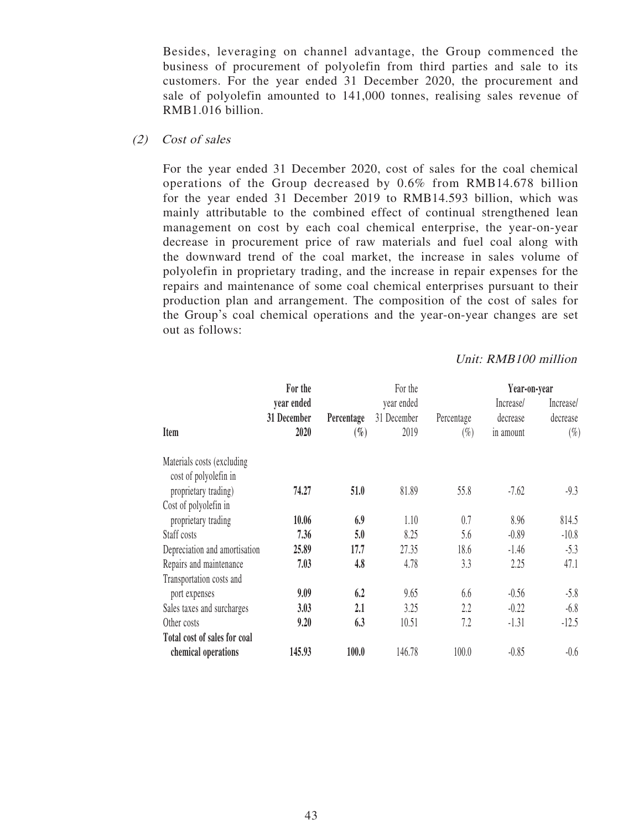Besides, leveraging on channel advantage, the Group commenced the business of procurement of polyolefin from third parties and sale to its customers. For the year ended 31 December 2020, the procurement and sale of polyolefin amounted to 141,000 tonnes, realising sales revenue of RMB1.016 billion.

(2) Cost of sales

For the year ended 31 December 2020, cost of sales for the coal chemical operations of the Group decreased by 0.6% from RMB14.678 billion for the year ended 31 December 2019 to RMB14.593 billion, which was mainly attributable to the combined effect of continual strengthened lean management on cost by each coal chemical enterprise, the year-on-year decrease in procurement price of raw materials and fuel coal along with the downward trend of the coal market, the increase in sales volume of polyolefin in proprietary trading, and the increase in repair expenses for the repairs and maintenance of some coal chemical enterprises pursuant to their production plan and arrangement. The composition of the cost of sales for the Group's coal chemical operations and the year-on-year changes are set out as follows:

#### Unit: RMB100 million

|                                                     | For the     |            | For the     |            | Year-on-year |           |
|-----------------------------------------------------|-------------|------------|-------------|------------|--------------|-----------|
|                                                     | year ended  |            | year ended  |            | Increase/    | Increase/ |
|                                                     | 31 December | Percentage | 31 December | Percentage | decrease     | decrease  |
| Item                                                | 2020        | $(\%)$     | 2019        | $(\%)$     | in amount    | $(\%)$    |
| Materials costs (excluding<br>cost of polyolefin in |             |            |             |            |              |           |
| proprietary trading)                                | 74.27       | 51.0       | 81.89       | 55.8       | $-7.62$      | $-9.3$    |
| Cost of polyolefin in                               |             |            |             |            |              |           |
| proprietary trading                                 | 10.06       | 6.9        | 1.10        | 0.7        | 8.96         | 814.5     |
| Staff costs                                         | 7.36        | 5.0        | 8.25        | 5.6        | $-0.89$      | $-10.8$   |
| Depreciation and amortisation                       | 25.89       | 17.7       | 27.35       | 18.6       | $-1.46$      | $-5.3$    |
| Repairs and maintenance                             | 7.03        | 4.8        | 4.78        | 3.3        | 2.25         | 47.1      |
| Transportation costs and                            |             |            |             |            |              |           |
| port expenses                                       | 9.09        | 6.2        | 9.65        | 6.6        | $-0.56$      | $-5.8$    |
| Sales taxes and surcharges                          | 3.03        | 2.1        | 3.25        | 2.2        | $-0.22$      | $-6.8$    |
| Other costs                                         | 9.20        | 6.3        | 10.51       | 7.2        | $-1.31$      | $-12.5$   |
| Total cost of sales for coal                        |             |            |             |            |              |           |
| chemical operations                                 | 145.93      | 100.0      | 146.78      | 100.0      | $-0.85$      | $-0.6$    |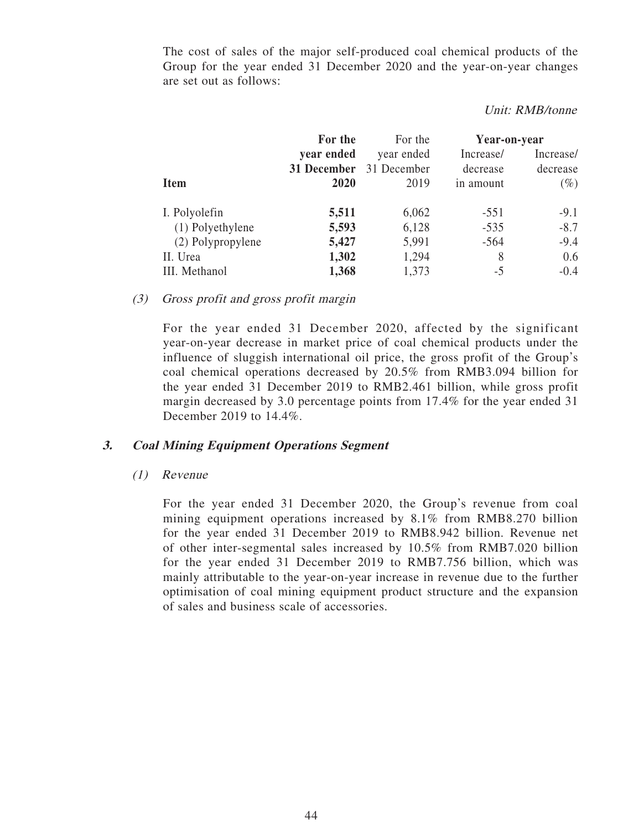The cost of sales of the major self-produced coal chemical products of the Group for the year ended 31 December 2020 and the year-on-year changes are set out as follows:

|                   | For the     | For the     | Year-on-year |           |
|-------------------|-------------|-------------|--------------|-----------|
|                   | year ended  | year ended  | Increase/    | Increase/ |
|                   | 31 December | 31 December | decrease     | decrease  |
| <b>Item</b>       | 2020        | 2019        | in amount    | $(\%)$    |
| I. Polyolefin     | 5,511       | 6,062       | $-551$       | $-9.1$    |
| (1) Polyethylene  | 5,593       | 6,128       | $-535$       | $-8.7$    |
| (2) Polypropylene | 5,427       | 5,991       | $-564$       | $-9.4$    |
| II. Urea          | 1,302       | 1,294       | 8            | 0.6       |
| III. Methanol     | 1,368       | 1,373       | $-5$         | $-0.4$    |

#### Unit: RMB/tonne

#### (3) Gross profit and gross profit margin

For the year ended 31 December 2020, affected by the significant year-on-year decrease in market price of coal chemical products under the influence of sluggish international oil price, the gross profit of the Group's coal chemical operations decreased by 20.5% from RMB3.094 billion for the year ended 31 December 2019 to RMB2.461 billion, while gross profit margin decreased by 3.0 percentage points from 17.4% for the year ended 31 December 2019 to 14.4%.

#### **3. Coal Mining Equipment Operations Segment**

#### (1) Revenue

For the year ended 31 December 2020, the Group's revenue from coal mining equipment operations increased by 8.1% from RMB8.270 billion for the year ended 31 December 2019 to RMB8.942 billion. Revenue net of other inter-segmental sales increased by 10.5% from RMB7.020 billion for the year ended 31 December 2019 to RMB7.756 billion, which was mainly attributable to the year-on-year increase in revenue due to the further optimisation of coal mining equipment product structure and the expansion of sales and business scale of accessories.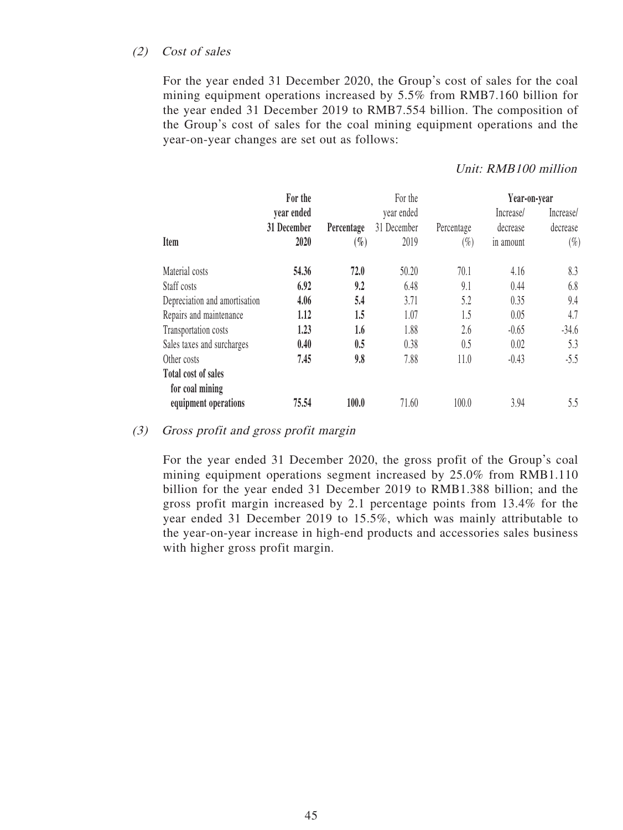#### (2) Cost of sales

For the year ended 31 December 2020, the Group's cost of sales for the coal mining equipment operations increased by 5.5% from RMB7.160 billion for the year ended 31 December 2019 to RMB7.554 billion. The composition of the Group's cost of sales for the coal mining equipment operations and the year-on-year changes are set out as follows:

#### Unit: RMB100 million

|                               | For the     |            | For the     |            | Year-on-year |           |
|-------------------------------|-------------|------------|-------------|------------|--------------|-----------|
|                               | vear ended  |            | year ended  |            | Increase/    | Increase/ |
|                               | 31 December | Percentage | 31 December | Percentage | decrease     | decrease  |
| <b>Item</b>                   | 2020        | $(\%)$     | 2019        | $(\%)$     | in amount    | $(\%)$    |
| Material costs                | 54.36       | 72.0       | 50.20       | 70.1       | 4.16         | 8.3       |
| Staff costs                   | 6.92        | 9.2        | 6.48        | 9.1        | 0.44         | 6.8       |
| Depreciation and amortisation | 4.06        | 5.4        | 3.71        | 5.2        | 0.35         | 9.4       |
| Repairs and maintenance       | 1.12        | 1.5        | 1.07        | 1.5        | 0.05         | 4.7       |
| Transportation costs          | 1.23        | 1.6        | 1.88        | 2.6        | $-0.65$      | $-34.6$   |
| Sales taxes and surcharges    | 0.40        | 0.5        | 0.38        | 0.5        | 0.02         | 5.3       |
| Other costs                   | 7.45        | 9.8        | 7.88        | 11.0       | $-0.43$      | $-5.5$    |
| Total cost of sales           |             |            |             |            |              |           |
| for coal mining               |             |            |             |            |              |           |
| equipment operations          | 75.54       | 100.0      | 71.60       | 100.0      | 3.94         | 5.5       |

#### (3) Gross profit and gross profit margin

For the year ended 31 December 2020, the gross profit of the Group's coal mining equipment operations segment increased by 25.0% from RMB1.110 billion for the year ended 31 December 2019 to RMB1.388 billion; and the gross profit margin increased by 2.1 percentage points from 13.4% for the year ended 31 December 2019 to 15.5%, which was mainly attributable to the year-on-year increase in high-end products and accessories sales business with higher gross profit margin.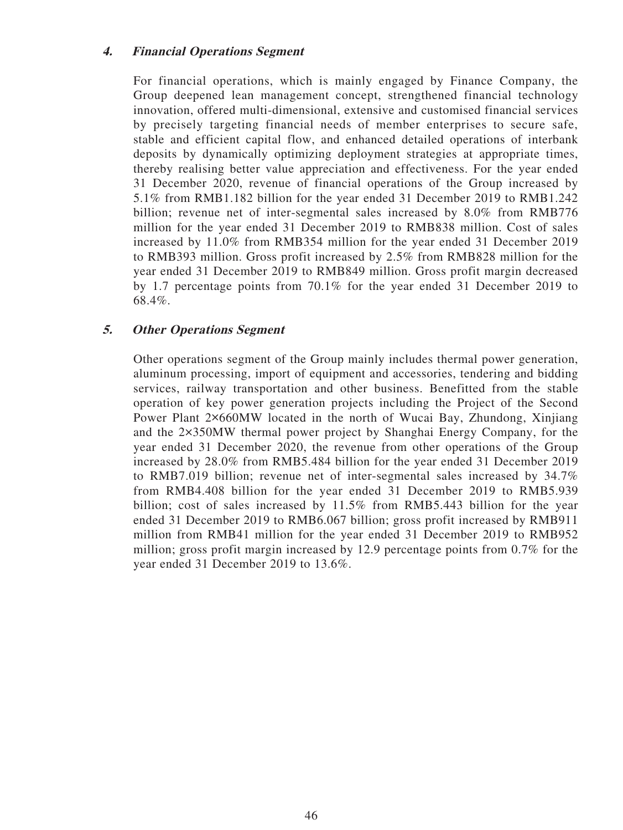### **4. Financial Operations Segment**

For financial operations, which is mainly engaged by Finance Company, the Group deepened lean management concept, strengthened financial technology innovation, offered multi-dimensional, extensive and customised financial services by precisely targeting financial needs of member enterprises to secure safe, stable and efficient capital flow, and enhanced detailed operations of interbank deposits by dynamically optimizing deployment strategies at appropriate times, thereby realising better value appreciation and effectiveness. For the year ended 31 December 2020, revenue of financial operations of the Group increased by 5.1% from RMB1.182 billion for the year ended 31 December 2019 to RMB1.242 billion; revenue net of inter-segmental sales increased by 8.0% from RMB776 million for the year ended 31 December 2019 to RMB838 million. Cost of sales increased by 11.0% from RMB354 million for the year ended 31 December 2019 to RMB393 million. Gross profit increased by 2.5% from RMB828 million for the year ended 31 December 2019 to RMB849 million. Gross profit margin decreased by 1.7 percentage points from 70.1% for the year ended 31 December 2019 to 68.4%.

### **5. Other Operations Segment**

Other operations segment of the Group mainly includes thermal power generation, aluminum processing, import of equipment and accessories, tendering and bidding services, railway transportation and other business. Benefitted from the stable operation of key power generation projects including the Project of the Second Power Plant 2×660MW located in the north of Wucai Bay, Zhundong, Xinjiang and the 2×350MW thermal power project by Shanghai Energy Company, for the year ended 31 December 2020, the revenue from other operations of the Group increased by 28.0% from RMB5.484 billion for the year ended 31 December 2019 to RMB7.019 billion; revenue net of inter-segmental sales increased by 34.7% from RMB4.408 billion for the year ended 31 December 2019 to RMB5.939 billion; cost of sales increased by 11.5% from RMB5.443 billion for the year ended 31 December 2019 to RMB6.067 billion; gross profit increased by RMB911 million from RMB41 million for the year ended 31 December 2019 to RMB952 million; gross profit margin increased by 12.9 percentage points from 0.7% for the year ended 31 December 2019 to 13.6%.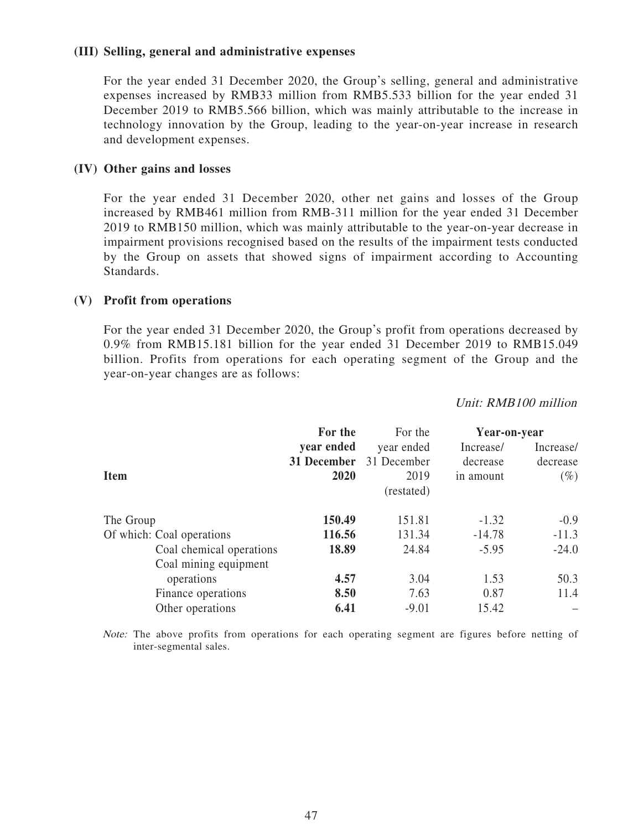#### **(III) Selling, general and administrative expenses**

For the year ended 31 December 2020, the Group's selling, general and administrative expenses increased by RMB33 million from RMB5.533 billion for the year ended 31 December 2019 to RMB5.566 billion, which was mainly attributable to the increase in technology innovation by the Group, leading to the year-on-year increase in research and development expenses.

#### **(IV) Other gains and losses**

For the year ended 31 December 2020, other net gains and losses of the Group increased by RMB461 million from RMB-311 million for the year ended 31 December 2019 to RMB150 million, which was mainly attributable to the year-on-year decrease in impairment provisions recognised based on the results of the impairment tests conducted by the Group on assets that showed signs of impairment according to Accounting Standards.

#### **(V) Profit from operations**

For the year ended 31 December 2020, the Group's profit from operations decreased by 0.9% from RMB15.181 billion for the year ended 31 December 2019 to RMB15.049 billion. Profits from operations for each operating segment of the Group and the year-on-year changes are as follows:

Unit: RMB100 million

|                           | For the     | For the     | Year-on-year |           |
|---------------------------|-------------|-------------|--------------|-----------|
|                           | year ended  | year ended  | Increase/    | Increase/ |
|                           | 31 December | 31 December | decrease     | decrease  |
| <b>Item</b>               | 2020        | 2019        | in amount    | $(\%)$    |
|                           |             | (restated)  |              |           |
| The Group                 | 150.49      | 151.81      | $-1.32$      | $-0.9$    |
| Of which: Coal operations | 116.56      | 131.34      | $-14.78$     | $-11.3$   |
| Coal chemical operations  | 18.89       | 24.84       | $-5.95$      | $-24.0$   |
| Coal mining equipment     |             |             |              |           |
| operations                | 4.57        | 3.04        | 1.53         | 50.3      |
| Finance operations        | 8.50        | 7.63        | 0.87         | 11.4      |
| Other operations          | 6.41        | $-9.01$     | 15.42        |           |

Note: The above profits from operations for each operating segment are figures before netting of inter-segmental sales.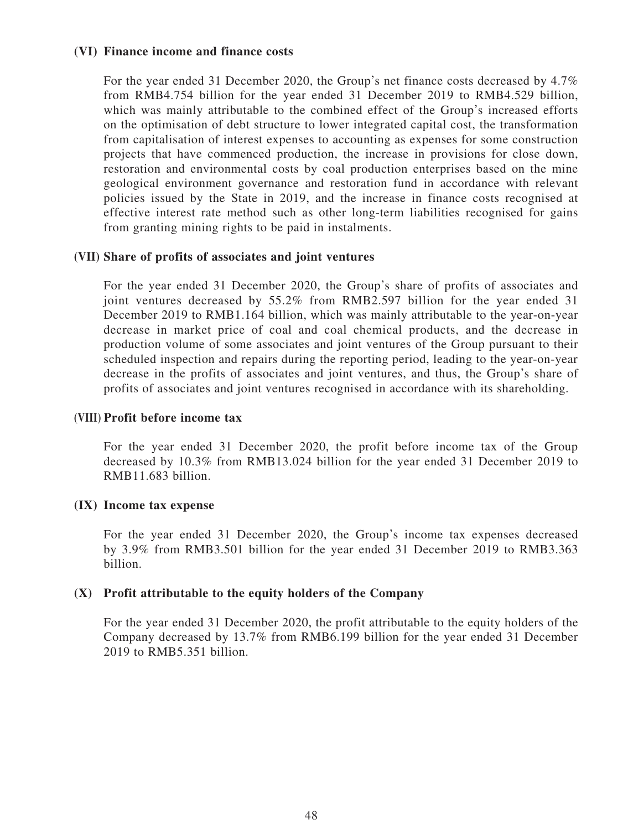#### **(VI) Finance income and finance costs**

For the year ended 31 December 2020, the Group's net finance costs decreased by 4.7% from RMB4.754 billion for the year ended 31 December 2019 to RMB4.529 billion, which was mainly attributable to the combined effect of the Group's increased efforts on the optimisation of debt structure to lower integrated capital cost, the transformation from capitalisation of interest expenses to accounting as expenses for some construction projects that have commenced production, the increase in provisions for close down, restoration and environmental costs by coal production enterprises based on the mine geological environment governance and restoration fund in accordance with relevant policies issued by the State in 2019, and the increase in finance costs recognised at effective interest rate method such as other long-term liabilities recognised for gains from granting mining rights to be paid in instalments.

#### **(VII) Share of profits of associates and joint ventures**

For the year ended 31 December 2020, the Group's share of profits of associates and joint ventures decreased by 55.2% from RMB2.597 billion for the year ended 31 December 2019 to RMB1.164 billion, which was mainly attributable to the year-on-year decrease in market price of coal and coal chemical products, and the decrease in production volume of some associates and joint ventures of the Group pursuant to their scheduled inspection and repairs during the reporting period, leading to the year-on-year decrease in the profits of associates and joint ventures, and thus, the Group's share of profits of associates and joint ventures recognised in accordance with its shareholding.

#### **(VIII) Profit before income tax**

For the year ended 31 December 2020, the profit before income tax of the Group decreased by 10.3% from RMB13.024 billion for the year ended 31 December 2019 to RMB11.683 billion.

#### **(IX) Income tax expense**

For the year ended 31 December 2020, the Group's income tax expenses decreased by 3.9% from RMB3.501 billion for the year ended 31 December 2019 to RMB3.363 billion.

#### **(X) Profit attributable to the equity holders of the Company**

For the year ended 31 December 2020, the profit attributable to the equity holders of the Company decreased by 13.7% from RMB6.199 billion for the year ended 31 December 2019 to RMB5.351 billion.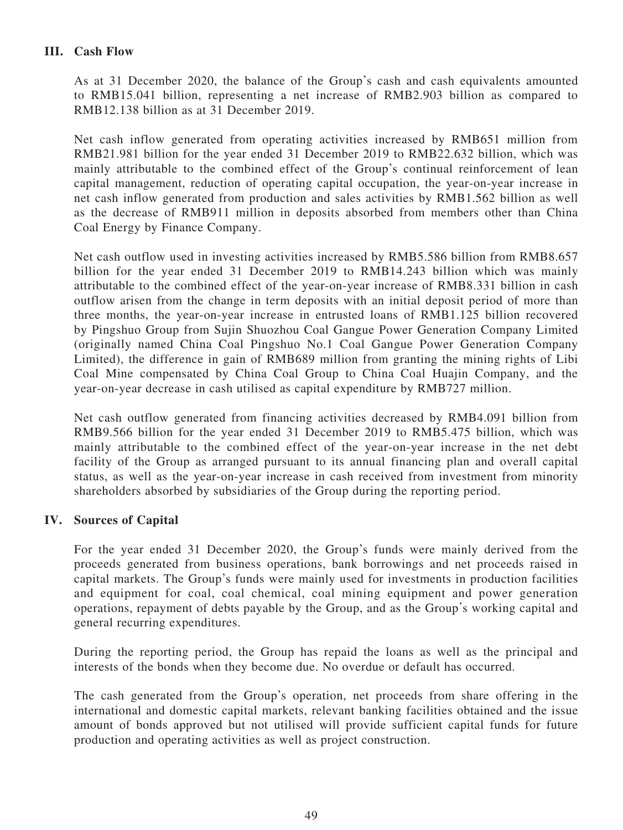### **III. Cash Flow**

As at 31 December 2020, the balance of the Group's cash and cash equivalents amounted to RMB15.041 billion, representing a net increase of RMB2.903 billion as compared to RMB12.138 billion as at 31 December 2019.

Net cash inflow generated from operating activities increased by RMB651 million from RMB21.981 billion for the year ended 31 December 2019 to RMB22.632 billion, which was mainly attributable to the combined effect of the Group's continual reinforcement of lean capital management, reduction of operating capital occupation, the year-on-year increase in net cash inflow generated from production and sales activities by RMB1.562 billion as well as the decrease of RMB911 million in deposits absorbed from members other than China Coal Energy by Finance Company.

Net cash outflow used in investing activities increased by RMB5.586 billion from RMB8.657 billion for the year ended 31 December 2019 to RMB14.243 billion which was mainly attributable to the combined effect of the year-on-year increase of RMB8.331 billion in cash outflow arisen from the change in term deposits with an initial deposit period of more than three months, the year-on-year increase in entrusted loans of RMB1.125 billion recovered by Pingshuo Group from Sujin Shuozhou Coal Gangue Power Generation Company Limited (originally named China Coal Pingshuo No.1 Coal Gangue Power Generation Company Limited), the difference in gain of RMB689 million from granting the mining rights of Libi Coal Mine compensated by China Coal Group to China Coal Huajin Company, and the year-on-year decrease in cash utilised as capital expenditure by RMB727 million.

Net cash outflow generated from financing activities decreased by RMB4.091 billion from RMB9.566 billion for the year ended 31 December 2019 to RMB5.475 billion, which was mainly attributable to the combined effect of the year-on-year increase in the net debt facility of the Group as arranged pursuant to its annual financing plan and overall capital status, as well as the year-on-year increase in cash received from investment from minority shareholders absorbed by subsidiaries of the Group during the reporting period.

#### **IV. Sources of Capital**

For the year ended 31 December 2020, the Group's funds were mainly derived from the proceeds generated from business operations, bank borrowings and net proceeds raised in capital markets. The Group's funds were mainly used for investments in production facilities and equipment for coal, coal chemical, coal mining equipment and power generation operations, repayment of debts payable by the Group, and as the Group's working capital and general recurring expenditures.

During the reporting period, the Group has repaid the loans as well as the principal and interests of the bonds when they become due. No overdue or default has occurred.

The cash generated from the Group's operation, net proceeds from share offering in the international and domestic capital markets, relevant banking facilities obtained and the issue amount of bonds approved but not utilised will provide sufficient capital funds for future production and operating activities as well as project construction.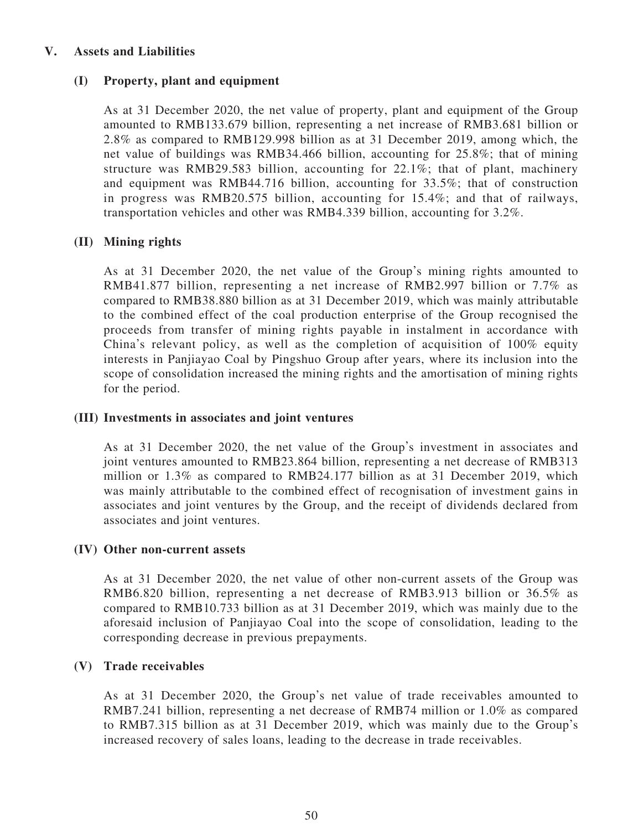#### **V. Assets and Liabilities**

### **(I) Property, plant and equipment**

As at 31 December 2020, the net value of property, plant and equipment of the Group amounted to RMB133.679 billion, representing a net increase of RMB3.681 billion or 2.8% as compared to RMB129.998 billion as at 31 December 2019, among which, the net value of buildings was RMB34.466 billion, accounting for 25.8%; that of mining structure was RMB29.583 billion, accounting for 22.1%; that of plant, machinery and equipment was RMB44.716 billion, accounting for 33.5%; that of construction in progress was RMB20.575 billion, accounting for 15.4%; and that of railways, transportation vehicles and other was RMB4.339 billion, accounting for 3.2%.

## **(II) Mining rights**

As at 31 December 2020, the net value of the Group's mining rights amounted to RMB41.877 billion, representing a net increase of RMB2.997 billion or 7.7% as compared to RMB38.880 billion as at 31 December 2019, which was mainly attributable to the combined effect of the coal production enterprise of the Group recognised the proceeds from transfer of mining rights payable in instalment in accordance with China's relevant policy, as well as the completion of acquisition of 100% equity interests in Panjiayao Coal by Pingshuo Group after years, where its inclusion into the scope of consolidation increased the mining rights and the amortisation of mining rights for the period.

#### **(III) Investments in associates and joint ventures**

As at 31 December 2020, the net value of the Group's investment in associates and joint ventures amounted to RMB23.864 billion, representing a net decrease of RMB313 million or 1.3% as compared to RMB24.177 billion as at 31 December 2019, which was mainly attributable to the combined effect of recognisation of investment gains in associates and joint ventures by the Group, and the receipt of dividends declared from associates and joint ventures.

#### **(IV) Other non-current assets**

As at 31 December 2020, the net value of other non-current assets of the Group was RMB6.820 billion, representing a net decrease of RMB3.913 billion or 36.5% as compared to RMB10.733 billion as at 31 December 2019, which was mainly due to the aforesaid inclusion of Panjiayao Coal into the scope of consolidation, leading to the corresponding decrease in previous prepayments.

### **(V) Trade receivables**

As at 31 December 2020, the Group's net value of trade receivables amounted to RMB7.241 billion, representing a net decrease of RMB74 million or 1.0% as compared to RMB7.315 billion as at 31 December 2019, which was mainly due to the Group's increased recovery of sales loans, leading to the decrease in trade receivables.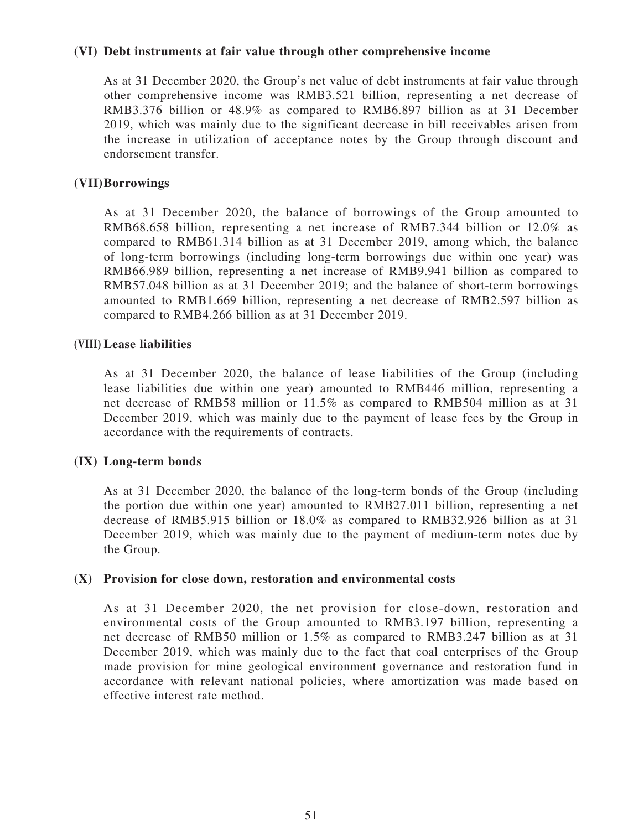#### **(VI) Debt instruments at fair value through other comprehensive income**

As at 31 December 2020, the Group's net value of debt instruments at fair value through other comprehensive income was RMB3.521 billion, representing a net decrease of RMB3.376 billion or 48.9% as compared to RMB6.897 billion as at 31 December 2019, which was mainly due to the significant decrease in bill receivables arisen from the increase in utilization of acceptance notes by the Group through discount and endorsement transfer.

#### **(VII) Borrowings**

As at 31 December 2020, the balance of borrowings of the Group amounted to RMB68.658 billion, representing a net increase of RMB7.344 billion or 12.0% as compared to RMB61.314 billion as at 31 December 2019, among which, the balance of long-term borrowings (including long-term borrowings due within one year) was RMB66.989 billion, representing a net increase of RMB9.941 billion as compared to RMB57.048 billion as at 31 December 2019; and the balance of short-term borrowings amounted to RMB1.669 billion, representing a net decrease of RMB2.597 billion as compared to RMB4.266 billion as at 31 December 2019.

#### **(VIII) Lease liabilities**

As at 31 December 2020, the balance of lease liabilities of the Group (including lease liabilities due within one year) amounted to RMB446 million, representing a net decrease of RMB58 million or 11.5% as compared to RMB504 million as at 31 December 2019, which was mainly due to the payment of lease fees by the Group in accordance with the requirements of contracts.

#### **(IX) Long-term bonds**

As at 31 December 2020, the balance of the long-term bonds of the Group (including the portion due within one year) amounted to RMB27.011 billion, representing a net decrease of RMB5.915 billion or 18.0% as compared to RMB32.926 billion as at 31 December 2019, which was mainly due to the payment of medium-term notes due by the Group.

#### **(X) Provision for close down, restoration and environmental costs**

As at 31 December 2020, the net provision for close-down, restoration and environmental costs of the Group amounted to RMB3.197 billion, representing a net decrease of RMB50 million or 1.5% as compared to RMB3.247 billion as at 31 December 2019, which was mainly due to the fact that coal enterprises of the Group made provision for mine geological environment governance and restoration fund in accordance with relevant national policies, where amortization was made based on effective interest rate method.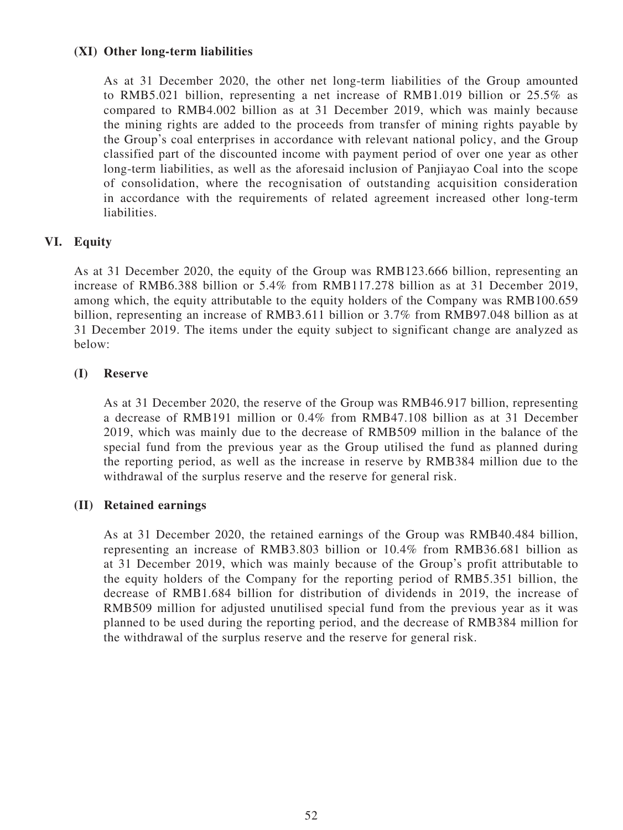### **(XI) Other long-term liabilities**

As at 31 December 2020, the other net long-term liabilities of the Group amounted to RMB5.021 billion, representing a net increase of RMB1.019 billion or 25.5% as compared to RMB4.002 billion as at 31 December 2019, which was mainly because the mining rights are added to the proceeds from transfer of mining rights payable by the Group's coal enterprises in accordance with relevant national policy, and the Group classified part of the discounted income with payment period of over one year as other long-term liabilities, as well as the aforesaid inclusion of Panjiayao Coal into the scope of consolidation, where the recognisation of outstanding acquisition consideration in accordance with the requirements of related agreement increased other long-term liabilities.

### **VI. Equity**

As at 31 December 2020, the equity of the Group was RMB123.666 billion, representing an increase of RMB6.388 billion or 5.4% from RMB117.278 billion as at 31 December 2019, among which, the equity attributable to the equity holders of the Company was RMB100.659 billion, representing an increase of RMB3.611 billion or 3.7% from RMB97.048 billion as at 31 December 2019. The items under the equity subject to significant change are analyzed as below:

### **(I) Reserve**

As at 31 December 2020, the reserve of the Group was RMB46.917 billion, representing a decrease of RMB191 million or 0.4% from RMB47.108 billion as at 31 December 2019, which was mainly due to the decrease of RMB509 million in the balance of the special fund from the previous year as the Group utilised the fund as planned during the reporting period, as well as the increase in reserve by RMB384 million due to the withdrawal of the surplus reserve and the reserve for general risk.

### **(II) Retained earnings**

As at 31 December 2020, the retained earnings of the Group was RMB40.484 billion, representing an increase of RMB3.803 billion or 10.4% from RMB36.681 billion as at 31 December 2019, which was mainly because of the Group's profit attributable to the equity holders of the Company for the reporting period of RMB5.351 billion, the decrease of RMB1.684 billion for distribution of dividends in 2019, the increase of RMB509 million for adjusted unutilised special fund from the previous year as it was planned to be used during the reporting period, and the decrease of RMB384 million for the withdrawal of the surplus reserve and the reserve for general risk.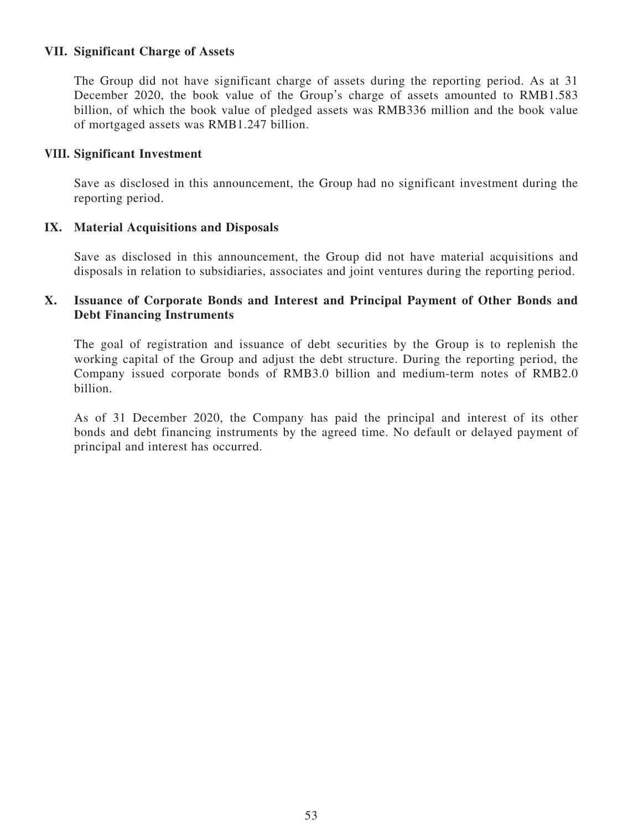#### **VII. Significant Charge of Assets**

The Group did not have significant charge of assets during the reporting period. As at 31 December 2020, the book value of the Group's charge of assets amounted to RMB1.583 billion, of which the book value of pledged assets was RMB336 million and the book value of mortgaged assets was RMB1.247 billion.

#### **VIII. Significant Investment**

Save as disclosed in this announcement, the Group had no significant investment during the reporting period.

### **IX. Material Acquisitions and Disposals**

Save as disclosed in this announcement, the Group did not have material acquisitions and disposals in relation to subsidiaries, associates and joint ventures during the reporting period.

### **X. Issuance of Corporate Bonds and Interest and Principal Payment of Other Bonds and Debt Financing Instruments**

The goal of registration and issuance of debt securities by the Group is to replenish the working capital of the Group and adjust the debt structure. During the reporting period, the Company issued corporate bonds of RMB3.0 billion and medium-term notes of RMB2.0 billion.

As of 31 December 2020, the Company has paid the principal and interest of its other bonds and debt financing instruments by the agreed time. No default or delayed payment of principal and interest has occurred.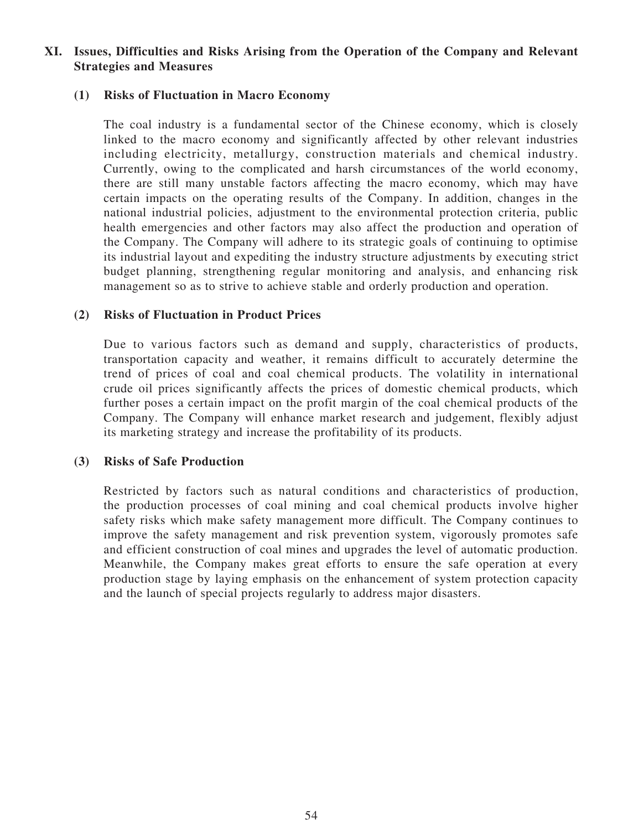### **XI. Issues, Difficulties and Risks Arising from the Operation of the Company and Relevant Strategies and Measures**

#### **(1) Risks of Fluctuation in Macro Economy**

The coal industry is a fundamental sector of the Chinese economy, which is closely linked to the macro economy and significantly affected by other relevant industries including electricity, metallurgy, construction materials and chemical industry. Currently, owing to the complicated and harsh circumstances of the world economy, there are still many unstable factors affecting the macro economy, which may have certain impacts on the operating results of the Company. In addition, changes in the national industrial policies, adjustment to the environmental protection criteria, public health emergencies and other factors may also affect the production and operation of the Company. The Company will adhere to its strategic goals of continuing to optimise its industrial layout and expediting the industry structure adjustments by executing strict budget planning, strengthening regular monitoring and analysis, and enhancing risk management so as to strive to achieve stable and orderly production and operation.

#### **(2) Risks of Fluctuation in Product Prices**

Due to various factors such as demand and supply, characteristics of products, transportation capacity and weather, it remains difficult to accurately determine the trend of prices of coal and coal chemical products. The volatility in international crude oil prices significantly affects the prices of domestic chemical products, which further poses a certain impact on the profit margin of the coal chemical products of the Company. The Company will enhance market research and judgement, flexibly adjust its marketing strategy and increase the profitability of its products.

#### **(3) Risks of Safe Production**

Restricted by factors such as natural conditions and characteristics of production, the production processes of coal mining and coal chemical products involve higher safety risks which make safety management more difficult. The Company continues to improve the safety management and risk prevention system, vigorously promotes safe and efficient construction of coal mines and upgrades the level of automatic production. Meanwhile, the Company makes great efforts to ensure the safe operation at every production stage by laying emphasis on the enhancement of system protection capacity and the launch of special projects regularly to address major disasters.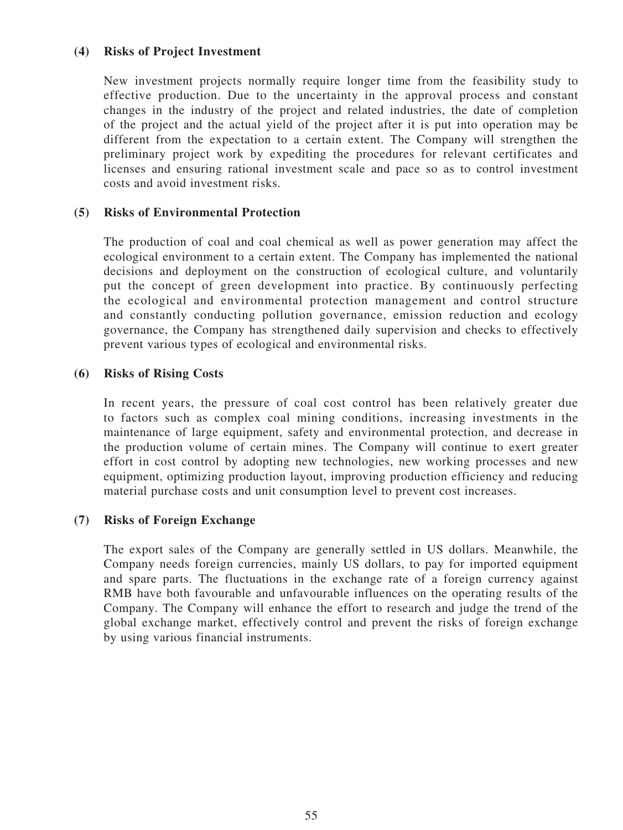#### **(4) Risks of Project Investment**

New investment projects normally require longer time from the feasibility study to effective production. Due to the uncertainty in the approval process and constant changes in the industry of the project and related industries, the date of completion of the project and the actual yield of the project after it is put into operation may be different from the expectation to a certain extent. The Company will strengthen the preliminary project work by expediting the procedures for relevant certificates and licenses and ensuring rational investment scale and pace so as to control investment costs and avoid investment risks.

### **(5) Risks of Environmental Protection**

The production of coal and coal chemical as well as power generation may affect the ecological environment to a certain extent. The Company has implemented the national decisions and deployment on the construction of ecological culture, and voluntarily put the concept of green development into practice. By continuously perfecting the ecological and environmental protection management and control structure and constantly conducting pollution governance, emission reduction and ecology governance, the Company has strengthened daily supervision and checks to effectively prevent various types of ecological and environmental risks.

#### **(6) Risks of Rising Costs**

In recent years, the pressure of coal cost control has been relatively greater due to factors such as complex coal mining conditions, increasing investments in the maintenance of large equipment, safety and environmental protection, and decrease in the production volume of certain mines. The Company will continue to exert greater effort in cost control by adopting new technologies, new working processes and new equipment, optimizing production layout, improving production efficiency and reducing material purchase costs and unit consumption level to prevent cost increases.

#### **(7) Risks of Foreign Exchange**

The export sales of the Company are generally settled in US dollars. Meanwhile, the Company needs foreign currencies, mainly US dollars, to pay for imported equipment and spare parts. The fluctuations in the exchange rate of a foreign currency against RMB have both favourable and unfavourable influences on the operating results of the Company. The Company will enhance the effort to research and judge the trend of the global exchange market, effectively control and prevent the risks of foreign exchange by using various financial instruments.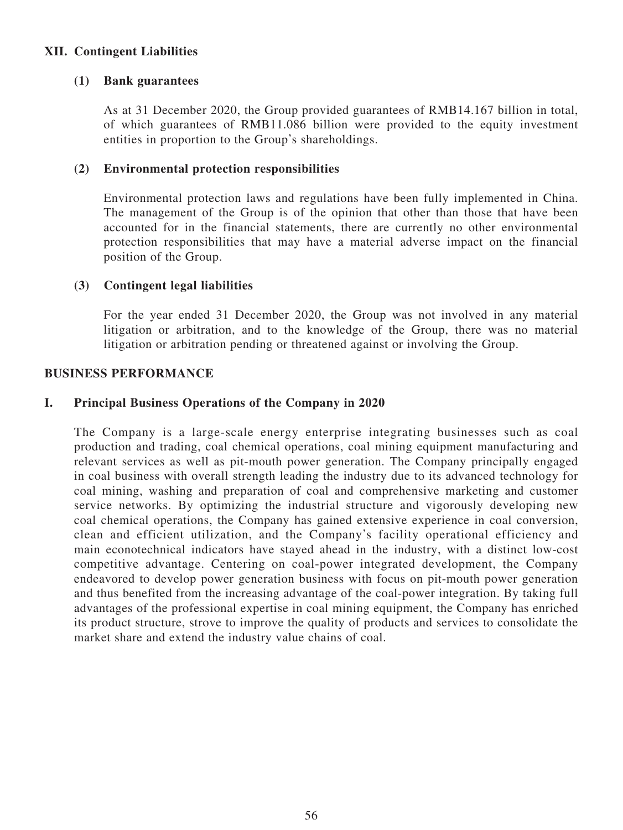### **XII. Contingent Liabilities**

### **(1) Bank guarantees**

As at 31 December 2020, the Group provided guarantees of RMB14.167 billion in total, of which guarantees of RMB11.086 billion were provided to the equity investment entities in proportion to the Group's shareholdings.

### **(2) Environmental protection responsibilities**

Environmental protection laws and regulations have been fully implemented in China. The management of the Group is of the opinion that other than those that have been accounted for in the financial statements, there are currently no other environmental protection responsibilities that may have a material adverse impact on the financial position of the Group.

### **(3) Contingent legal liabilities**

For the year ended 31 December 2020, the Group was not involved in any material litigation or arbitration, and to the knowledge of the Group, there was no material litigation or arbitration pending or threatened against or involving the Group.

#### **BUSINESS PERFORMANCE**

### **I. Principal Business Operations of the Company in 2020**

The Company is a large-scale energy enterprise integrating businesses such as coal production and trading, coal chemical operations, coal mining equipment manufacturing and relevant services as well as pit-mouth power generation. The Company principally engaged in coal business with overall strength leading the industry due to its advanced technology for coal mining, washing and preparation of coal and comprehensive marketing and customer service networks. By optimizing the industrial structure and vigorously developing new coal chemical operations, the Company has gained extensive experience in coal conversion, clean and efficient utilization, and the Company's facility operational efficiency and main econotechnical indicators have stayed ahead in the industry, with a distinct low-cost competitive advantage. Centering on coal-power integrated development, the Company endeavored to develop power generation business with focus on pit-mouth power generation and thus benefited from the increasing advantage of the coal-power integration. By taking full advantages of the professional expertise in coal mining equipment, the Company has enriched its product structure, strove to improve the quality of products and services to consolidate the market share and extend the industry value chains of coal.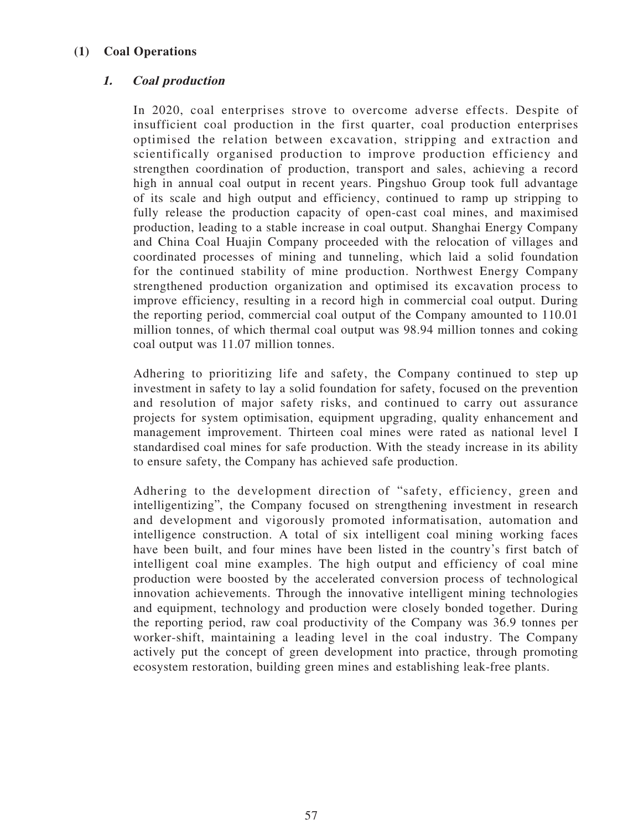### **(1) Coal Operations**

### **1. Coal production**

In 2020, coal enterprises strove to overcome adverse effects. Despite of insufficient coal production in the first quarter, coal production enterprises optimised the relation between excavation, stripping and extraction and scientifically organised production to improve production efficiency and strengthen coordination of production, transport and sales, achieving a record high in annual coal output in recent years. Pingshuo Group took full advantage of its scale and high output and efficiency, continued to ramp up stripping to fully release the production capacity of open-cast coal mines, and maximised production, leading to a stable increase in coal output. Shanghai Energy Company and China Coal Huajin Company proceeded with the relocation of villages and coordinated processes of mining and tunneling, which laid a solid foundation for the continued stability of mine production. Northwest Energy Company strengthened production organization and optimised its excavation process to improve efficiency, resulting in a record high in commercial coal output. During the reporting period, commercial coal output of the Company amounted to 110.01 million tonnes, of which thermal coal output was 98.94 million tonnes and coking coal output was 11.07 million tonnes.

Adhering to prioritizing life and safety, the Company continued to step up investment in safety to lay a solid foundation for safety, focused on the prevention and resolution of major safety risks, and continued to carry out assurance projects for system optimisation, equipment upgrading, quality enhancement and management improvement. Thirteen coal mines were rated as national level I standardised coal mines for safe production. With the steady increase in its ability to ensure safety, the Company has achieved safe production.

Adhering to the development direction of "safety, efficiency, green and intelligentizing", the Company focused on strengthening investment in research and development and vigorously promoted informatisation, automation and intelligence construction. A total of six intelligent coal mining working faces have been built, and four mines have been listed in the country's first batch of intelligent coal mine examples. The high output and efficiency of coal mine production were boosted by the accelerated conversion process of technological innovation achievements. Through the innovative intelligent mining technologies and equipment, technology and production were closely bonded together. During the reporting period, raw coal productivity of the Company was 36.9 tonnes per worker-shift, maintaining a leading level in the coal industry. The Company actively put the concept of green development into practice, through promoting ecosystem restoration, building green mines and establishing leak-free plants.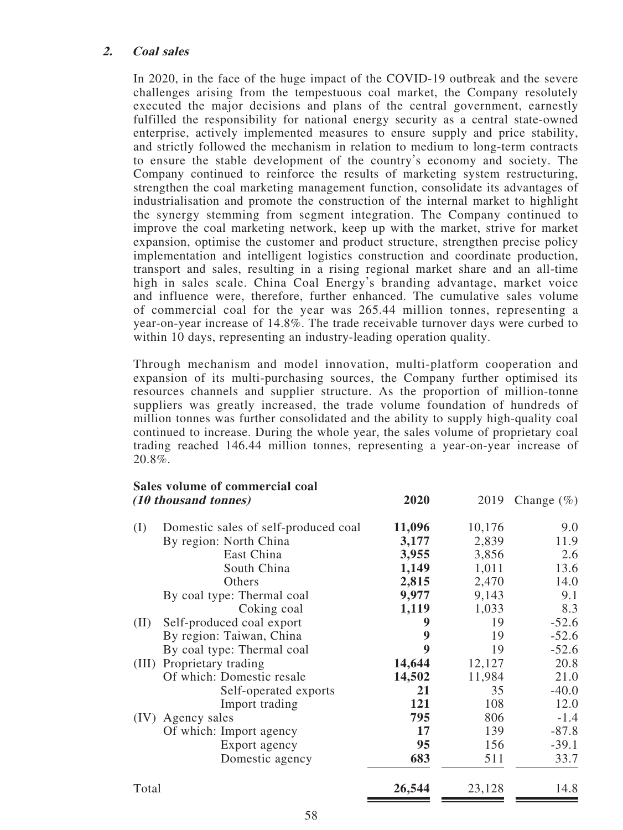#### **2. Coal sales**

In 2020, in the face of the huge impact of the COVID-19 outbreak and the severe challenges arising from the tempestuous coal market, the Company resolutely executed the major decisions and plans of the central government, earnestly fulfilled the responsibility for national energy security as a central state-owned enterprise, actively implemented measures to ensure supply and price stability, and strictly followed the mechanism in relation to medium to long-term contracts to ensure the stable development of the country's economy and society. The Company continued to reinforce the results of marketing system restructuring, strengthen the coal marketing management function, consolidate its advantages of industrialisation and promote the construction of the internal market to highlight the synergy stemming from segment integration. The Company continued to improve the coal marketing network, keep up with the market, strive for market expansion, optimise the customer and product structure, strengthen precise policy implementation and intelligent logistics construction and coordinate production, transport and sales, resulting in a rising regional market share and an all-time high in sales scale. China Coal Energy's branding advantage, market voice and influence were, therefore, further enhanced. The cumulative sales volume of commercial coal for the year was 265.44 million tonnes, representing a year-on-year increase of 14.8%. The trade receivable turnover days were curbed to within 10 days, representing an industry-leading operation quality.

Through mechanism and model innovation, multi-platform cooperation and expansion of its multi-purchasing sources, the Company further optimised its resources channels and supplier structure. As the proportion of million-tonne suppliers was greatly increased, the trade volume foundation of hundreds of million tonnes was further consolidated and the ability to supply high-quality coal continued to increase. During the whole year, the sales volume of proprietary coal trading reached 146.44 million tonnes, representing a year-on-year increase of 20.8%.

|       | Sales volume of commercial coal<br>(10 thousand tonnes) | 2020   | 2019   | Change $(\%)$ |
|-------|---------------------------------------------------------|--------|--------|---------------|
| (I)   | Domestic sales of self-produced coal                    | 11,096 | 10,176 | 9.0           |
|       | By region: North China                                  | 3,177  | 2,839  | 11.9          |
|       | East China                                              | 3,955  | 3,856  | 2.6           |
|       | South China                                             | 1,149  | 1,011  | 13.6          |
|       | Others                                                  | 2,815  | 2,470  | 14.0          |
|       | By coal type: Thermal coal                              | 9,977  | 9,143  | 9.1           |
|       | Coking coal                                             | 1,119  | 1,033  | 8.3           |
| (II)  | Self-produced coal export                               | 9      | 19     | $-52.6$       |
|       | By region: Taiwan, China                                | 9      | 19     | $-52.6$       |
|       | By coal type: Thermal coal                              | 9      | 19     | $-52.6$       |
|       | (III) Proprietary trading                               | 14,644 | 12,127 | 20.8          |
|       | Of which: Domestic resale                               | 14,502 | 11,984 | 21.0          |
|       | Self-operated exports                                   | 21     | 35     | $-40.0$       |
|       | Import trading                                          | 121    | 108    | 12.0          |
|       | (IV) Agency sales                                       | 795    | 806    | $-1.4$        |
|       | Of which: Import agency                                 | 17     | 139    | $-87.8$       |
|       | Export agency                                           | 95     | 156    | $-39.1$       |
|       | Domestic agency                                         | 683    | 511    | 33.7          |
| Total |                                                         | 26,544 | 23,128 | 14.8          |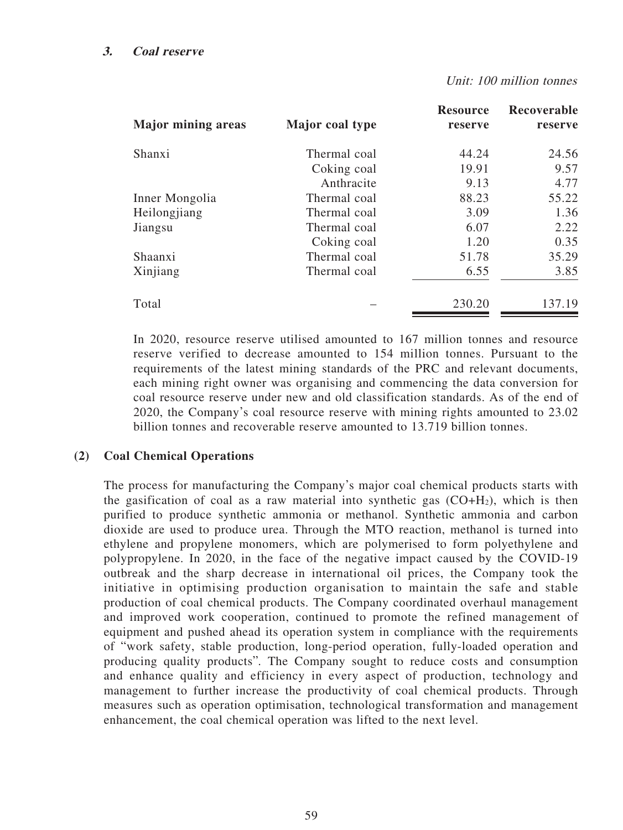#### Unit: 100 million tonnes

| <b>Major mining areas</b> | Major coal type | <b>Resource</b><br>reserve | Recoverable<br>reserve |
|---------------------------|-----------------|----------------------------|------------------------|
| Shanxi                    | Thermal coal    | 44.24                      | 24.56                  |
|                           | Coking coal     | 19.91                      | 9.57                   |
|                           | Anthracite      | 9.13                       | 4.77                   |
| Inner Mongolia            | Thermal coal    | 88.23                      | 55.22                  |
| Heilongjiang              | Thermal coal    | 3.09                       | 1.36                   |
| Jiangsu                   | Thermal coal    | 6.07                       | 2.22                   |
|                           | Coking coal     | 1.20                       | 0.35                   |
| Shaanxi                   | Thermal coal    | 51.78                      | 35.29                  |
| Xinjiang                  | Thermal coal    | 6.55                       | 3.85                   |
| Total                     |                 | 230.20                     | 137.19                 |

In 2020, resource reserve utilised amounted to 167 million tonnes and resource reserve verified to decrease amounted to 154 million tonnes. Pursuant to the requirements of the latest mining standards of the PRC and relevant documents, each mining right owner was organising and commencing the data conversion for coal resource reserve under new and old classification standards. As of the end of 2020, the Company's coal resource reserve with mining rights amounted to 23.02 billion tonnes and recoverable reserve amounted to 13.719 billion tonnes.

#### **(2) Coal Chemical Operations**

The process for manufacturing the Company's major coal chemical products starts with the gasification of coal as a raw material into synthetic gas  $(CO+H<sub>2</sub>)$ , which is then purified to produce synthetic ammonia or methanol. Synthetic ammonia and carbon dioxide are used to produce urea. Through the MTO reaction, methanol is turned into ethylene and propylene monomers, which are polymerised to form polyethylene and polypropylene. In 2020, in the face of the negative impact caused by the COVID-19 outbreak and the sharp decrease in international oil prices, the Company took the initiative in optimising production organisation to maintain the safe and stable production of coal chemical products. The Company coordinated overhaul management and improved work cooperation, continued to promote the refined management of equipment and pushed ahead its operation system in compliance with the requirements of "work safety, stable production, long-period operation, fully-loaded operation and producing quality products". The Company sought to reduce costs and consumption and enhance quality and efficiency in every aspect of production, technology and management to further increase the productivity of coal chemical products. Through measures such as operation optimisation, technological transformation and management enhancement, the coal chemical operation was lifted to the next level.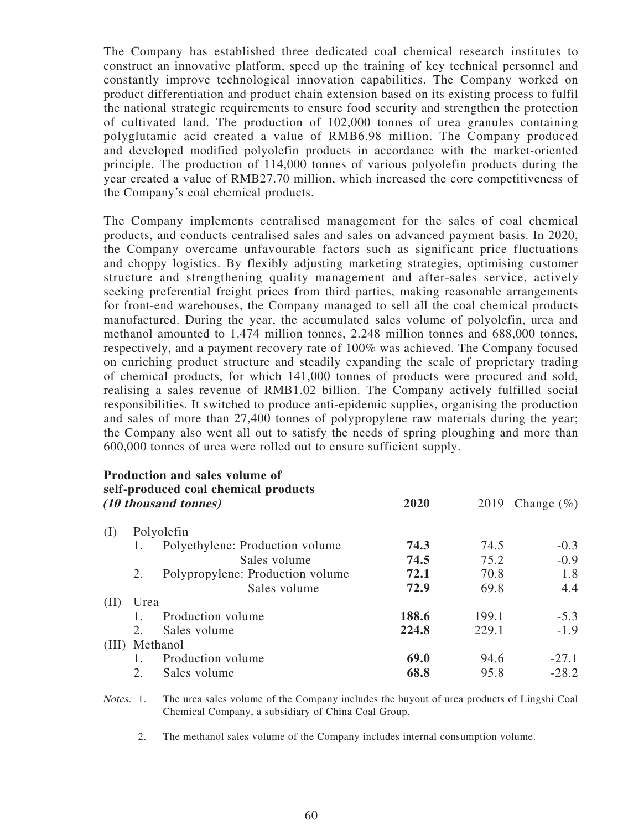The Company has established three dedicated coal chemical research institutes to construct an innovative platform, speed up the training of key technical personnel and constantly improve technological innovation capabilities. The Company worked on product differentiation and product chain extension based on its existing process to fulfil the national strategic requirements to ensure food security and strengthen the protection of cultivated land. The production of 102,000 tonnes of urea granules containing polyglutamic acid created a value of RMB6.98 million. The Company produced and developed modified polyolefin products in accordance with the market-oriented principle. The production of 114,000 tonnes of various polyolefin products during the year created a value of RMB27.70 million, which increased the core competitiveness of the Company's coal chemical products.

The Company implements centralised management for the sales of coal chemical products, and conducts centralised sales and sales on advanced payment basis. In 2020, the Company overcame unfavourable factors such as significant price fluctuations and choppy logistics. By flexibly adjusting marketing strategies, optimising customer structure and strengthening quality management and after-sales service, actively seeking preferential freight prices from third parties, making reasonable arrangements for front-end warehouses, the Company managed to sell all the coal chemical products manufactured. During the year, the accumulated sales volume of polyolefin, urea and methanol amounted to 1.474 million tonnes, 2.248 million tonnes and 688,000 tonnes, respectively, and a payment recovery rate of 100% was achieved. The Company focused on enriching product structure and steadily expanding the scale of proprietary trading of chemical products, for which 141,000 tonnes of products were procured and sold, realising a sales revenue of RMB1.02 billion. The Company actively fulfilled social responsibilities. It switched to produce anti-epidemic supplies, organising the production and sales of more than 27,400 tonnes of polypropylene raw materials during the year; the Company also went all out to satisfy the needs of spring ploughing and more than 600,000 tonnes of urea were rolled out to ensure sufficient supply.

# **Production and sales volume of self-produced coal chemical products**

|       |      | (10 thousand tonnes)             | 2020  | 2019  | Change $(\%)$ |
|-------|------|----------------------------------|-------|-------|---------------|
| (I)   |      | Polyolefin                       |       |       |               |
|       |      | Polyethylene: Production volume  | 74.3  | 74.5  | $-0.3$        |
|       |      | Sales volume                     | 74.5  | 75.2  | $-0.9$        |
|       | 2.   | Polypropylene: Production volume | 72.1  | 70.8  | 1.8           |
|       |      | Sales volume                     | 72.9  | 69.8  | 4.4           |
| (II)  | Urea |                                  |       |       |               |
|       |      | Production volume                | 188.6 | 199.1 | $-5.3$        |
|       | 2.   | Sales volume                     | 224.8 | 229.1 | $-1.9$        |
| (III) |      | Methanol                         |       |       |               |
|       |      | Production volume                | 69.0  | 94.6  | $-27.1$       |
|       | 2.   | Sales volume                     | 68.8  | 95.8  | $-28.2$       |

Notes: 1. The urea sales volume of the Company includes the buyout of urea products of Lingshi Coal Chemical Company, a subsidiary of China Coal Group.

2. The methanol sales volume of the Company includes internal consumption volume.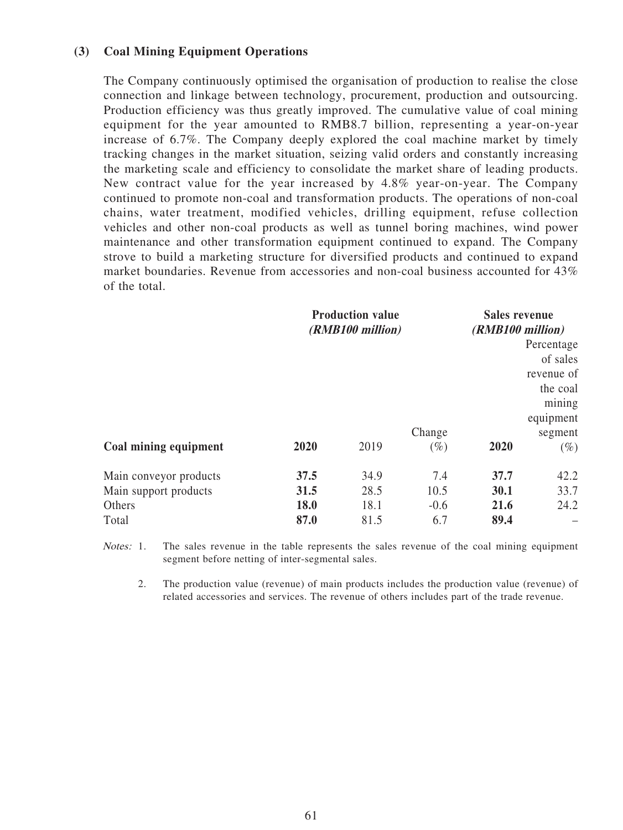### **(3) Coal Mining Equipment Operations**

The Company continuously optimised the organisation of production to realise the close connection and linkage between technology, procurement, production and outsourcing. Production efficiency was thus greatly improved. The cumulative value of coal mining equipment for the year amounted to RMB8.7 billion, representing a year-on-year increase of 6.7%. The Company deeply explored the coal machine market by timely tracking changes in the market situation, seizing valid orders and constantly increasing the marketing scale and efficiency to consolidate the market share of leading products. New contract value for the year increased by 4.8% year-on-year. The Company continued to promote non-coal and transformation products. The operations of non-coal chains, water treatment, modified vehicles, drilling equipment, refuse collection vehicles and other non-coal products as well as tunnel boring machines, wind power maintenance and other transformation equipment continued to expand. The Company strove to build a marketing structure for diversified products and continued to expand market boundaries. Revenue from accessories and non-coal business accounted for 43% of the total.

|                        |      | <b>Production value</b><br>(RMB100 million) |        | <b>Sales revenue</b><br>(RMB100 million) |            |  |
|------------------------|------|---------------------------------------------|--------|------------------------------------------|------------|--|
|                        |      |                                             |        |                                          | Percentage |  |
|                        |      |                                             |        |                                          | of sales   |  |
|                        |      |                                             |        |                                          | revenue of |  |
|                        |      |                                             |        |                                          | the coal   |  |
|                        |      |                                             |        |                                          | mining     |  |
|                        |      |                                             |        |                                          | equipment  |  |
|                        |      |                                             | Change |                                          | segment    |  |
| Coal mining equipment  | 2020 | 2019                                        | $(\%)$ | 2020                                     | $(\%)$     |  |
| Main conveyor products | 37.5 | 34.9                                        | 7.4    | 37.7                                     | 42.2       |  |
| Main support products  | 31.5 | 28.5                                        | 10.5   | 30.1                                     | 33.7       |  |
| Others                 | 18.0 | 18.1                                        | $-0.6$ | 21.6                                     | 24.2       |  |
| Total                  | 87.0 | 81.5                                        | 6.7    | 89.4                                     |            |  |

Notes: 1. The sales revenue in the table represents the sales revenue of the coal mining equipment segment before netting of inter-segmental sales.

2. The production value (revenue) of main products includes the production value (revenue) of related accessories and services. The revenue of others includes part of the trade revenue.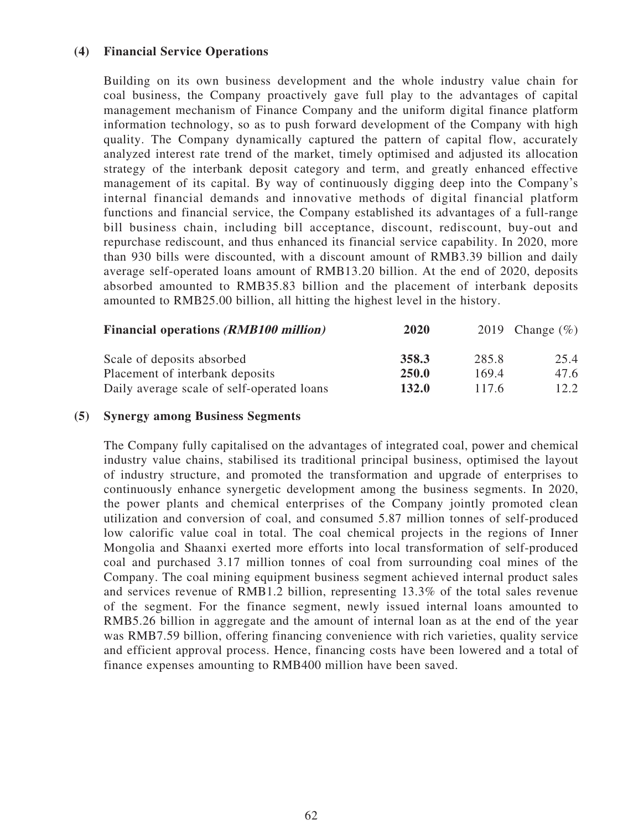#### **(4) Financial Service Operations**

Building on its own business development and the whole industry value chain for coal business, the Company proactively gave full play to the advantages of capital management mechanism of Finance Company and the uniform digital finance platform information technology, so as to push forward development of the Company with high quality. The Company dynamically captured the pattern of capital flow, accurately analyzed interest rate trend of the market, timely optimised and adjusted its allocation strategy of the interbank deposit category and term, and greatly enhanced effective management of its capital. By way of continuously digging deep into the Company's internal financial demands and innovative methods of digital financial platform functions and financial service, the Company established its advantages of a full-range bill business chain, including bill acceptance, discount, rediscount, buy-out and repurchase rediscount, and thus enhanced its financial service capability. In 2020, more than 930 bills were discounted, with a discount amount of RMB3.39 billion and daily average self-operated loans amount of RMB13.20 billion. At the end of 2020, deposits absorbed amounted to RMB35.83 billion and the placement of interbank deposits amounted to RMB25.00 billion, all hitting the highest level in the history.

| <b>Financial operations (RMB100 million)</b> | 2020  |       | 2019 Change $(\% )$ |
|----------------------------------------------|-------|-------|---------------------|
| Scale of deposits absorbed                   | 358.3 | 285.8 | 25.4                |
| Placement of interbank deposits              | 250.0 | 169.4 | 47.6                |
| Daily average scale of self-operated loans   | 132.0 | 117.6 | 12.2                |

#### **(5) Synergy among Business Segments**

The Company fully capitalised on the advantages of integrated coal, power and chemical industry value chains, stabilised its traditional principal business, optimised the layout of industry structure, and promoted the transformation and upgrade of enterprises to continuously enhance synergetic development among the business segments. In 2020, the power plants and chemical enterprises of the Company jointly promoted clean utilization and conversion of coal, and consumed 5.87 million tonnes of self-produced low calorific value coal in total. The coal chemical projects in the regions of Inner Mongolia and Shaanxi exerted more efforts into local transformation of self-produced coal and purchased 3.17 million tonnes of coal from surrounding coal mines of the Company. The coal mining equipment business segment achieved internal product sales and services revenue of RMB1.2 billion, representing 13.3% of the total sales revenue of the segment. For the finance segment, newly issued internal loans amounted to RMB5.26 billion in aggregate and the amount of internal loan as at the end of the year was RMB7.59 billion, offering financing convenience with rich varieties, quality service and efficient approval process. Hence, financing costs have been lowered and a total of finance expenses amounting to RMB400 million have been saved.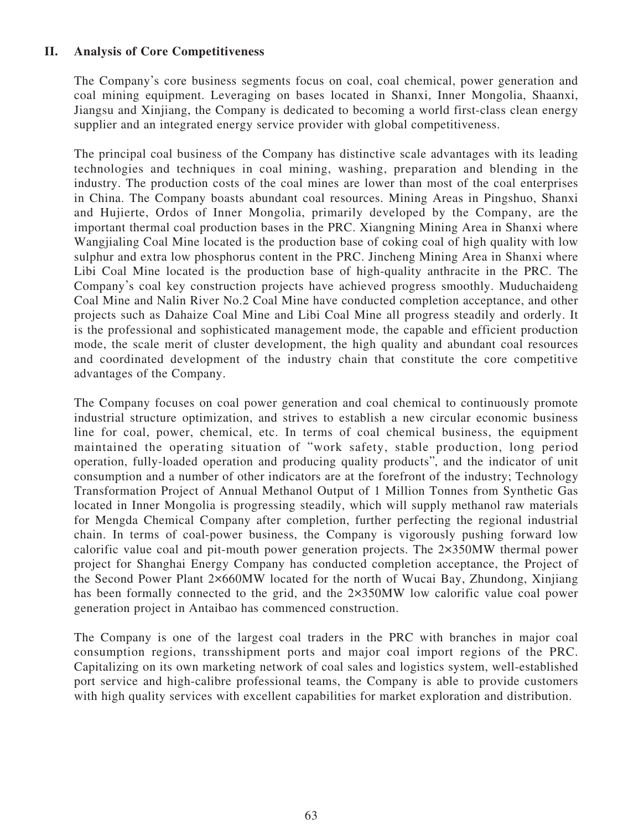### **II. Analysis of Core Competitiveness**

The Company's core business segments focus on coal, coal chemical, power generation and coal mining equipment. Leveraging on bases located in Shanxi, Inner Mongolia, Shaanxi, Jiangsu and Xinjiang, the Company is dedicated to becoming a world first-class clean energy supplier and an integrated energy service provider with global competitiveness.

The principal coal business of the Company has distinctive scale advantages with its leading technologies and techniques in coal mining, washing, preparation and blending in the industry. The production costs of the coal mines are lower than most of the coal enterprises in China. The Company boasts abundant coal resources. Mining Areas in Pingshuo, Shanxi and Hujierte, Ordos of Inner Mongolia, primarily developed by the Company, are the important thermal coal production bases in the PRC. Xiangning Mining Area in Shanxi where Wangjialing Coal Mine located is the production base of coking coal of high quality with low sulphur and extra low phosphorus content in the PRC. Jincheng Mining Area in Shanxi where Libi Coal Mine located is the production base of high-quality anthracite in the PRC. The Company's coal key construction projects have achieved progress smoothly. Muduchaideng Coal Mine and Nalin River No.2 Coal Mine have conducted completion acceptance, and other projects such as Dahaize Coal Mine and Libi Coal Mine all progress steadily and orderly. It is the professional and sophisticated management mode, the capable and efficient production mode, the scale merit of cluster development, the high quality and abundant coal resources and coordinated development of the industry chain that constitute the core competitive advantages of the Company.

The Company focuses on coal power generation and coal chemical to continuously promote industrial structure optimization, and strives to establish a new circular economic business line for coal, power, chemical, etc. In terms of coal chemical business, the equipment maintained the operating situation of "work safety, stable production, long period operation, fully-loaded operation and producing quality products", and the indicator of unit consumption and a number of other indicators are at the forefront of the industry; Technology Transformation Project of Annual Methanol Output of 1 Million Tonnes from Synthetic Gas located in Inner Mongolia is progressing steadily, which will supply methanol raw materials for Mengda Chemical Company after completion, further perfecting the regional industrial chain. In terms of coal-power business, the Company is vigorously pushing forward low calorific value coal and pit-mouth power generation projects. The 2×350MW thermal power project for Shanghai Energy Company has conducted completion acceptance, the Project of the Second Power Plant 2×660MW located for the north of Wucai Bay, Zhundong, Xinjiang has been formally connected to the grid, and the 2×350MW low calorific value coal power generation project in Antaibao has commenced construction.

The Company is one of the largest coal traders in the PRC with branches in major coal consumption regions, transshipment ports and major coal import regions of the PRC. Capitalizing on its own marketing network of coal sales and logistics system, well-established port service and high-calibre professional teams, the Company is able to provide customers with high quality services with excellent capabilities for market exploration and distribution.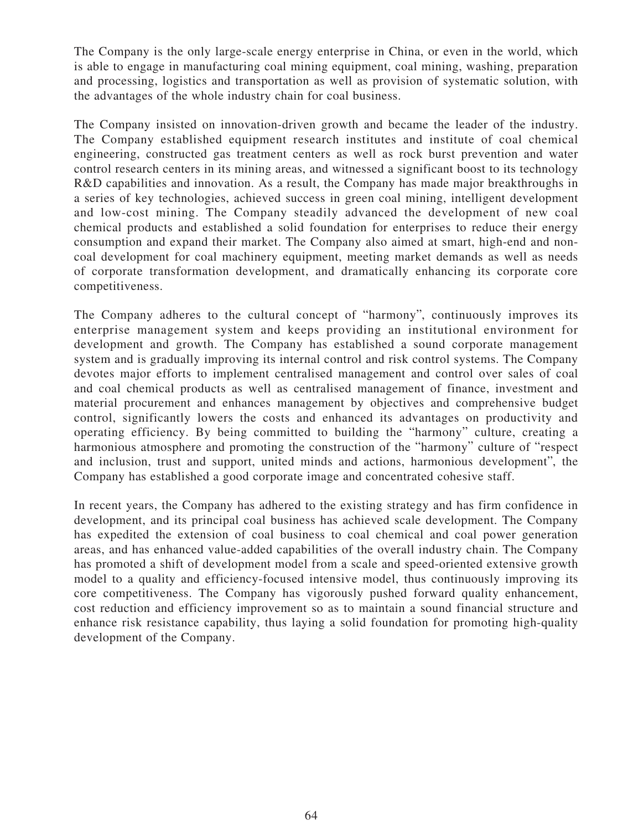The Company is the only large-scale energy enterprise in China, or even in the world, which is able to engage in manufacturing coal mining equipment, coal mining, washing, preparation and processing, logistics and transportation as well as provision of systematic solution, with the advantages of the whole industry chain for coal business.

The Company insisted on innovation-driven growth and became the leader of the industry. The Company established equipment research institutes and institute of coal chemical engineering, constructed gas treatment centers as well as rock burst prevention and water control research centers in its mining areas, and witnessed a significant boost to its technology R&D capabilities and innovation. As a result, the Company has made major breakthroughs in a series of key technologies, achieved success in green coal mining, intelligent development and low-cost mining. The Company steadily advanced the development of new coal chemical products and established a solid foundation for enterprises to reduce their energy consumption and expand their market. The Company also aimed at smart, high-end and noncoal development for coal machinery equipment, meeting market demands as well as needs of corporate transformation development, and dramatically enhancing its corporate core competitiveness.

The Company adheres to the cultural concept of "harmony", continuously improves its enterprise management system and keeps providing an institutional environment for development and growth. The Company has established a sound corporate management system and is gradually improving its internal control and risk control systems. The Company devotes major efforts to implement centralised management and control over sales of coal and coal chemical products as well as centralised management of finance, investment and material procurement and enhances management by objectives and comprehensive budget control, significantly lowers the costs and enhanced its advantages on productivity and operating efficiency. By being committed to building the "harmony" culture, creating a harmonious atmosphere and promoting the construction of the "harmony" culture of "respect and inclusion, trust and support, united minds and actions, harmonious development", the Company has established a good corporate image and concentrated cohesive staff.

In recent years, the Company has adhered to the existing strategy and has firm confidence in development, and its principal coal business has achieved scale development. The Company has expedited the extension of coal business to coal chemical and coal power generation areas, and has enhanced value-added capabilities of the overall industry chain. The Company has promoted a shift of development model from a scale and speed-oriented extensive growth model to a quality and efficiency-focused intensive model, thus continuously improving its core competitiveness. The Company has vigorously pushed forward quality enhancement, cost reduction and efficiency improvement so as to maintain a sound financial structure and enhance risk resistance capability, thus laying a solid foundation for promoting high-quality development of the Company.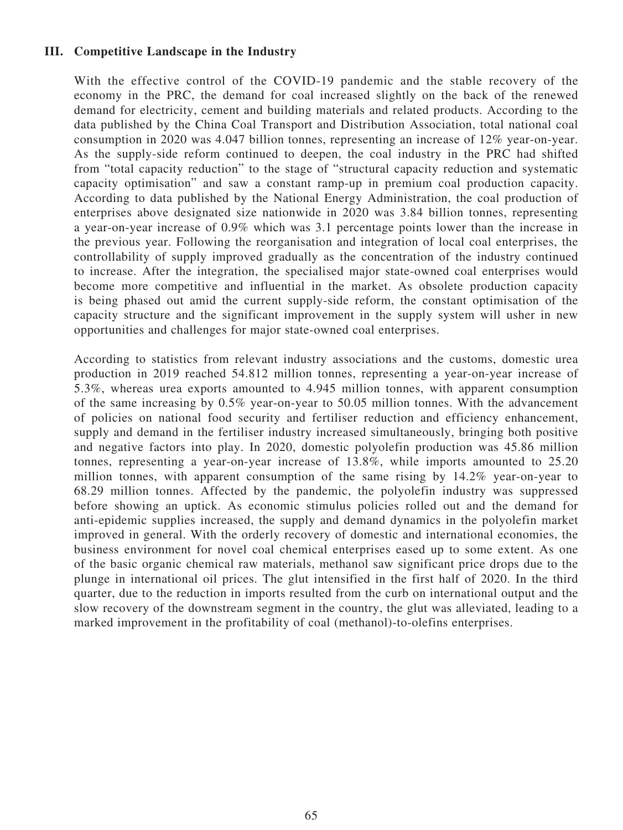### **III. Competitive Landscape in the Industry**

With the effective control of the COVID-19 pandemic and the stable recovery of the economy in the PRC, the demand for coal increased slightly on the back of the renewed demand for electricity, cement and building materials and related products. According to the data published by the China Coal Transport and Distribution Association, total national coal consumption in 2020 was 4.047 billion tonnes, representing an increase of 12% year-on-year. As the supply-side reform continued to deepen, the coal industry in the PRC had shifted from "total capacity reduction" to the stage of "structural capacity reduction and systematic capacity optimisation" and saw a constant ramp-up in premium coal production capacity. According to data published by the National Energy Administration, the coal production of enterprises above designated size nationwide in 2020 was 3.84 billion tonnes, representing a year-on-year increase of 0.9% which was 3.1 percentage points lower than the increase in the previous year. Following the reorganisation and integration of local coal enterprises, the controllability of supply improved gradually as the concentration of the industry continued to increase. After the integration, the specialised major state-owned coal enterprises would become more competitive and influential in the market. As obsolete production capacity is being phased out amid the current supply-side reform, the constant optimisation of the capacity structure and the significant improvement in the supply system will usher in new opportunities and challenges for major state-owned coal enterprises.

According to statistics from relevant industry associations and the customs, domestic urea production in 2019 reached 54.812 million tonnes, representing a year-on-year increase of 5.3%, whereas urea exports amounted to 4.945 million tonnes, with apparent consumption of the same increasing by 0.5% year-on-year to 50.05 million tonnes. With the advancement of policies on national food security and fertiliser reduction and efficiency enhancement, supply and demand in the fertiliser industry increased simultaneously, bringing both positive and negative factors into play. In 2020, domestic polyolefin production was 45.86 million tonnes, representing a year-on-year increase of 13.8%, while imports amounted to 25.20 million tonnes, with apparent consumption of the same rising by 14.2% year-on-year to 68.29 million tonnes. Affected by the pandemic, the polyolefin industry was suppressed before showing an uptick. As economic stimulus policies rolled out and the demand for anti-epidemic supplies increased, the supply and demand dynamics in the polyolefin market improved in general. With the orderly recovery of domestic and international economies, the business environment for novel coal chemical enterprises eased up to some extent. As one of the basic organic chemical raw materials, methanol saw significant price drops due to the plunge in international oil prices. The glut intensified in the first half of 2020. In the third quarter, due to the reduction in imports resulted from the curb on international output and the slow recovery of the downstream segment in the country, the glut was alleviated, leading to a marked improvement in the profitability of coal (methanol)-to-olefins enterprises.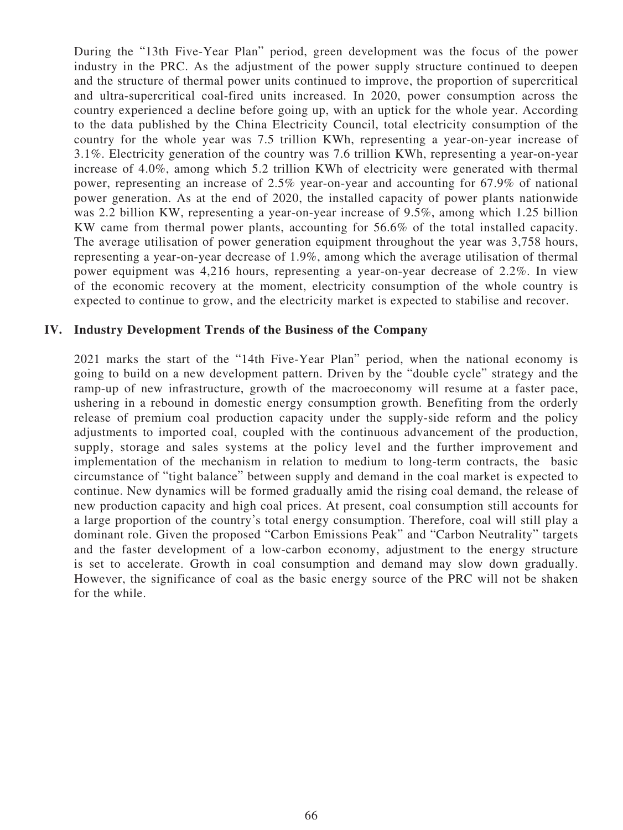During the "13th Five-Year Plan" period, green development was the focus of the power industry in the PRC. As the adjustment of the power supply structure continued to deepen and the structure of thermal power units continued to improve, the proportion of supercritical and ultra-supercritical coal-fired units increased. In 2020, power consumption across the country experienced a decline before going up, with an uptick for the whole year. According to the data published by the China Electricity Council, total electricity consumption of the country for the whole year was 7.5 trillion KWh, representing a year-on-year increase of 3.1%. Electricity generation of the country was 7.6 trillion KWh, representing a year-on-year increase of 4.0%, among which 5.2 trillion KWh of electricity were generated with thermal power, representing an increase of 2.5% year-on-year and accounting for 67.9% of national power generation. As at the end of 2020, the installed capacity of power plants nationwide was 2.2 billion KW, representing a year-on-year increase of 9.5%, among which 1.25 billion KW came from thermal power plants, accounting for 56.6% of the total installed capacity. The average utilisation of power generation equipment throughout the year was 3,758 hours, representing a year-on-year decrease of 1.9%, among which the average utilisation of thermal power equipment was 4,216 hours, representing a year-on-year decrease of 2.2%. In view of the economic recovery at the moment, electricity consumption of the whole country is expected to continue to grow, and the electricity market is expected to stabilise and recover.

#### **IV. Industry Development Trends of the Business of the Company**

2021 marks the start of the "14th Five-Year Plan" period, when the national economy is going to build on a new development pattern. Driven by the "double cycle" strategy and the ramp-up of new infrastructure, growth of the macroeconomy will resume at a faster pace, ushering in a rebound in domestic energy consumption growth. Benefiting from the orderly release of premium coal production capacity under the supply-side reform and the policy adjustments to imported coal, coupled with the continuous advancement of the production, supply, storage and sales systems at the policy level and the further improvement and implementation of the mechanism in relation to medium to long-term contracts, the basic circumstance of "tight balance" between supply and demand in the coal market is expected to continue. New dynamics will be formed gradually amid the rising coal demand, the release of new production capacity and high coal prices. At present, coal consumption still accounts for a large proportion of the country's total energy consumption. Therefore, coal will still play a dominant role. Given the proposed "Carbon Emissions Peak" and "Carbon Neutrality" targets and the faster development of a low-carbon economy, adjustment to the energy structure is set to accelerate. Growth in coal consumption and demand may slow down gradually. However, the significance of coal as the basic energy source of the PRC will not be shaken for the while.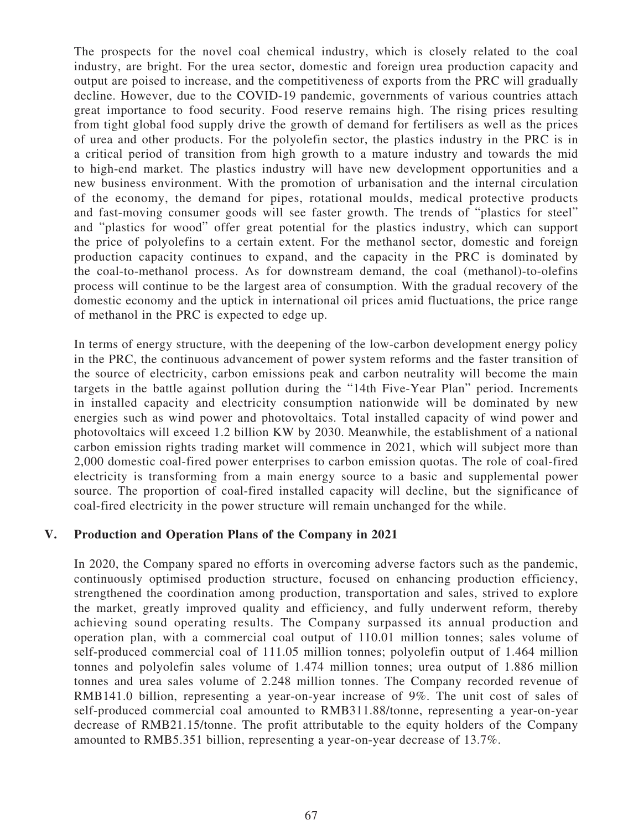The prospects for the novel coal chemical industry, which is closely related to the coal industry, are bright. For the urea sector, domestic and foreign urea production capacity and output are poised to increase, and the competitiveness of exports from the PRC will gradually decline. However, due to the COVID-19 pandemic, governments of various countries attach great importance to food security. Food reserve remains high. The rising prices resulting from tight global food supply drive the growth of demand for fertilisers as well as the prices of urea and other products. For the polyolefin sector, the plastics industry in the PRC is in a critical period of transition from high growth to a mature industry and towards the mid to high-end market. The plastics industry will have new development opportunities and a new business environment. With the promotion of urbanisation and the internal circulation of the economy, the demand for pipes, rotational moulds, medical protective products and fast-moving consumer goods will see faster growth. The trends of "plastics for steel" and "plastics for wood" offer great potential for the plastics industry, which can support the price of polyolefins to a certain extent. For the methanol sector, domestic and foreign production capacity continues to expand, and the capacity in the PRC is dominated by the coal-to-methanol process. As for downstream demand, the coal (methanol)-to-olefins process will continue to be the largest area of consumption. With the gradual recovery of the domestic economy and the uptick in international oil prices amid fluctuations, the price range of methanol in the PRC is expected to edge up.

In terms of energy structure, with the deepening of the low-carbon development energy policy in the PRC, the continuous advancement of power system reforms and the faster transition of the source of electricity, carbon emissions peak and carbon neutrality will become the main targets in the battle against pollution during the "14th Five-Year Plan" period. Increments in installed capacity and electricity consumption nationwide will be dominated by new energies such as wind power and photovoltaics. Total installed capacity of wind power and photovoltaics will exceed 1.2 billion KW by 2030. Meanwhile, the establishment of a national carbon emission rights trading market will commence in 2021, which will subject more than 2,000 domestic coal-fired power enterprises to carbon emission quotas. The role of coal-fired electricity is transforming from a main energy source to a basic and supplemental power source. The proportion of coal-fired installed capacity will decline, but the significance of coal-fired electricity in the power structure will remain unchanged for the while.

#### **V. Production and Operation Plans of the Company in 2021**

In 2020, the Company spared no efforts in overcoming adverse factors such as the pandemic, continuously optimised production structure, focused on enhancing production efficiency, strengthened the coordination among production, transportation and sales, strived to explore the market, greatly improved quality and efficiency, and fully underwent reform, thereby achieving sound operating results. The Company surpassed its annual production and operation plan, with a commercial coal output of 110.01 million tonnes; sales volume of self-produced commercial coal of 111.05 million tonnes; polyolefin output of 1.464 million tonnes and polyolefin sales volume of 1.474 million tonnes; urea output of 1.886 million tonnes and urea sales volume of 2.248 million tonnes. The Company recorded revenue of RMB141.0 billion, representing a year-on-year increase of 9%. The unit cost of sales of self-produced commercial coal amounted to RMB311.88/tonne, representing a year-on-year decrease of RMB21.15/tonne. The profit attributable to the equity holders of the Company amounted to RMB5.351 billion, representing a year-on-year decrease of 13.7%.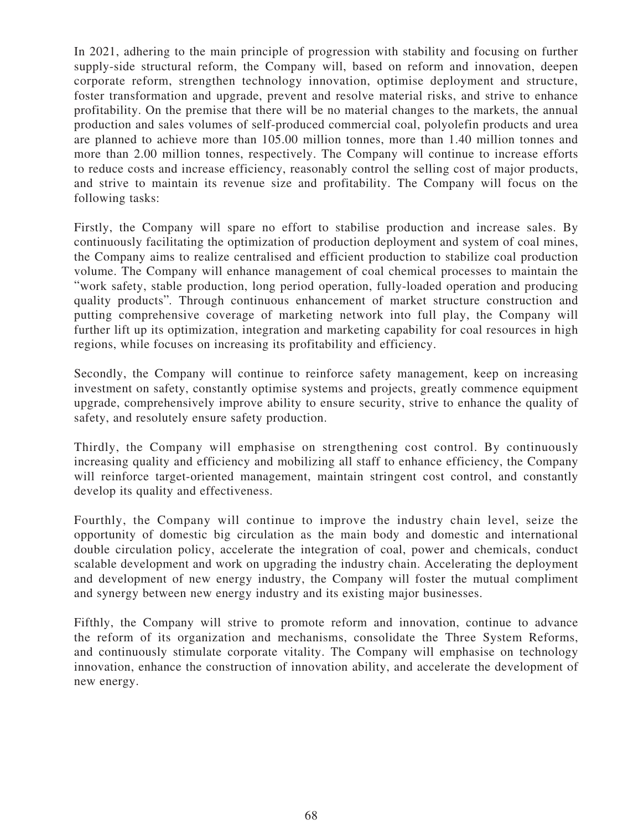In 2021, adhering to the main principle of progression with stability and focusing on further supply-side structural reform, the Company will, based on reform and innovation, deepen corporate reform, strengthen technology innovation, optimise deployment and structure, foster transformation and upgrade, prevent and resolve material risks, and strive to enhance profitability. On the premise that there will be no material changes to the markets, the annual production and sales volumes of self-produced commercial coal, polyolefin products and urea are planned to achieve more than 105.00 million tonnes, more than 1.40 million tonnes and more than 2.00 million tonnes, respectively. The Company will continue to increase efforts to reduce costs and increase efficiency, reasonably control the selling cost of major products, and strive to maintain its revenue size and profitability. The Company will focus on the following tasks:

Firstly, the Company will spare no effort to stabilise production and increase sales. By continuously facilitating the optimization of production deployment and system of coal mines, the Company aims to realize centralised and efficient production to stabilize coal production volume. The Company will enhance management of coal chemical processes to maintain the "work safety, stable production, long period operation, fully-loaded operation and producing quality products". Through continuous enhancement of market structure construction and putting comprehensive coverage of marketing network into full play, the Company will further lift up its optimization, integration and marketing capability for coal resources in high regions, while focuses on increasing its profitability and efficiency.

Secondly, the Company will continue to reinforce safety management, keep on increasing investment on safety, constantly optimise systems and projects, greatly commence equipment upgrade, comprehensively improve ability to ensure security, strive to enhance the quality of safety, and resolutely ensure safety production.

Thirdly, the Company will emphasise on strengthening cost control. By continuously increasing quality and efficiency and mobilizing all staff to enhance efficiency, the Company will reinforce target-oriented management, maintain stringent cost control, and constantly develop its quality and effectiveness.

Fourthly, the Company will continue to improve the industry chain level, seize the opportunity of domestic big circulation as the main body and domestic and international double circulation policy, accelerate the integration of coal, power and chemicals, conduct scalable development and work on upgrading the industry chain. Accelerating the deployment and development of new energy industry, the Company will foster the mutual compliment and synergy between new energy industry and its existing major businesses.

Fifthly, the Company will strive to promote reform and innovation, continue to advance the reform of its organization and mechanisms, consolidate the Three System Reforms, and continuously stimulate corporate vitality. The Company will emphasise on technology innovation, enhance the construction of innovation ability, and accelerate the development of new energy.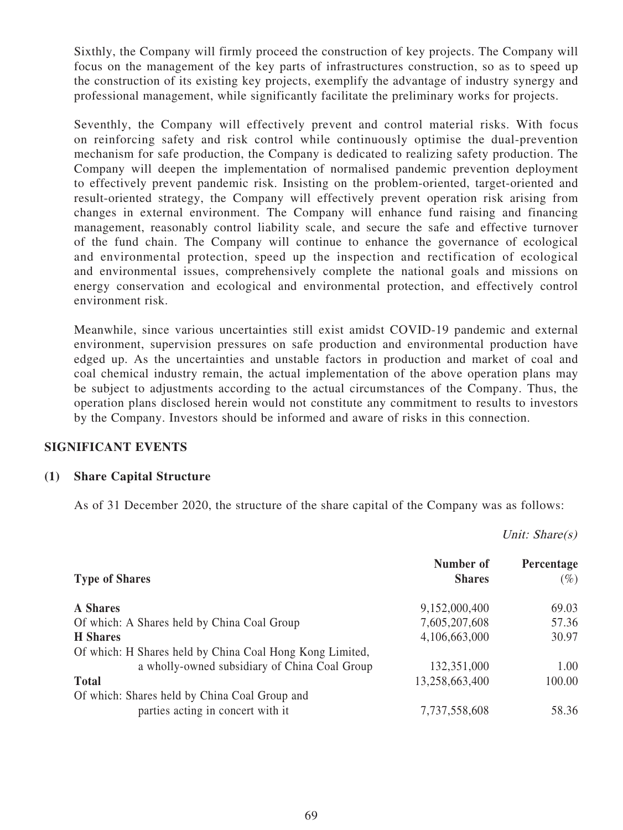Sixthly, the Company will firmly proceed the construction of key projects. The Company will focus on the management of the key parts of infrastructures construction, so as to speed up the construction of its existing key projects, exemplify the advantage of industry synergy and professional management, while significantly facilitate the preliminary works for projects.

Seventhly, the Company will effectively prevent and control material risks. With focus on reinforcing safety and risk control while continuously optimise the dual-prevention mechanism for safe production, the Company is dedicated to realizing safety production. The Company will deepen the implementation of normalised pandemic prevention deployment to effectively prevent pandemic risk. Insisting on the problem-oriented, target-oriented and result-oriented strategy, the Company will effectively prevent operation risk arising from changes in external environment. The Company will enhance fund raising and financing management, reasonably control liability scale, and secure the safe and effective turnover of the fund chain. The Company will continue to enhance the governance of ecological and environmental protection, speed up the inspection and rectification of ecological and environmental issues, comprehensively complete the national goals and missions on energy conservation and ecological and environmental protection, and effectively control environment risk.

Meanwhile, since various uncertainties still exist amidst COVID-19 pandemic and external environment, supervision pressures on safe production and environmental production have edged up. As the uncertainties and unstable factors in production and market of coal and coal chemical industry remain, the actual implementation of the above operation plans may be subject to adjustments according to the actual circumstances of the Company. Thus, the operation plans disclosed herein would not constitute any commitment to results to investors by the Company. Investors should be informed and aware of risks in this connection.

#### **SIGNIFICANT EVENTS**

#### **(1) Share Capital Structure**

As of 31 December 2020, the structure of the share capital of the Company was as follows:

Unit: Share(s)

| <b>Type of Shares</b>                                    | Number of<br><b>Shares</b> | Percentage<br>$(\%)$ |
|----------------------------------------------------------|----------------------------|----------------------|
| A Shares                                                 | 9,152,000,400              | 69.03                |
| Of which: A Shares held by China Coal Group              | 7,605,207,608              | 57.36                |
| <b>H</b> Shares                                          | 4,106,663,000              | 30.97                |
| Of which: H Shares held by China Coal Hong Kong Limited, |                            |                      |
| a wholly-owned subsidiary of China Coal Group            | 132,351,000                | 1.00                 |
| <b>Total</b>                                             | 13,258,663,400             | 100.00               |
| Of which: Shares held by China Coal Group and            |                            |                      |
| parties acting in concert with it                        | 7,737,558,608              | 58.36                |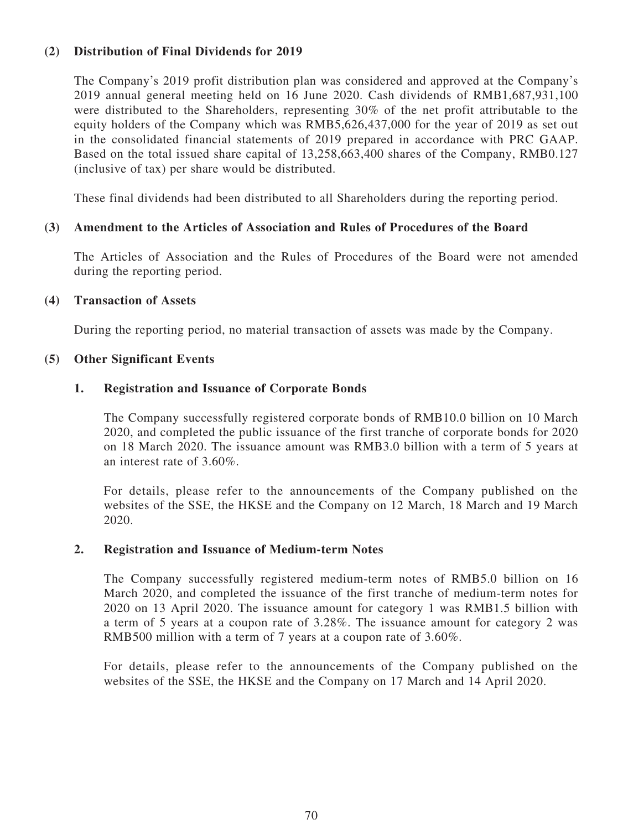### **(2) Distribution of Final Dividends for 2019**

The Company's 2019 profit distribution plan was considered and approved at the Company's 2019 annual general meeting held on 16 June 2020. Cash dividends of RMB1,687,931,100 were distributed to the Shareholders, representing 30% of the net profit attributable to the equity holders of the Company which was RMB5,626,437,000 for the year of 2019 as set out in the consolidated financial statements of 2019 prepared in accordance with PRC GAAP. Based on the total issued share capital of 13,258,663,400 shares of the Company, RMB0.127 (inclusive of tax) per share would be distributed.

These final dividends had been distributed to all Shareholders during the reporting period.

### **(3) Amendment to the Articles of Association and Rules of Procedures of the Board**

The Articles of Association and the Rules of Procedures of the Board were not amended during the reporting period.

#### **(4) Transaction of Assets**

During the reporting period, no material transaction of assets was made by the Company.

#### **(5) Other Significant Events**

#### **1. Registration and Issuance of Corporate Bonds**

The Company successfully registered corporate bonds of RMB10.0 billion on 10 March 2020, and completed the public issuance of the first tranche of corporate bonds for 2020 on 18 March 2020. The issuance amount was RMB3.0 billion with a term of 5 years at an interest rate of 3.60%.

For details, please refer to the announcements of the Company published on the websites of the SSE, the HKSE and the Company on 12 March, 18 March and 19 March 2020.

#### **2. Registration and Issuance of Medium-term Notes**

The Company successfully registered medium-term notes of RMB5.0 billion on 16 March 2020, and completed the issuance of the first tranche of medium-term notes for 2020 on 13 April 2020. The issuance amount for category 1 was RMB1.5 billion with a term of 5 years at a coupon rate of 3.28%. The issuance amount for category 2 was RMB500 million with a term of 7 years at a coupon rate of 3.60%.

For details, please refer to the announcements of the Company published on the websites of the SSE, the HKSE and the Company on 17 March and 14 April 2020.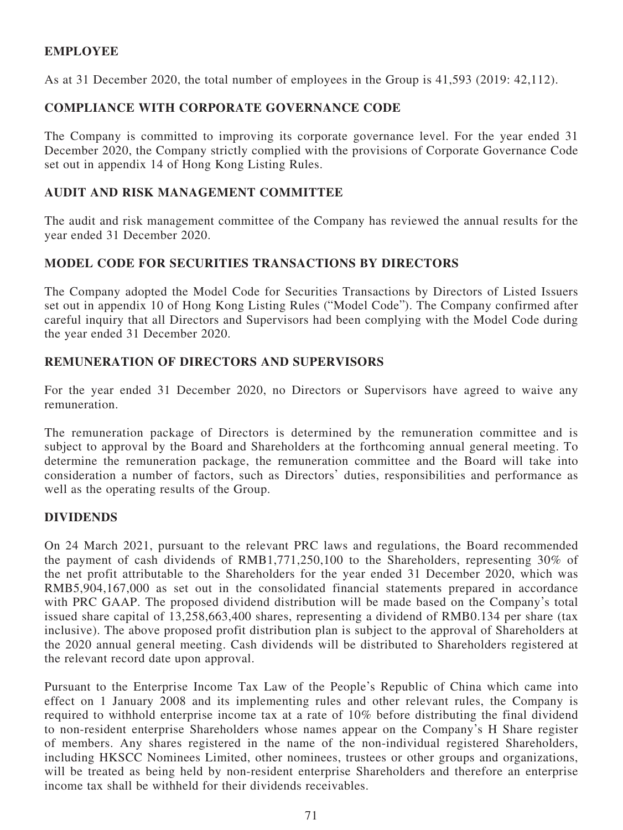### **EMPLOYEE**

As at 31 December 2020, the total number of employees in the Group is 41,593 (2019: 42,112).

### **COMPLIANCE WITH CORPORATE GOVERNANCE CODE**

The Company is committed to improving its corporate governance level. For the year ended 31 December 2020, the Company strictly complied with the provisions of Corporate Governance Code set out in appendix 14 of Hong Kong Listing Rules.

### **AUDIT AND RISK MANAGEMENT COMMITTEE**

The audit and risk management committee of the Company has reviewed the annual results for the year ended 31 December 2020.

### **MODEL CODE FOR SECURITIES TRANSACTIONS BY DIRECTORS**

The Company adopted the Model Code for Securities Transactions by Directors of Listed Issuers set out in appendix 10 of Hong Kong Listing Rules ("Model Code"). The Company confirmed after careful inquiry that all Directors and Supervisors had been complying with the Model Code during the year ended 31 December 2020.

### **REMUNERATION OF DIRECTORS AND SUPERVISORS**

For the year ended 31 December 2020, no Directors or Supervisors have agreed to waive any remuneration.

The remuneration package of Directors is determined by the remuneration committee and is subject to approval by the Board and Shareholders at the forthcoming annual general meeting. To determine the remuneration package, the remuneration committee and the Board will take into consideration a number of factors, such as Directors' duties, responsibilities and performance as well as the operating results of the Group.

#### **DIVIDENDS**

On 24 March 2021, pursuant to the relevant PRC laws and regulations, the Board recommended the payment of cash dividends of RMB1,771,250,100 to the Shareholders, representing 30% of the net profit attributable to the Shareholders for the year ended 31 December 2020, which was RMB5,904,167,000 as set out in the consolidated financial statements prepared in accordance with PRC GAAP. The proposed dividend distribution will be made based on the Company's total issued share capital of 13,258,663,400 shares, representing a dividend of RMB0.134 per share (tax inclusive). The above proposed profit distribution plan is subject to the approval of Shareholders at the 2020 annual general meeting. Cash dividends will be distributed to Shareholders registered at the relevant record date upon approval.

Pursuant to the Enterprise Income Tax Law of the People's Republic of China which came into effect on 1 January 2008 and its implementing rules and other relevant rules, the Company is required to withhold enterprise income tax at a rate of 10% before distributing the final dividend to non-resident enterprise Shareholders whose names appear on the Company's H Share register of members. Any shares registered in the name of the non-individual registered Shareholders, including HKSCC Nominees Limited, other nominees, trustees or other groups and organizations, will be treated as being held by non-resident enterprise Shareholders and therefore an enterprise income tax shall be withheld for their dividends receivables.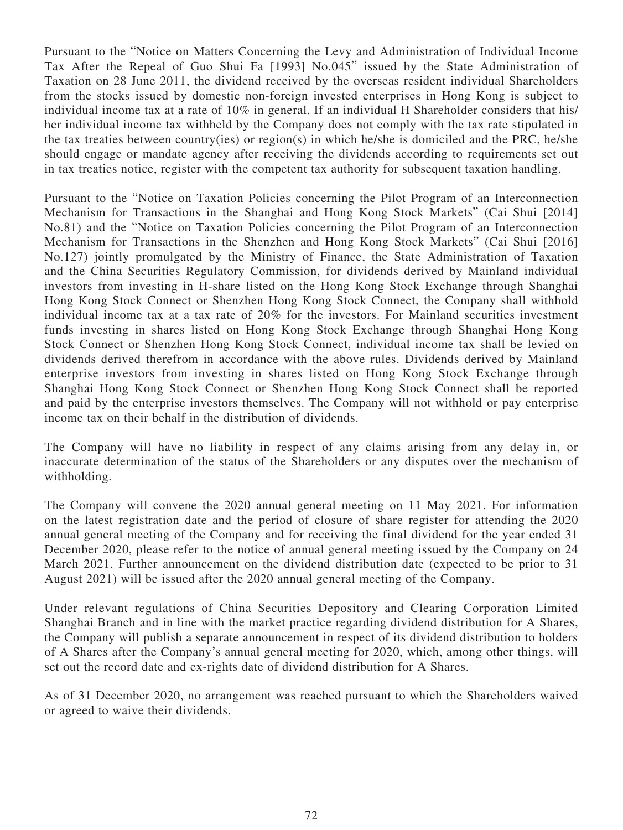Pursuant to the "Notice on Matters Concerning the Levy and Administration of Individual Income Tax After the Repeal of Guo Shui Fa [1993] No.045" issued by the State Administration of Taxation on 28 June 2011, the dividend received by the overseas resident individual Shareholders from the stocks issued by domestic non-foreign invested enterprises in Hong Kong is subject to individual income tax at a rate of 10% in general. If an individual H Shareholder considers that his/ her individual income tax withheld by the Company does not comply with the tax rate stipulated in the tax treaties between country(ies) or region(s) in which he/she is domiciled and the PRC, he/she should engage or mandate agency after receiving the dividends according to requirements set out in tax treaties notice, register with the competent tax authority for subsequent taxation handling.

Pursuant to the "Notice on Taxation Policies concerning the Pilot Program of an Interconnection Mechanism for Transactions in the Shanghai and Hong Kong Stock Markets" (Cai Shui [2014] No.81) and the "Notice on Taxation Policies concerning the Pilot Program of an Interconnection Mechanism for Transactions in the Shenzhen and Hong Kong Stock Markets" (Cai Shui [2016] No.127) jointly promulgated by the Ministry of Finance, the State Administration of Taxation and the China Securities Regulatory Commission, for dividends derived by Mainland individual investors from investing in H-share listed on the Hong Kong Stock Exchange through Shanghai Hong Kong Stock Connect or Shenzhen Hong Kong Stock Connect, the Company shall withhold individual income tax at a tax rate of 20% for the investors. For Mainland securities investment funds investing in shares listed on Hong Kong Stock Exchange through Shanghai Hong Kong Stock Connect or Shenzhen Hong Kong Stock Connect, individual income tax shall be levied on dividends derived therefrom in accordance with the above rules. Dividends derived by Mainland enterprise investors from investing in shares listed on Hong Kong Stock Exchange through Shanghai Hong Kong Stock Connect or Shenzhen Hong Kong Stock Connect shall be reported and paid by the enterprise investors themselves. The Company will not withhold or pay enterprise income tax on their behalf in the distribution of dividends.

The Company will have no liability in respect of any claims arising from any delay in, or inaccurate determination of the status of the Shareholders or any disputes over the mechanism of withholding.

The Company will convene the 2020 annual general meeting on 11 May 2021. For information on the latest registration date and the period of closure of share register for attending the 2020 annual general meeting of the Company and for receiving the final dividend for the year ended 31 December 2020, please refer to the notice of annual general meeting issued by the Company on 24 March 2021. Further announcement on the dividend distribution date (expected to be prior to 31 August 2021) will be issued after the 2020 annual general meeting of the Company.

Under relevant regulations of China Securities Depository and Clearing Corporation Limited Shanghai Branch and in line with the market practice regarding dividend distribution for A Shares, the Company will publish a separate announcement in respect of its dividend distribution to holders of A Shares after the Company's annual general meeting for 2020, which, among other things, will set out the record date and ex-rights date of dividend distribution for A Shares.

As of 31 December 2020, no arrangement was reached pursuant to which the Shareholders waived or agreed to waive their dividends.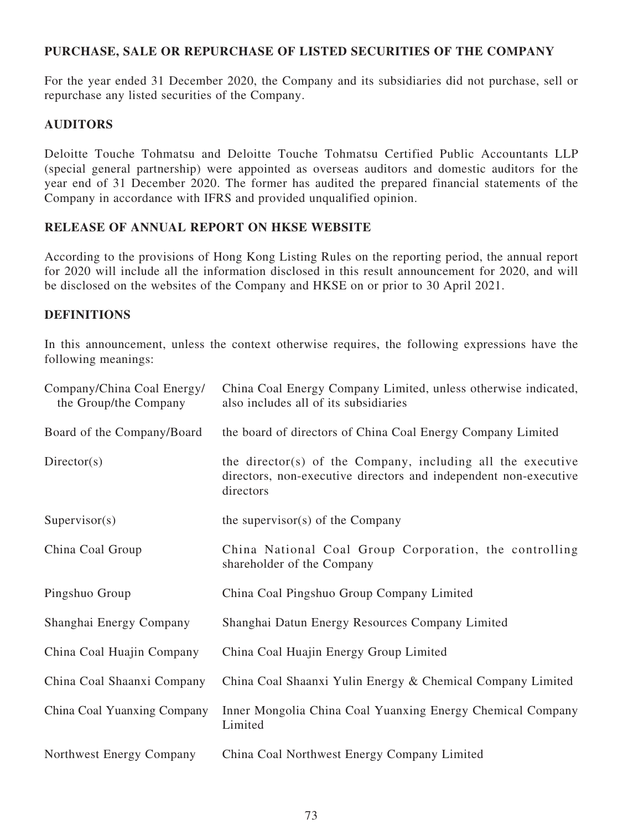## **PURCHASE, SALE OR REPURCHASE OF LISTED SECURITIES OF THE COMPANY**

For the year ended 31 December 2020, the Company and its subsidiaries did not purchase, sell or repurchase any listed securities of the Company.

## **AUDITORS**

Deloitte Touche Tohmatsu and Deloitte Touche Tohmatsu Certified Public Accountants LLP (special general partnership) were appointed as overseas auditors and domestic auditors for the year end of 31 December 2020. The former has audited the prepared financial statements of the Company in accordance with IFRS and provided unqualified opinion.

## **RELEASE OF ANNUAL REPORT ON HKSE WEBSITE**

According to the provisions of Hong Kong Listing Rules on the reporting period, the annual report for 2020 will include all the information disclosed in this result announcement for 2020, and will be disclosed on the websites of the Company and HKSE on or prior to 30 April 2021.

## **DEFINITIONS**

In this announcement, unless the context otherwise requires, the following expressions have the following meanings:

| Company/China Coal Energy/<br>the Group/the Company | China Coal Energy Company Limited, unless otherwise indicated,<br>also includes all of its subsidiaries                                      |
|-----------------------------------------------------|----------------------------------------------------------------------------------------------------------------------------------------------|
| Board of the Company/Board                          | the board of directors of China Coal Energy Company Limited                                                                                  |
| Directory(s)                                        | the director(s) of the Company, including all the executive<br>directors, non-executive directors and independent non-executive<br>directors |
| Supervisor(s)                                       | the supervisor $(s)$ of the Company                                                                                                          |
| China Coal Group                                    | China National Coal Group Corporation, the controlling<br>shareholder of the Company                                                         |
| Pingshuo Group                                      | China Coal Pingshuo Group Company Limited                                                                                                    |
| Shanghai Energy Company                             | Shanghai Datun Energy Resources Company Limited                                                                                              |
| China Coal Huajin Company                           | China Coal Huajin Energy Group Limited                                                                                                       |
| China Coal Shaanxi Company                          | China Coal Shaanxi Yulin Energy & Chemical Company Limited                                                                                   |
| China Coal Yuanxing Company                         | Inner Mongolia China Coal Yuanxing Energy Chemical Company<br>Limited                                                                        |
| Northwest Energy Company                            | China Coal Northwest Energy Company Limited                                                                                                  |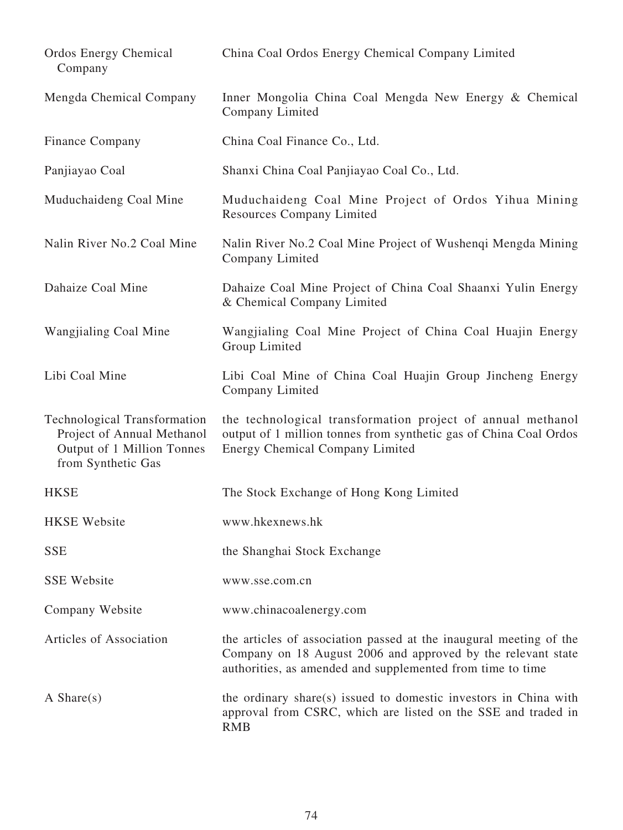| Ordos Energy Chemical<br>Company                                                                                      | China Coal Ordos Energy Chemical Company Limited                                                                                                                                                 |
|-----------------------------------------------------------------------------------------------------------------------|--------------------------------------------------------------------------------------------------------------------------------------------------------------------------------------------------|
| Mengda Chemical Company                                                                                               | Inner Mongolia China Coal Mengda New Energy & Chemical<br>Company Limited                                                                                                                        |
| Finance Company                                                                                                       | China Coal Finance Co., Ltd.                                                                                                                                                                     |
| Panjiayao Coal                                                                                                        | Shanxi China Coal Panjiayao Coal Co., Ltd.                                                                                                                                                       |
| Muduchaideng Coal Mine                                                                                                | Muduchaideng Coal Mine Project of Ordos Yihua Mining<br><b>Resources Company Limited</b>                                                                                                         |
| Nalin River No.2 Coal Mine                                                                                            | Nalin River No.2 Coal Mine Project of Wushenqi Mengda Mining<br>Company Limited                                                                                                                  |
| Dahaize Coal Mine                                                                                                     | Dahaize Coal Mine Project of China Coal Shaanxi Yulin Energy<br>& Chemical Company Limited                                                                                                       |
| Wangjialing Coal Mine                                                                                                 | Wangjialing Coal Mine Project of China Coal Huajin Energy<br>Group Limited                                                                                                                       |
| Libi Coal Mine                                                                                                        | Libi Coal Mine of China Coal Huajin Group Jincheng Energy<br>Company Limited                                                                                                                     |
| <b>Technological Transformation</b><br>Project of Annual Methanol<br>Output of 1 Million Tonnes<br>from Synthetic Gas | the technological transformation project of annual methanol<br>output of 1 million tonnes from synthetic gas of China Coal Ordos<br>Energy Chemical Company Limited                              |
| <b>HKSE</b>                                                                                                           | The Stock Exchange of Hong Kong Limited                                                                                                                                                          |
| <b>HKSE</b> Website                                                                                                   | www.hkexnews.hk                                                                                                                                                                                  |
| <b>SSE</b>                                                                                                            | the Shanghai Stock Exchange                                                                                                                                                                      |
| <b>SSE Website</b>                                                                                                    | www.sse.com.cn                                                                                                                                                                                   |
| Company Website                                                                                                       | www.chinacoalenergy.com                                                                                                                                                                          |
| Articles of Association                                                                                               | the articles of association passed at the inaugural meeting of the<br>Company on 18 August 2006 and approved by the relevant state<br>authorities, as amended and supplemented from time to time |
| A Share $(s)$                                                                                                         | the ordinary share(s) issued to domestic investors in China with<br>approval from CSRC, which are listed on the SSE and traded in<br><b>RMB</b>                                                  |